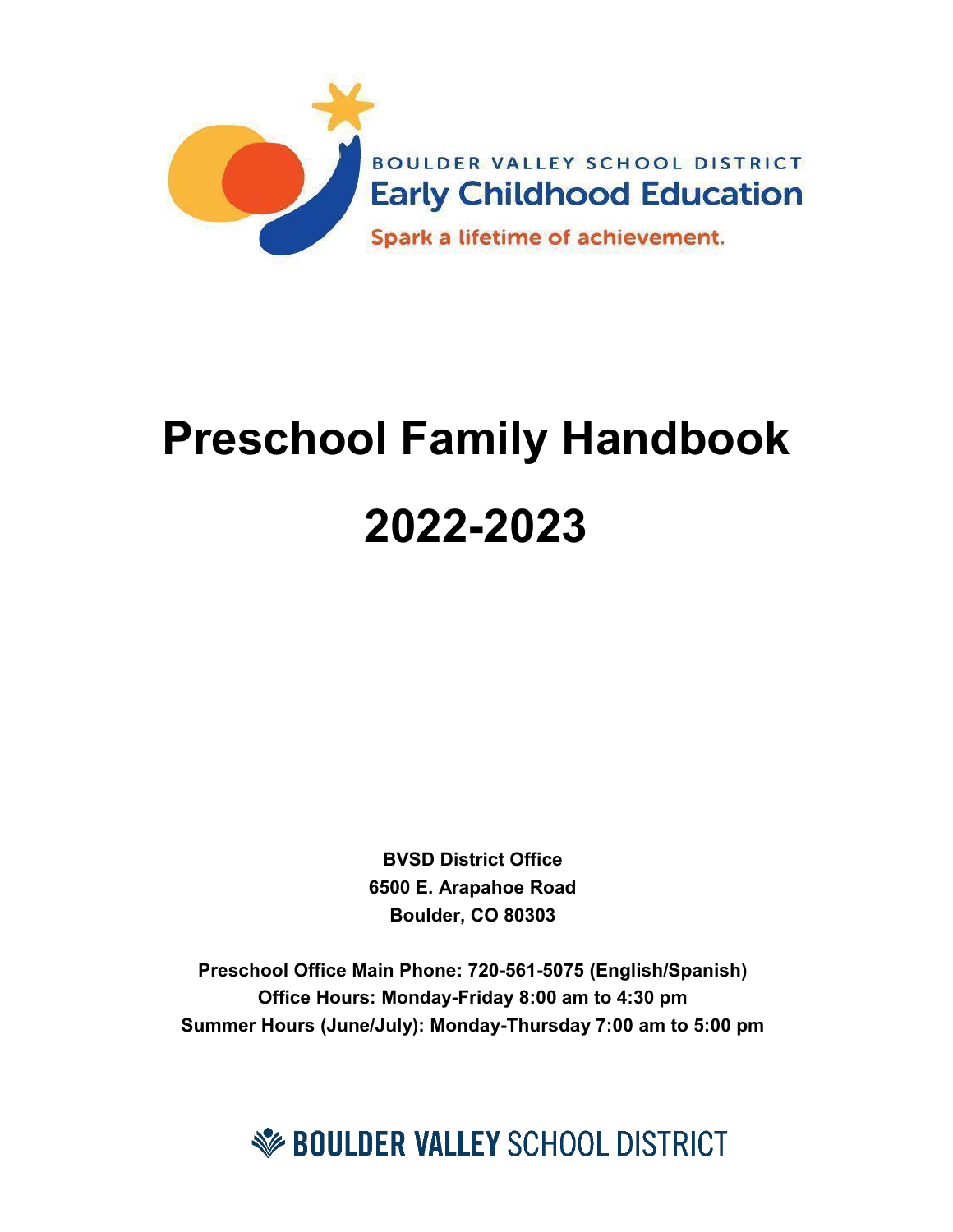

# **Preschool Family Handbook 2022-2023**

**BVSD District Office 6500 E. Arapahoe Road Boulder, CO 80303**

**Preschool Office Main Phone: 720-561-5075 (English/Spanish) Office Hours: Monday-Friday 8:00 am to 4:30 pm Summer Hours (June/July): Monday-Thursday 7:00 am to 5:00 pm**

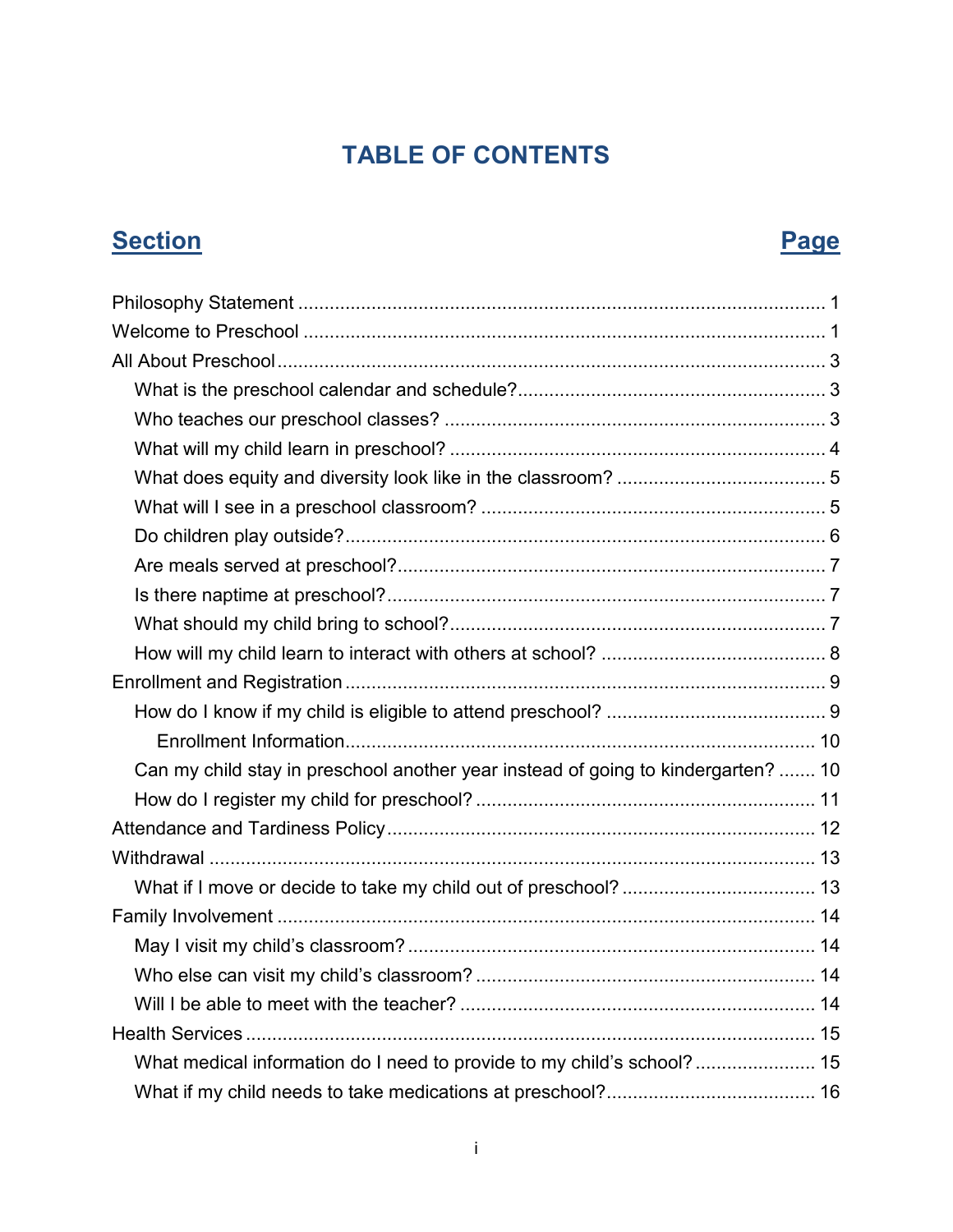## **TABLE OF CONTENTS**

## **Section Page**

| Can my child stay in preschool another year instead of going to kindergarten?  10 |  |
|-----------------------------------------------------------------------------------|--|
|                                                                                   |  |
|                                                                                   |  |
|                                                                                   |  |
|                                                                                   |  |
|                                                                                   |  |
|                                                                                   |  |
|                                                                                   |  |
|                                                                                   |  |
|                                                                                   |  |
| What medical information do I need to provide to my child's school? 15            |  |
|                                                                                   |  |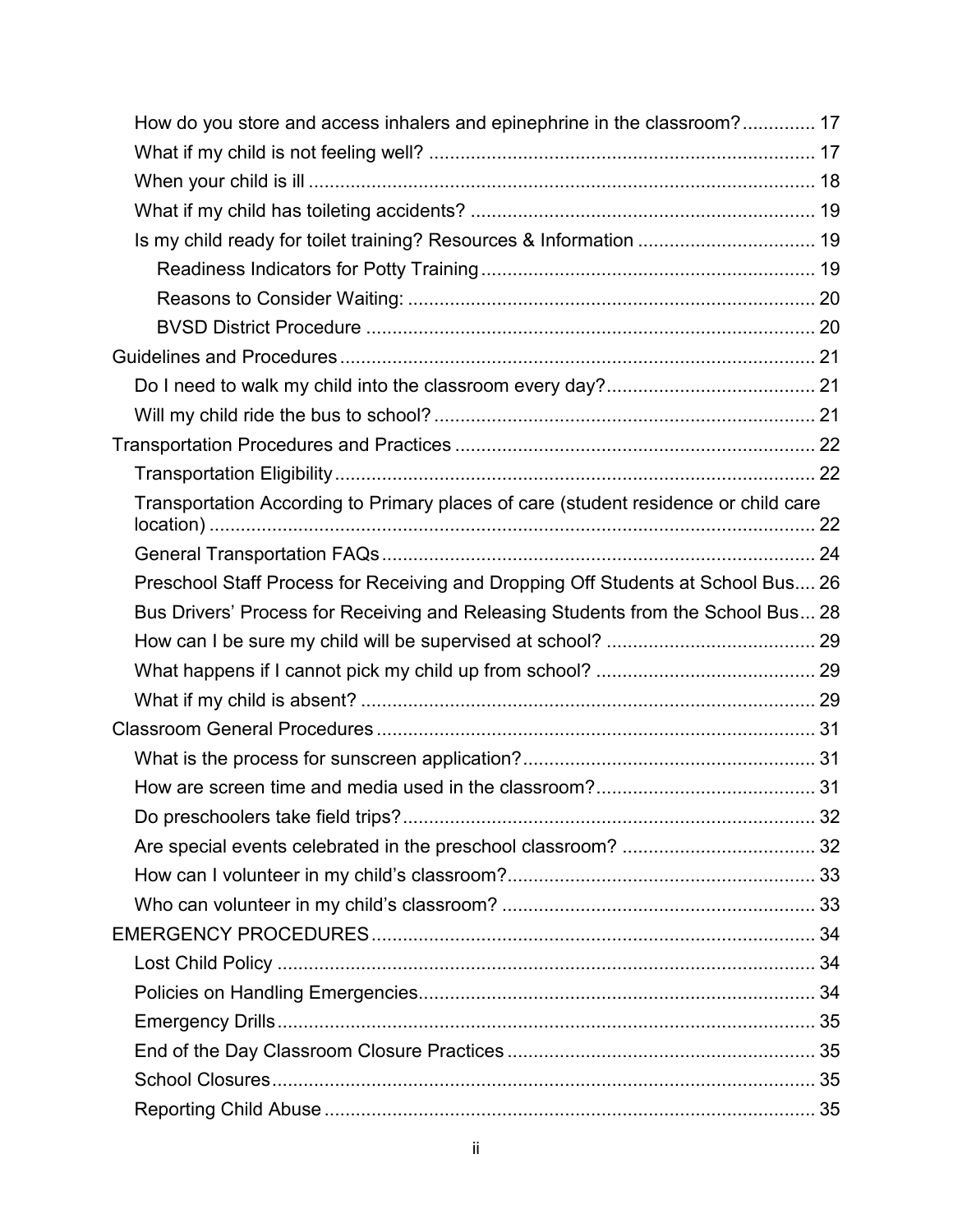| How do you store and access inhalers and epinephrine in the classroom? 17           |  |
|-------------------------------------------------------------------------------------|--|
|                                                                                     |  |
|                                                                                     |  |
|                                                                                     |  |
| Is my child ready for toilet training? Resources & Information  19                  |  |
|                                                                                     |  |
|                                                                                     |  |
|                                                                                     |  |
|                                                                                     |  |
|                                                                                     |  |
|                                                                                     |  |
|                                                                                     |  |
|                                                                                     |  |
| Transportation According to Primary places of care (student residence or child care |  |
|                                                                                     |  |
| Preschool Staff Process for Receiving and Dropping Off Students at School Bus 26    |  |
| Bus Drivers' Process for Receiving and Releasing Students from the School Bus 28    |  |
|                                                                                     |  |
|                                                                                     |  |
|                                                                                     |  |
|                                                                                     |  |
|                                                                                     |  |
|                                                                                     |  |
|                                                                                     |  |
|                                                                                     |  |
|                                                                                     |  |
|                                                                                     |  |
|                                                                                     |  |
|                                                                                     |  |
|                                                                                     |  |
|                                                                                     |  |
|                                                                                     |  |
|                                                                                     |  |
|                                                                                     |  |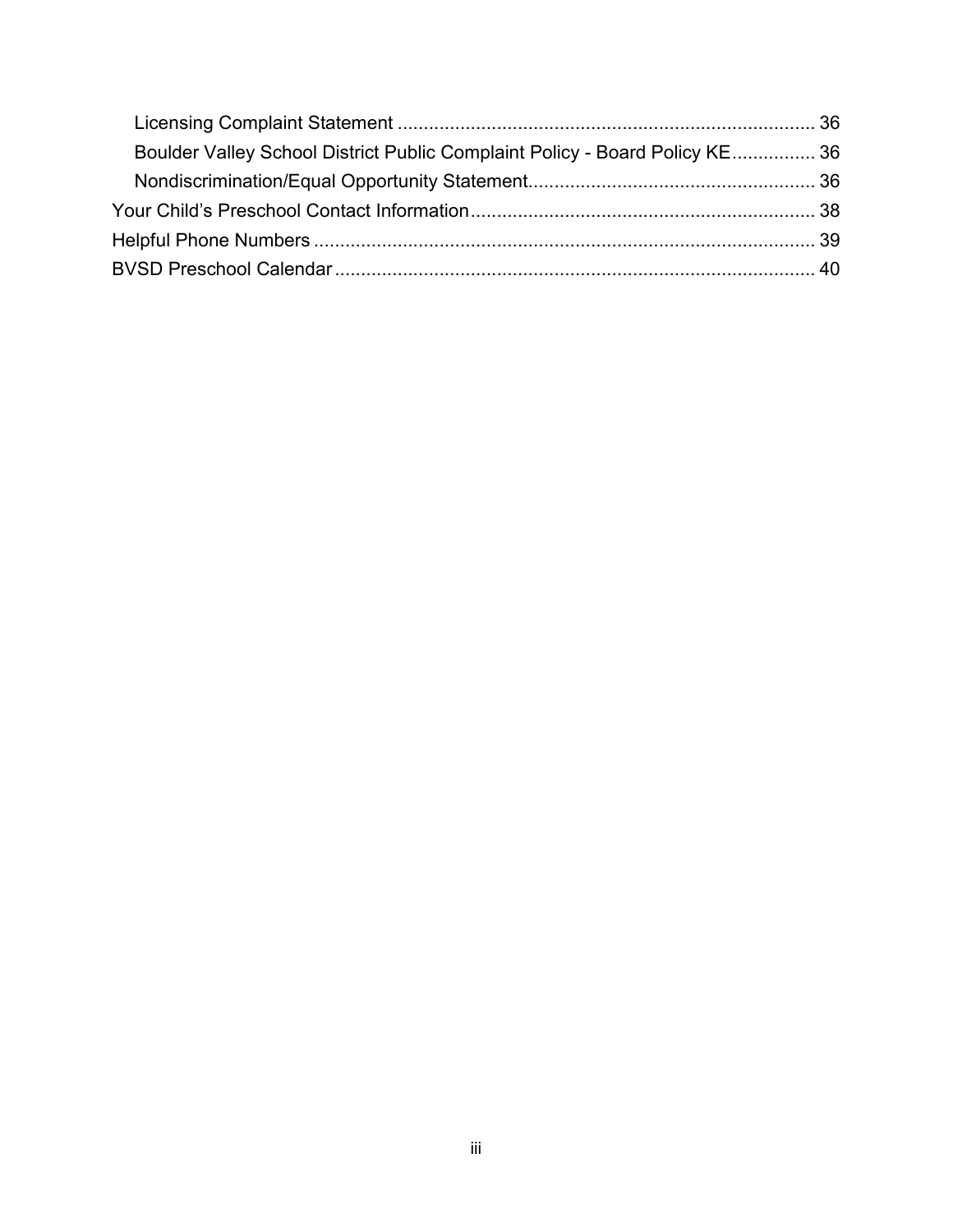| Boulder Valley School District Public Complaint Policy - Board Policy KE 36 |  |
|-----------------------------------------------------------------------------|--|
|                                                                             |  |
|                                                                             |  |
|                                                                             |  |
|                                                                             |  |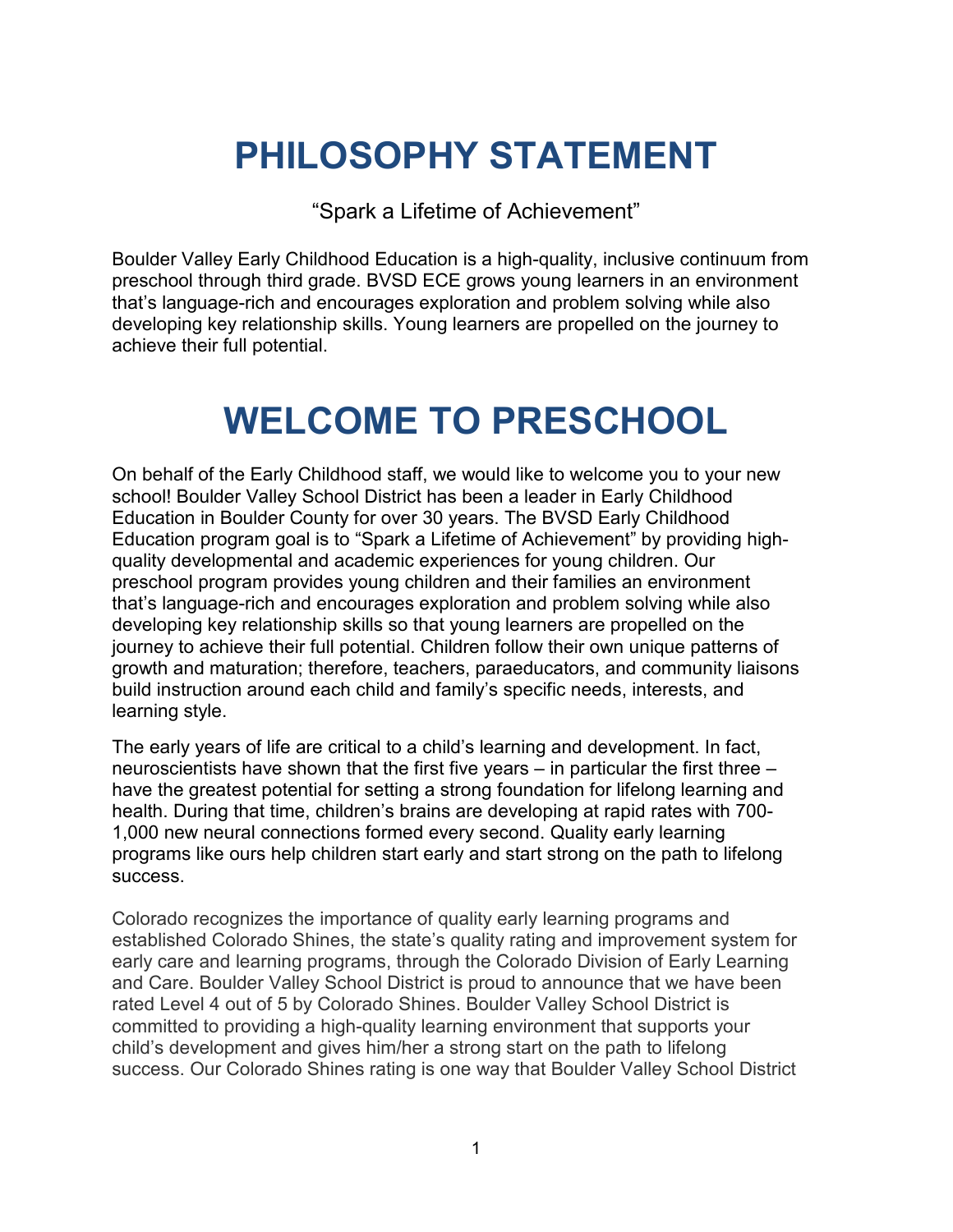## <span id="page-5-0"></span>**PHILOSOPHY STATEMENT**

"Spark a Lifetime of Achievement"

Boulder Valley Early Childhood Education is a high-quality, inclusive continuum from preschool through third grade. BVSD ECE grows young learners in an environment that's language-rich and encourages exploration and problem solving while also developing key relationship skills. Young learners are propelled on the journey to achieve their full potential.

## **WELCOME TO PRESCHOOL**

<span id="page-5-1"></span>On behalf of the Early Childhood staff, we would like to welcome you to your new school! Boulder Valley School District has been a leader in Early Childhood Education in Boulder County for over 30 years. The BVSD Early Childhood Education program goal is to "Spark a Lifetime of Achievement" by providing highquality developmental and academic experiences for young children. Our preschool program provides young children and their families an environment that's language-rich and encourages exploration and problem solving while also developing key relationship skills so that young learners are propelled on the journey to achieve their full potential. Children follow their own unique patterns of growth and maturation; therefore, teachers, paraeducators, and community liaisons build instruction around each child and family's specific needs, interests, and learning style.

The early years of life are critical to a child's learning and development. In fact, neuroscientists have shown that the first five years – in particular the first three – have the greatest potential for setting a strong foundation for lifelong learning and health. During that time, children's brains are developing at rapid rates with 700- 1,000 new neural connections formed every second. Quality early learning programs like ours help children start early and start strong on the path to lifelong success.

Colorado recognizes the importance of quality early learning programs and established Colorado Shines, the state's quality rating and improvement system for early care and learning programs, through the Colorado Division of Early Learning and Care. Boulder Valley School District is proud to announce that we have been rated Level 4 out of 5 by Colorado Shines. Boulder Valley School District is committed to providing a high-quality learning environment that supports your child's development and gives him/her a strong start on the path to lifelong success. Our Colorado Shines rating is one way that Boulder Valley School District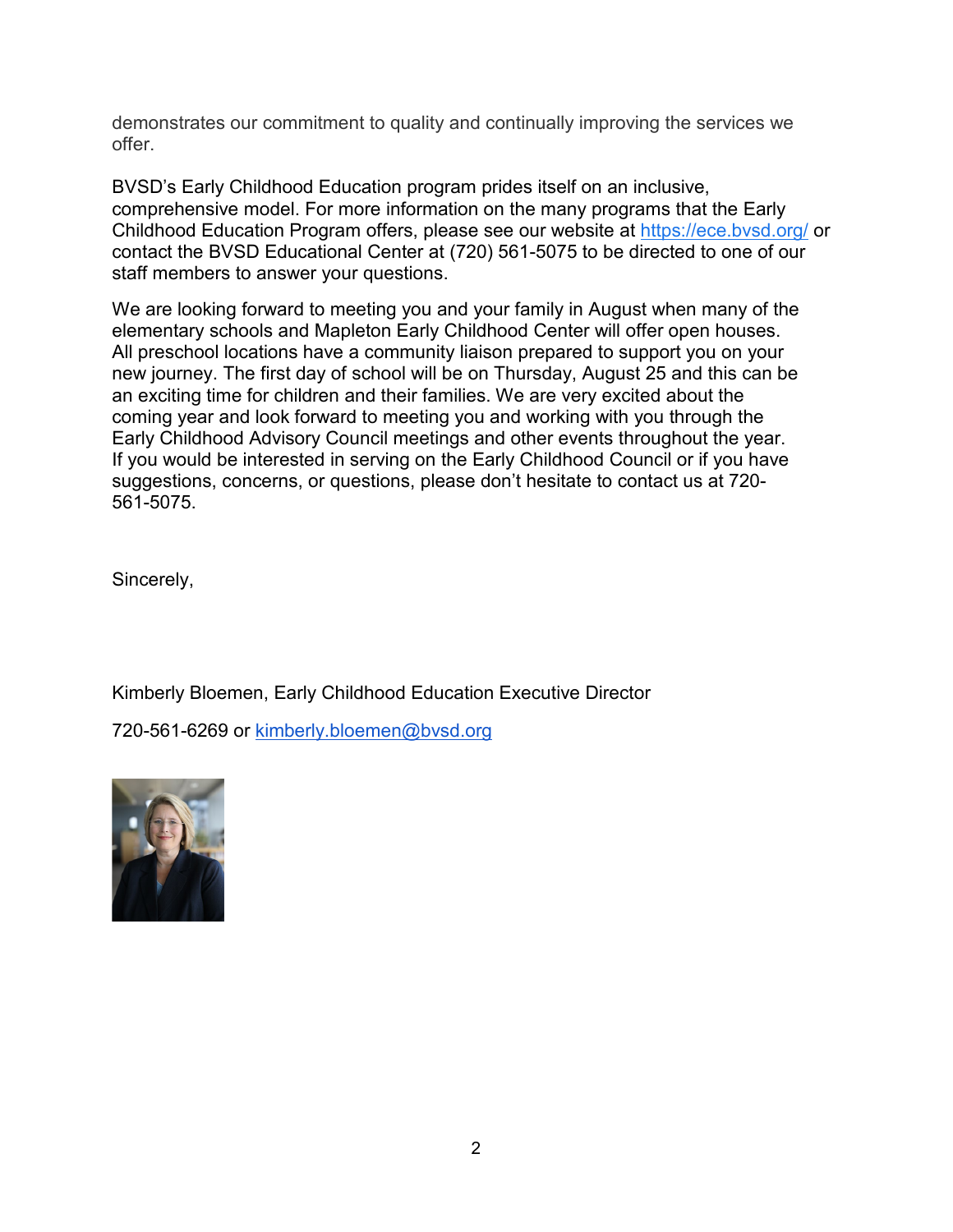demonstrates our commitment to quality and continually improving the services we offer.

BVSD's Early Childhood Education program prides itself on an inclusive, comprehensive model. For more information on the many programs that the Early Childhood Education Program offers, please see our website at<https://ece.bvsd.org/> or contact the BVSD Educational Center at (720) 561-5075 to be directed to one of our staff members to answer your questions.

We are looking forward to meeting you and your family in August when many of the elementary schools and Mapleton Early Childhood Center will offer open houses. All preschool locations have a community liaison prepared to support you on your new journey. The first day of school will be on Thursday, August 25 and this can be an exciting time for children and their families. We are very excited about the coming year and look forward to meeting you and working with you through the Early Childhood Advisory Council meetings and other events throughout the year. If you would be interested in serving on the Early Childhood Council or if you have suggestions, concerns, or questions, please don't hesitate to contact us at 720- 561-5075.

Sincerely,

Kimberly Bloemen, Early Childhood Education Executive Director

720-561-6269 or [kimberly.bloemen@bvsd.org](mailto:kimberly.bloemen@bvsd.org)

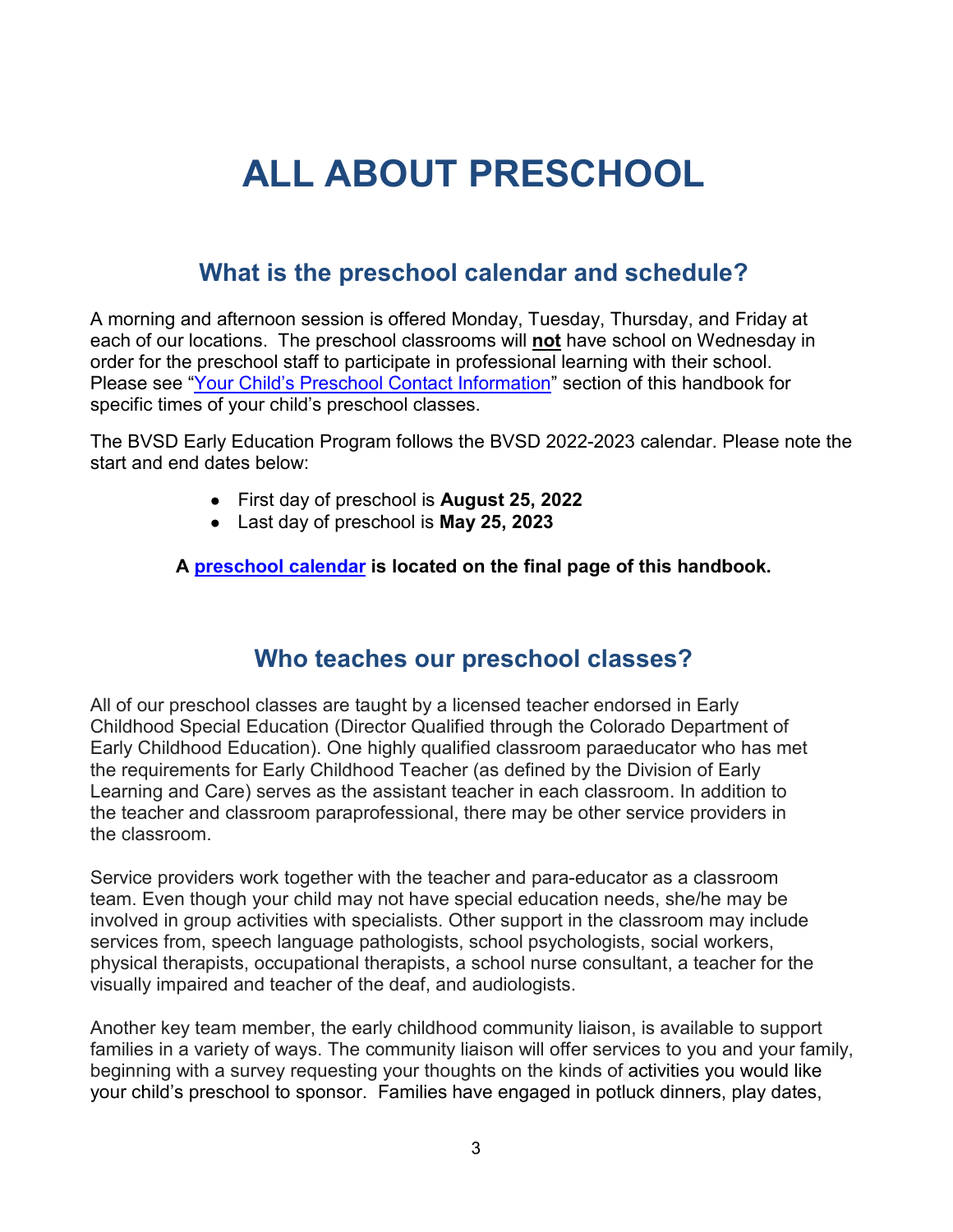## <span id="page-7-0"></span>**ALL ABOUT PRESCHOOL**

## **What is the preschool calendar and schedule?**

<span id="page-7-1"></span>A morning and afternoon session is offered Monday, Tuesday, Thursday, and Friday at each of our locations. The preschool classrooms will **not** have school on Wednesday in order for the preschool staff to participate in professional learning with their school. Please see ["Your Child's Preschool Contact Information"](#page-42-0) section of this handbook for specific times of your child's preschool classes.

The BVSD Early Education Program follows the BVSD 2022-2023 calendar. Please note the start and end dates below:

- First day of preschool is **August 25, 2022**
- Last day of preschool is **May 25, 2023**

#### **A [preschool calendar](#page-44-1) is located on the final page of this handbook.**

## **Who teaches our preschool classes?**

<span id="page-7-2"></span>All of our preschool classes are taught by a licensed teacher endorsed in Early Childhood Special Education (Director Qualified through the Colorado Department of Early Childhood Education). One highly qualified classroom paraeducator who has met the requirements for Early Childhood Teacher (as defined by the Division of Early Learning and Care) serves as the assistant teacher in each classroom. In addition to the teacher and classroom paraprofessional, there may be other service providers in the classroom.

Service providers work together with the teacher and para-educator as a classroom team. Even though your child may not have special education needs, she/he may be involved in group activities with specialists. Other support in the classroom may include services from, speech language pathologists, school psychologists, social workers, physical therapists, occupational therapists, a school nurse consultant, a teacher for the visually impaired and teacher of the deaf, and audiologists.

Another key team member, the early childhood community liaison, is available to support families in a variety of ways. The community liaison will offer services to you and your family, beginning with a survey requesting your thoughts on the kinds of activities you would like your child's preschool to sponsor. Families have engaged in potluck dinners, play dates,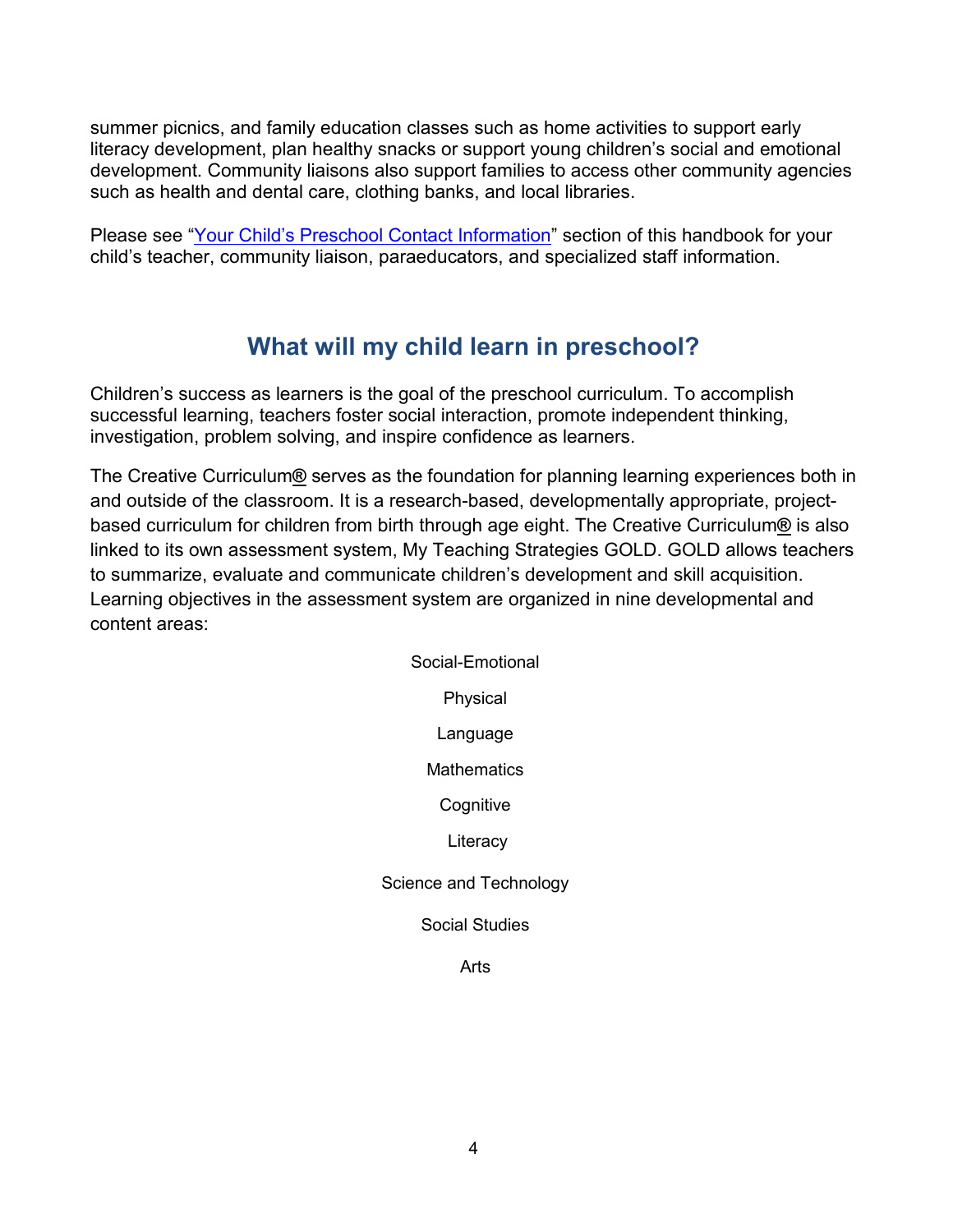summer picnics, and family education classes such as home activities to support early literacy development, plan healthy snacks or support young children's social and emotional development. Community liaisons also support families to access other community agencies such as health and dental care, clothing banks, and local libraries.

Please see ["Your Child's Preschool Contact Information"](#page-42-0) section of this handbook for your child's teacher, community liaison, paraeducators, and specialized staff information.

## **What will my child learn in preschool?**

<span id="page-8-0"></span>Children's success as learners is the goal of the preschool curriculum. To accomplish successful learning, teachers foster social interaction, promote independent thinking, investigation, problem solving, and inspire confidence as learners.

The Creative Curriculum**®** serves as the foundation for planning learning experiences both in and outside of the classroom. It is a research-based, developmentally appropriate, projectbased curriculum for children from birth through age eight. The Creative Curriculum**®** is also linked to its own assessment system, My Teaching Strategies GOLD. GOLD allows teachers to summarize, evaluate and communicate children's development and skill acquisition. Learning objectives in the assessment system are organized in nine developmental and content areas:

> Social-Emotional Physical Language **Mathematics Cognitive Literacy** Science and Technology Social Studies Arts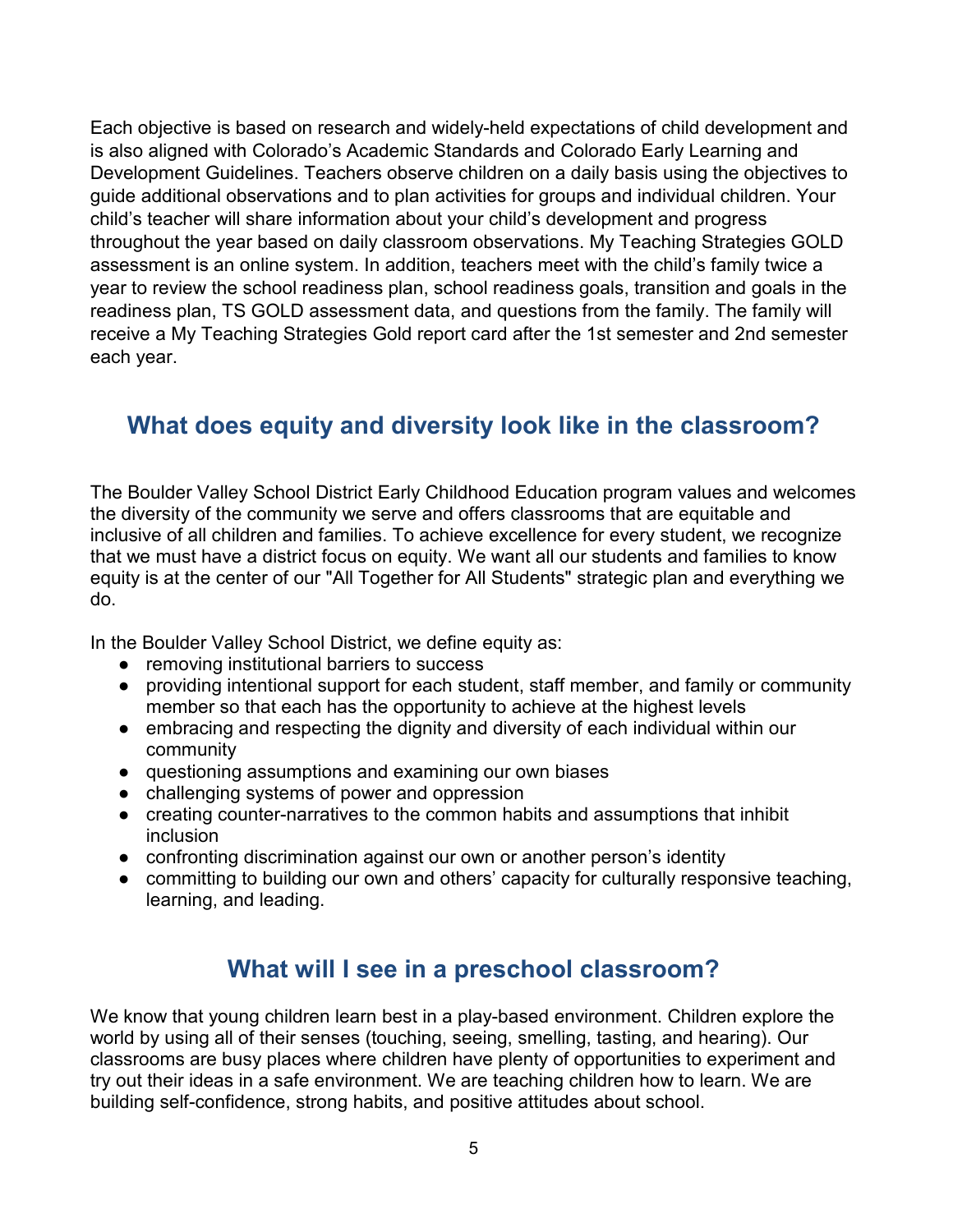Each objective is based on research and widely-held expectations of child development and is also aligned with Colorado's Academic Standards and Colorado Early Learning and Development Guidelines. Teachers observe children on a daily basis using the objectives to guide additional observations and to plan activities for groups and individual children. Your child's teacher will share information about your child's development and progress throughout the year based on daily classroom observations. My Teaching Strategies GOLD assessment is an online system. In addition, teachers meet with the child's family twice a year to review the school readiness plan, school readiness goals, transition and goals in the readiness plan, TS GOLD assessment data, and questions from the family. The family will receive a My Teaching Strategies Gold report card after the 1st semester and 2nd semester each year.

## <span id="page-9-0"></span>**What does equity and diversity look like in the classroom?**

The Boulder Valley School District Early Childhood Education program values and welcomes the diversity of the community we serve and offers classrooms that are equitable and inclusive of all children and families. To achieve excellence for every student, we recognize that we must have a district focus on equity. We want all our students and families to know equity is at the center of our "All Together for All Students" strategic plan and everything we do.

In the Boulder Valley School District, we define equity as:

- removing institutional barriers to success
- providing intentional support for each student, staff member, and family or community member so that each has the opportunity to achieve at the highest levels
- embracing and respecting the dignity and diversity of each individual within our community
- questioning assumptions and examining our own biases
- challenging systems of power and oppression
- creating counter-narratives to the common habits and assumptions that inhibit inclusion
- confronting discrimination against our own or another person's identity
- <span id="page-9-1"></span>● committing to building our own and others' capacity for culturally responsive teaching, learning, and leading.

## **What will I see in a preschool classroom?**

We know that young children learn best in a play-based environment. Children explore the world by using all of their senses (touching, seeing, smelling, tasting, and hearing). Our classrooms are busy places where children have plenty of opportunities to experiment and try out their ideas in a safe environment. We are teaching children how to learn. We are building self-confidence, strong habits, and positive attitudes about school.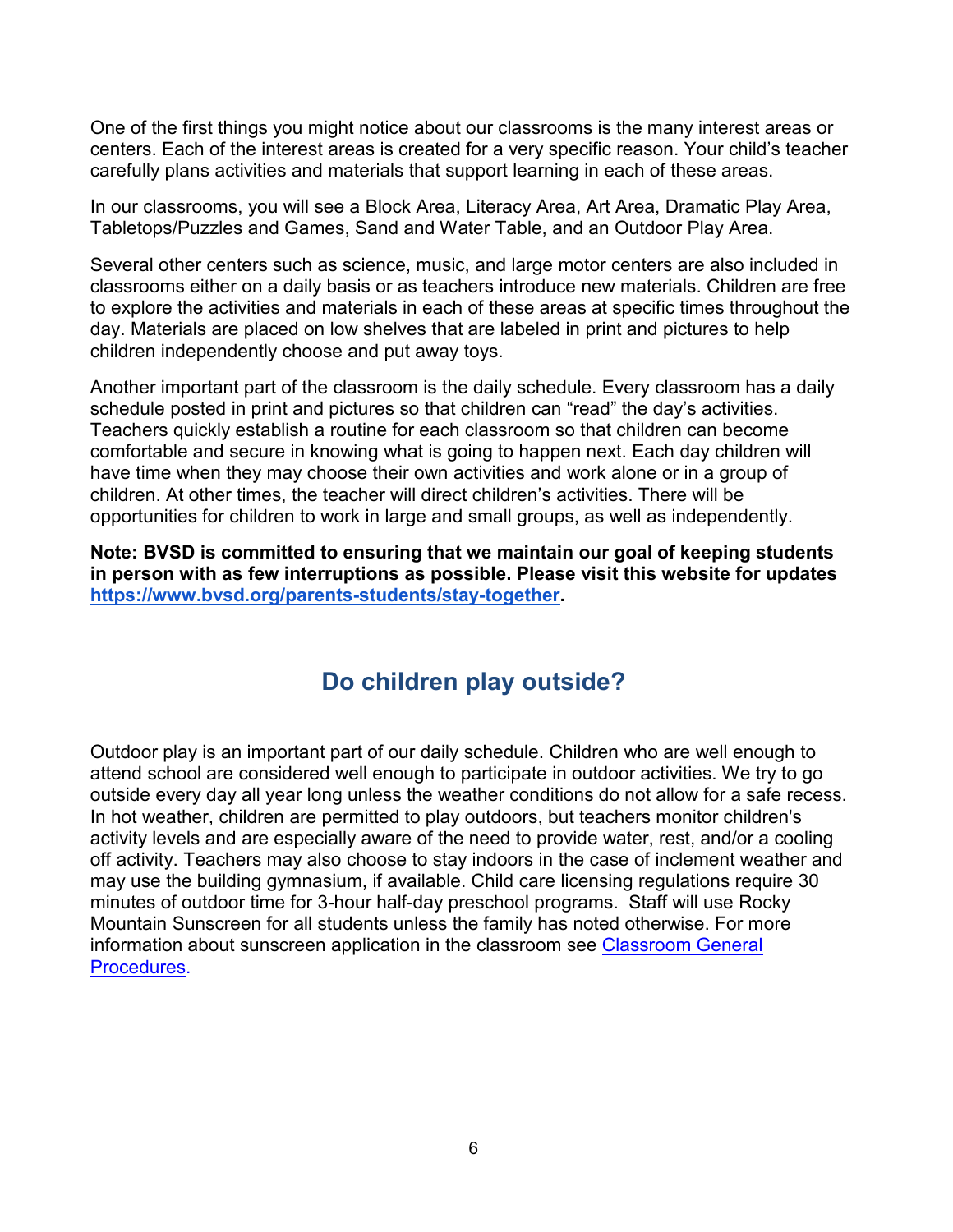One of the first things you might notice about our classrooms is the many interest areas or centers. Each of the interest areas is created for a very specific reason. Your child's teacher carefully plans activities and materials that support learning in each of these areas.

In our classrooms, you will see a Block Area, Literacy Area, Art Area, Dramatic Play Area, Tabletops/Puzzles and Games, Sand and Water Table, and an Outdoor Play Area.

Several other centers such as science, music, and large motor centers are also included in classrooms either on a daily basis or as teachers introduce new materials. Children are free to explore the activities and materials in each of these areas at specific times throughout the day. Materials are placed on low shelves that are labeled in print and pictures to help children independently choose and put away toys.

Another important part of the classroom is the daily schedule. Every classroom has a daily schedule posted in print and pictures so that children can "read" the day's activities. Teachers quickly establish a routine for each classroom so that children can become comfortable and secure in knowing what is going to happen next. Each day children will have time when they may choose their own activities and work alone or in a group of children. At other times, the teacher will direct children's activities. There will be opportunities for children to work in large and small groups, as well as independently.

**Note: BVSD is committed to ensuring that we maintain our goal of keeping students in person with as few interruptions as possible. Please visit this website for updates [https://www.bvsd.org/parents-students/stay-together.](https://www.bvsd.org/parents-students/stay-together)** 

## **Do children play outside?**

<span id="page-10-0"></span>Outdoor play is an important part of our daily schedule. Children who are well enough to attend school are considered well enough to participate in outdoor activities. We try to go outside every day all year long unless the weather conditions do not allow for a safe recess. In hot weather, children are permitted to play outdoors, but teachers monitor children's activity levels and are especially aware of the need to provide water, rest, and/or a cooling off activity. Teachers may also choose to stay indoors in the case of inclement weather and may use the building gymnasium, if available. Child care licensing regulations require 30 minutes of outdoor time for 3-hour half-day preschool programs. Staff will use Rocky Mountain Sunscreen for all students unless the family has noted otherwise. For more information about sunscreen application in the classroom see [Classroom General](#page-35-0)  [Procedures.](#page-35-0)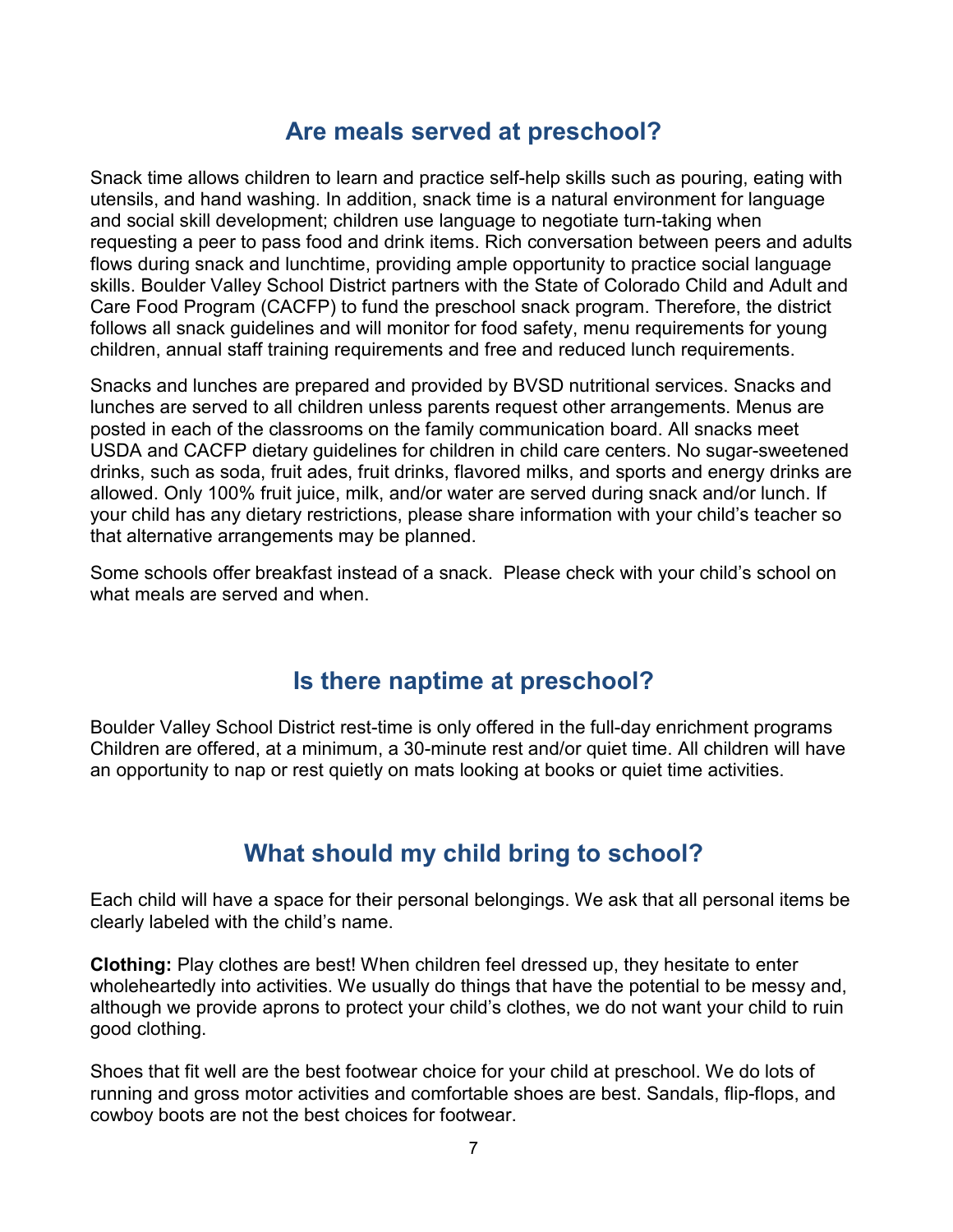## **Are meals served at preschool?**

<span id="page-11-0"></span>Snack time allows children to learn and practice self-help skills such as pouring, eating with utensils, and hand washing. In addition, snack time is a natural environment for language and social skill development; children use language to negotiate turn-taking when requesting a peer to pass food and drink items. Rich conversation between peers and adults flows during snack and lunchtime, providing ample opportunity to practice social language skills. Boulder Valley School District partners with the State of Colorado Child and Adult and Care Food Program (CACFP) to fund the preschool snack program. Therefore, the district follows all snack guidelines and will monitor for food safety, menu requirements for young children, annual staff training requirements and free and reduced lunch requirements.

Snacks and lunches are prepared and provided by BVSD nutritional services. Snacks and lunches are served to all children unless parents request other arrangements. Menus are posted in each of the classrooms on the family communication board. All snacks meet USDA and CACFP dietary guidelines for children in child care centers. No sugar-sweetened drinks, such as soda, fruit ades, fruit drinks, flavored milks, and sports and energy drinks are allowed. Only 100% fruit juice, milk, and/or water are served during snack and/or lunch. If your child has any dietary restrictions, please share information with your child's teacher so that alternative arrangements may be planned.

Some schools offer breakfast instead of a snack. Please check with your child's school on what meals are served and when.

## **Is there naptime at preschool?**

<span id="page-11-1"></span>Boulder Valley School District rest-time is only offered in the full-day enrichment programs Children are offered, at a minimum, a 30-minute rest and/or quiet time. All children will have an opportunity to nap or rest quietly on mats looking at books or quiet time activities.

## **What should my child bring to school?**

<span id="page-11-2"></span>Each child will have a space for their personal belongings. We ask that all personal items be clearly labeled with the child's name.

**Clothing:** Play clothes are best! When children feel dressed up, they hesitate to enter wholeheartedly into activities. We usually do things that have the potential to be messy and, although we provide aprons to protect your child's clothes, we do not want your child to ruin good clothing.

Shoes that fit well are the best footwear choice for your child at preschool. We do lots of running and gross motor activities and comfortable shoes are best. Sandals, flip-flops, and cowboy boots are not the best choices for footwear.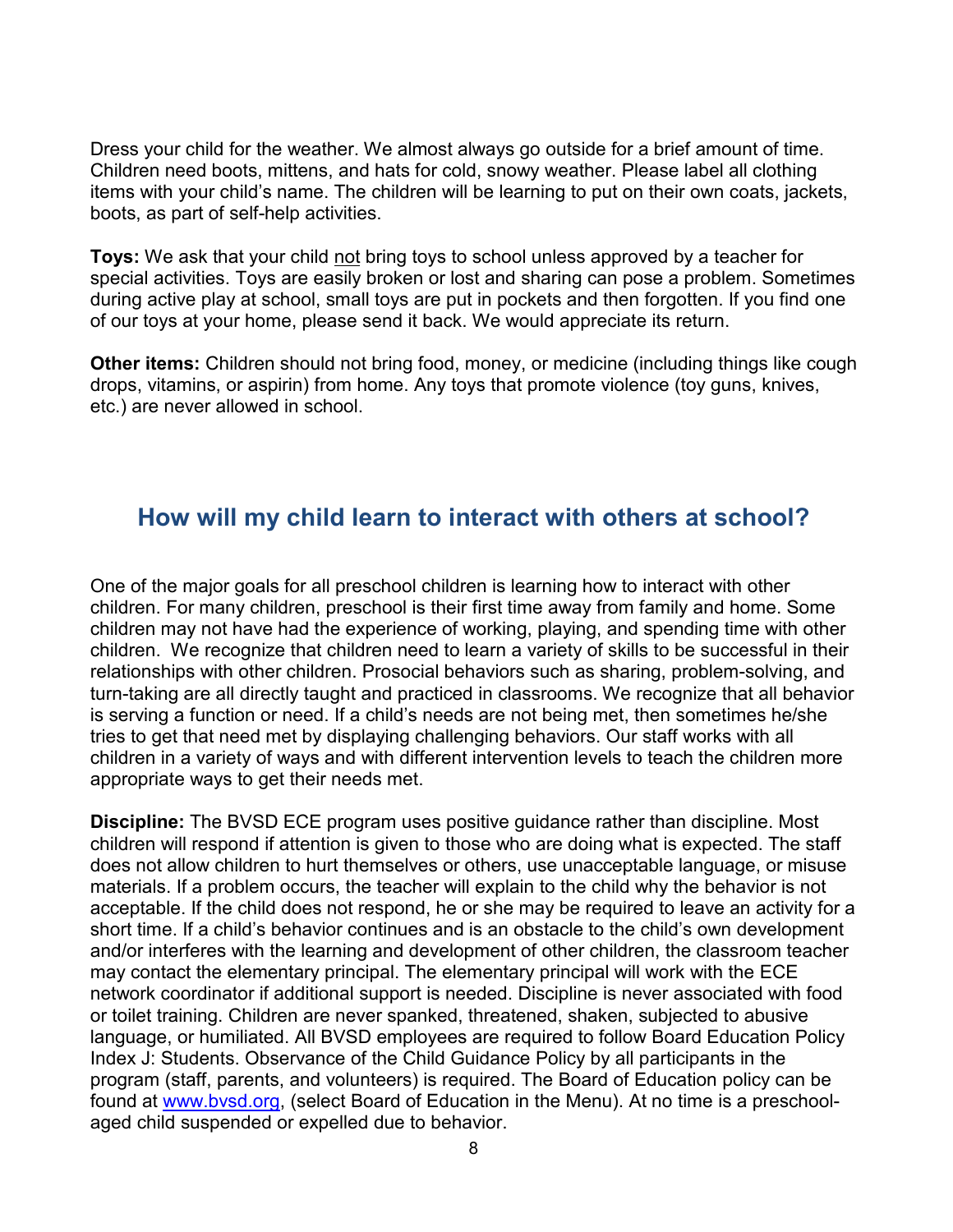Dress your child for the weather. We almost always go outside for a brief amount of time. Children need boots, mittens, and hats for cold, snowy weather. Please label all clothing items with your child's name. The children will be learning to put on their own coats, jackets, boots, as part of self-help activities.

**Toys:** We ask that your child not bring toys to school unless approved by a teacher for special activities. Toys are easily broken or lost and sharing can pose a problem. Sometimes during active play at school, small toys are put in pockets and then forgotten. If you find one of our toys at your home, please send it back. We would appreciate its return.

**Other items:** Children should not bring food, money, or medicine (including things like cough drops, vitamins, or aspirin) from home. Any toys that promote violence (toy guns, knives, etc.) are never allowed in school.

### <span id="page-12-0"></span>**How will my child learn to interact with others at school?**

One of the major goals for all preschool children is learning how to interact with other children. For many children, preschool is their first time away from family and home. Some children may not have had the experience of working, playing, and spending time with other children. We recognize that children need to learn a variety of skills to be successful in their relationships with other children. Prosocial behaviors such as sharing, problem-solving, and turn-taking are all directly taught and practiced in classrooms. We recognize that all behavior is serving a function or need. If a child's needs are not being met, then sometimes he/she tries to get that need met by displaying challenging behaviors. Our staff works with all children in a variety of ways and with different intervention levels to teach the children more appropriate ways to get their needs met.

**Discipline:** The BVSD ECE program uses positive guidance rather than discipline. Most children will respond if attention is given to those who are doing what is expected. The staff does not allow children to hurt themselves or others, use unacceptable language, or misuse materials. If a problem occurs, the teacher will explain to the child why the behavior is not acceptable. If the child does not respond, he or she may be required to leave an activity for a short time. If a child's behavior continues and is an obstacle to the child's own development and/or interferes with the learning and development of other children, the classroom teacher may contact the elementary principal. The elementary principal will work with the ECE network coordinator if additional support is needed. Discipline is never associated with food or toilet training. Children are never spanked, threatened, shaken, subjected to abusive language, or humiliated. All BVSD employees are required to follow Board Education Policy Index J: Students. Observance of the Child Guidance Policy by all participants in the program (staff, parents, and volunteers) is required. The Board of Education policy can be found at [www.bvsd.org,](http://www.bvsd.org/) (select Board of Education in the Menu). At no time is a preschoolaged child suspended or expelled due to behavior.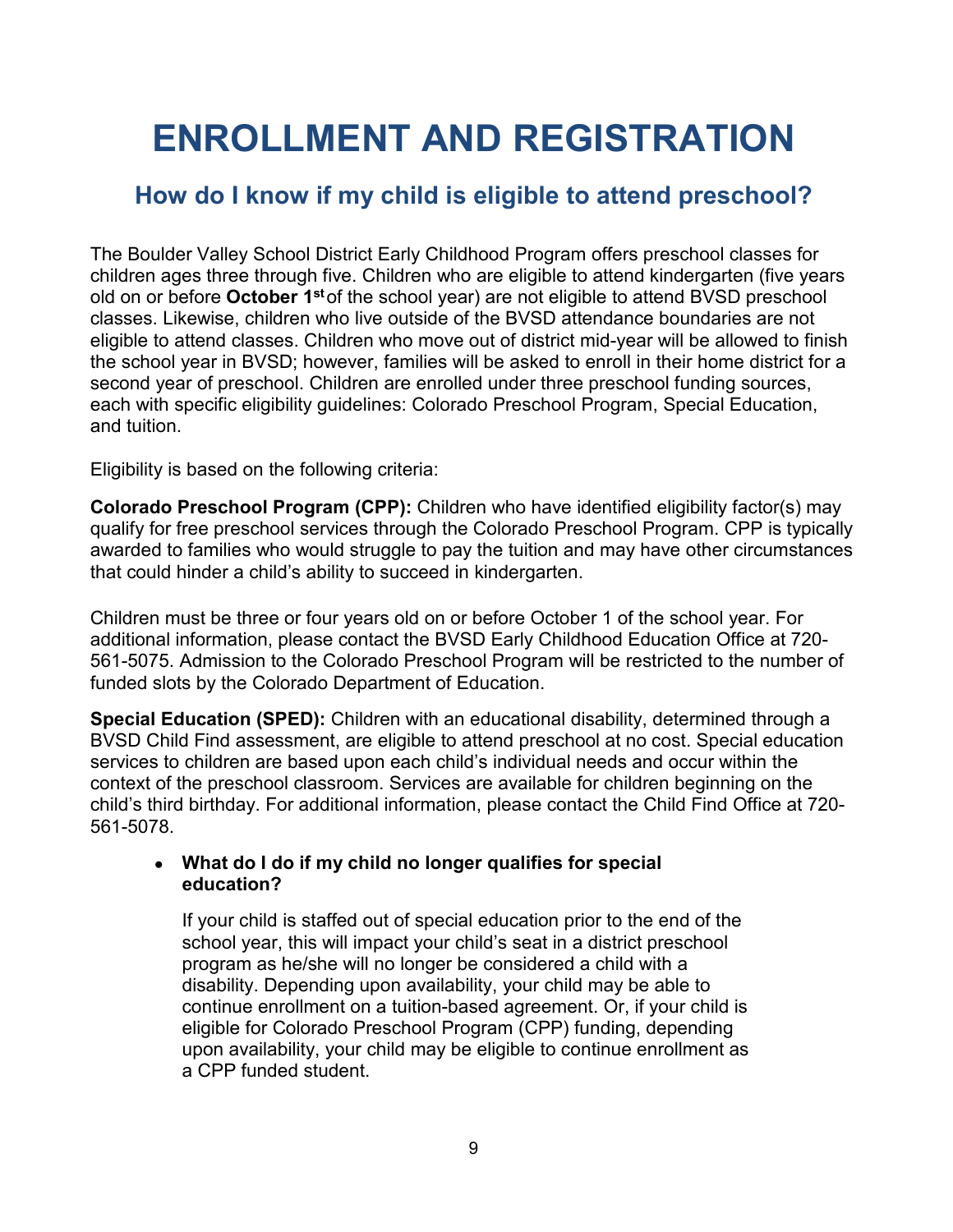## <span id="page-13-0"></span>**ENROLLMENT AND REGISTRATION**

## <span id="page-13-1"></span>**How do I know if my child is eligible to attend preschool?**

The Boulder Valley School District Early Childhood Program offers preschool classes for children ages three through five. Children who are eligible to attend kindergarten (five years old on or before **October 1st**of the school year) are not eligible to attend BVSD preschool classes. Likewise, children who live outside of the BVSD attendance boundaries are not eligible to attend classes. Children who move out of district mid-year will be allowed to finish the school year in BVSD; however, families will be asked to enroll in their home district for a second year of preschool. Children are enrolled under three preschool funding sources, each with specific eligibility guidelines: Colorado Preschool Program, Special Education, and tuition.

Eligibility is based on the following criteria:

**Colorado Preschool Program (CPP):** Children who have identified eligibility factor(s) may qualify for free preschool services through the Colorado Preschool Program. CPP is typically awarded to families who would struggle to pay the tuition and may have other circumstances that could hinder a child's ability to succeed in kindergarten.

Children must be three or four years old on or before October 1 of the school year. For additional information, please contact the BVSD Early Childhood Education Office at 720- 561-5075. Admission to the Colorado Preschool Program will be restricted to the number of funded slots by the Colorado Department of Education.

**Special Education (SPED):** Children with an educational disability, determined through a BVSD Child Find assessment, are eligible to attend preschool at no cost. Special education services to children are based upon each child's individual needs and occur within the context of the preschool classroom. Services are available for children beginning on the child's third birthday. For additional information, please contact the Child Find Office at 720- 561-5078.

#### ● **What do I do if my child no longer qualifies for special education?**

If your child is staffed out of special education prior to the end of the school year, this will impact your child's seat in a district preschool program as he/she will no longer be considered a child with a disability. Depending upon availability, your child may be able to continue enrollment on a tuition-based agreement. Or, if your child is eligible for Colorado Preschool Program (CPP) funding, depending upon availability, your child may be eligible to continue enrollment as a CPP funded student.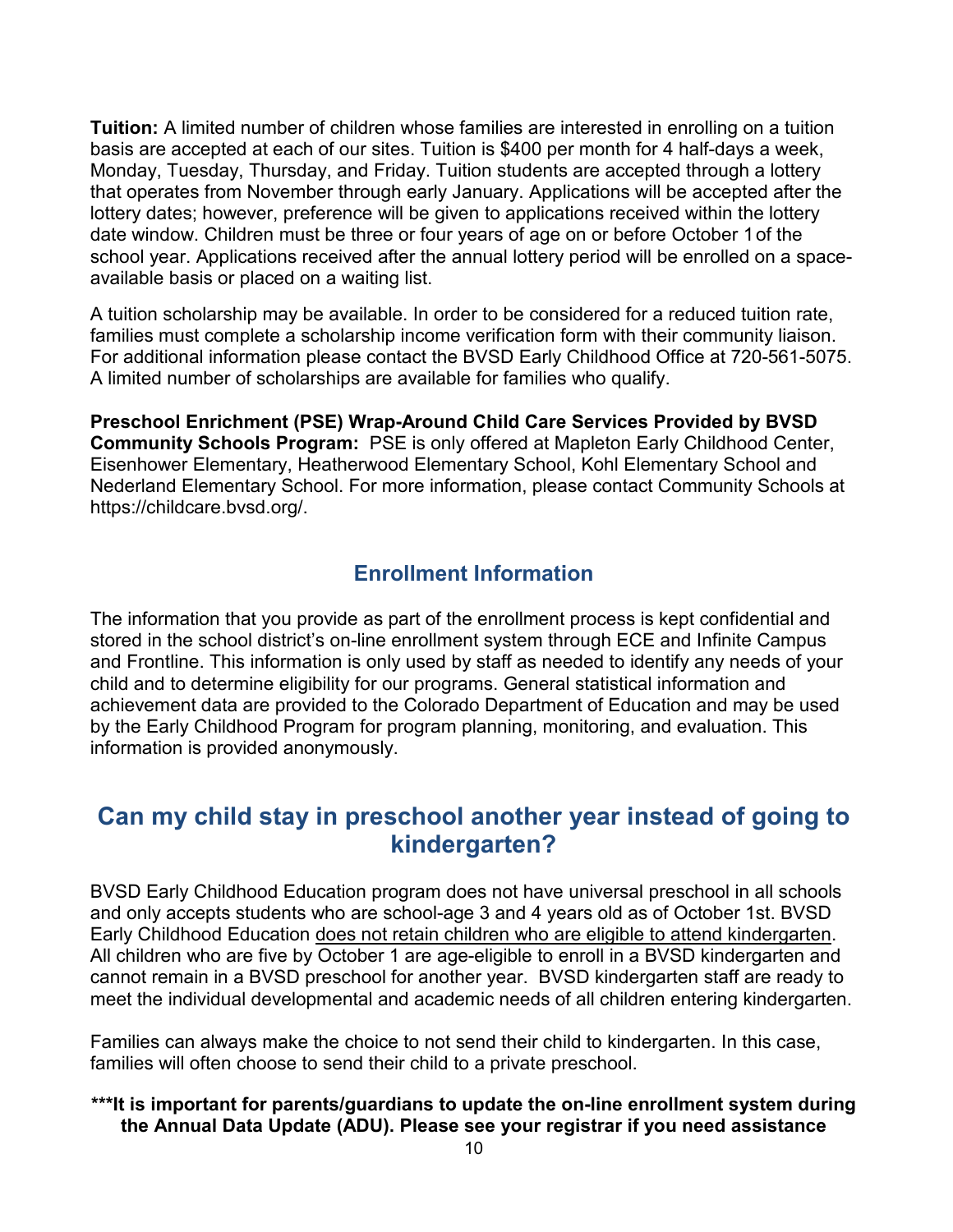**Tuition:** A limited number of children whose families are interested in enrolling on a tuition basis are accepted at each of our sites. Tuition is \$400 per month for 4 half-days a week, Monday, Tuesday, Thursday, and Friday. Tuition students are accepted through a lottery that operates from November through early January. Applications will be accepted after the lottery dates; however, preference will be given to applications received within the lottery date window. Children must be three or four years of age on or before October 1of the school year. Applications received after the annual lottery period will be enrolled on a spaceavailable basis or placed on a waiting list.

A tuition scholarship may be available. In order to be considered for a reduced tuition rate, families must complete a scholarship income verification form with their community liaison. For additional information please contact the BVSD Early Childhood Office at 720-561-5075. A limited number of scholarships are available for families who qualify.

**Preschool Enrichment (PSE) Wrap-Around Child Care Services Provided by BVSD Community Schools Program:** PSE is only offered at Mapleton Early Childhood Center, Eisenhower Elementary, Heatherwood Elementary School, Kohl Elementary School and Nederland Elementary School. For more information, please contact Community Schools at [https://childcare.bvsd.org/.](https://childcare.bvsd.org/)

#### **Enrollment Information**

<span id="page-14-0"></span>The information that you provide as part of the enrollment process is kept confidential and stored in the school district's on-line enrollment system through ECE and Infinite Campus and Frontline. This information is only used by staff as needed to identify any needs of your child and to determine eligibility for our programs. General statistical information and achievement data are provided to the Colorado Department of Education and may be used by the Early Childhood Program for program planning, monitoring, and evaluation. This information is provided anonymously.

## <span id="page-14-1"></span>**Can my child stay in preschool another year instead of going to kindergarten?**

BVSD Early Childhood Education program does not have universal preschool in all schools and only accepts students who are school-age 3 and 4 years old as of October 1st. BVSD Early Childhood Education does not retain children who are eligible to attend kindergarten. All children who are five by October 1 are age-eligible to enroll in a BVSD kindergarten and cannot remain in a BVSD preschool for another year. BVSD kindergarten staff are ready to meet the individual developmental and academic needs of all children entering kindergarten.

Families can always make the choice to not send their child to kindergarten. In this case, families will often choose to send their child to a private preschool.

#### **\*\*\*It is important for parents/guardians to update the on-line enrollment system during the Annual Data Update (ADU). Please see your registrar if you need assistance**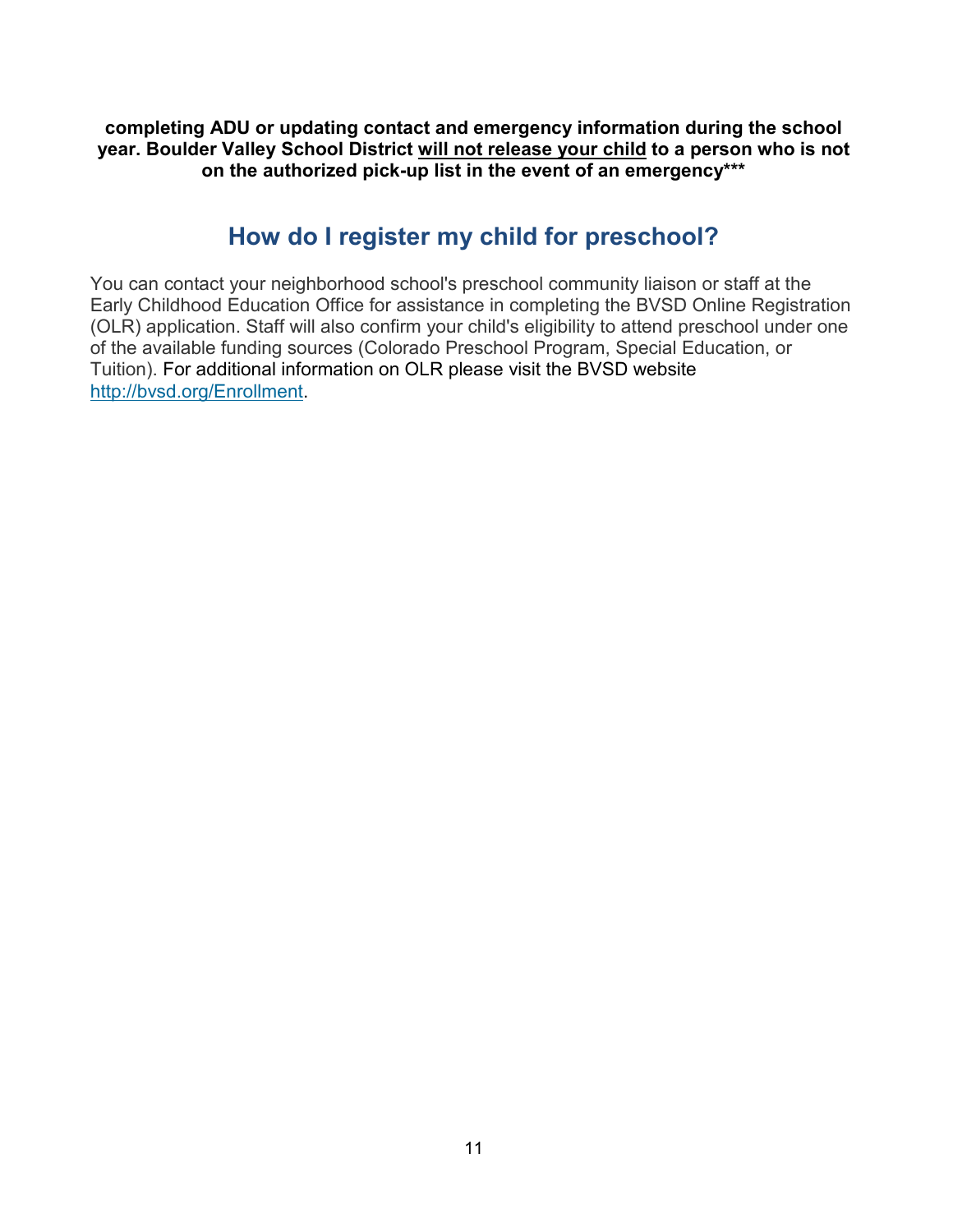**completing ADU or updating contact and emergency information during the school year. Boulder Valley School District will not release your child to a person who is not on the authorized pick-up list in the event of an emergency\*\*\***

### **How do I register my child for preschool?**

<span id="page-15-0"></span>You can contact your neighborhood school's preschool community liaison or staff at the Early Childhood Education Office for assistance in completing the BVSD Online Registration (OLR) application. Staff will also confirm your child's eligibility to attend preschool under one of the available funding sources (Colorado Preschool Program, Special Education, or Tuition). For additional information on OLR please visit the BVSD website [http://bvsd.org/Enrollment.](http://bvsd.org/Enrollment)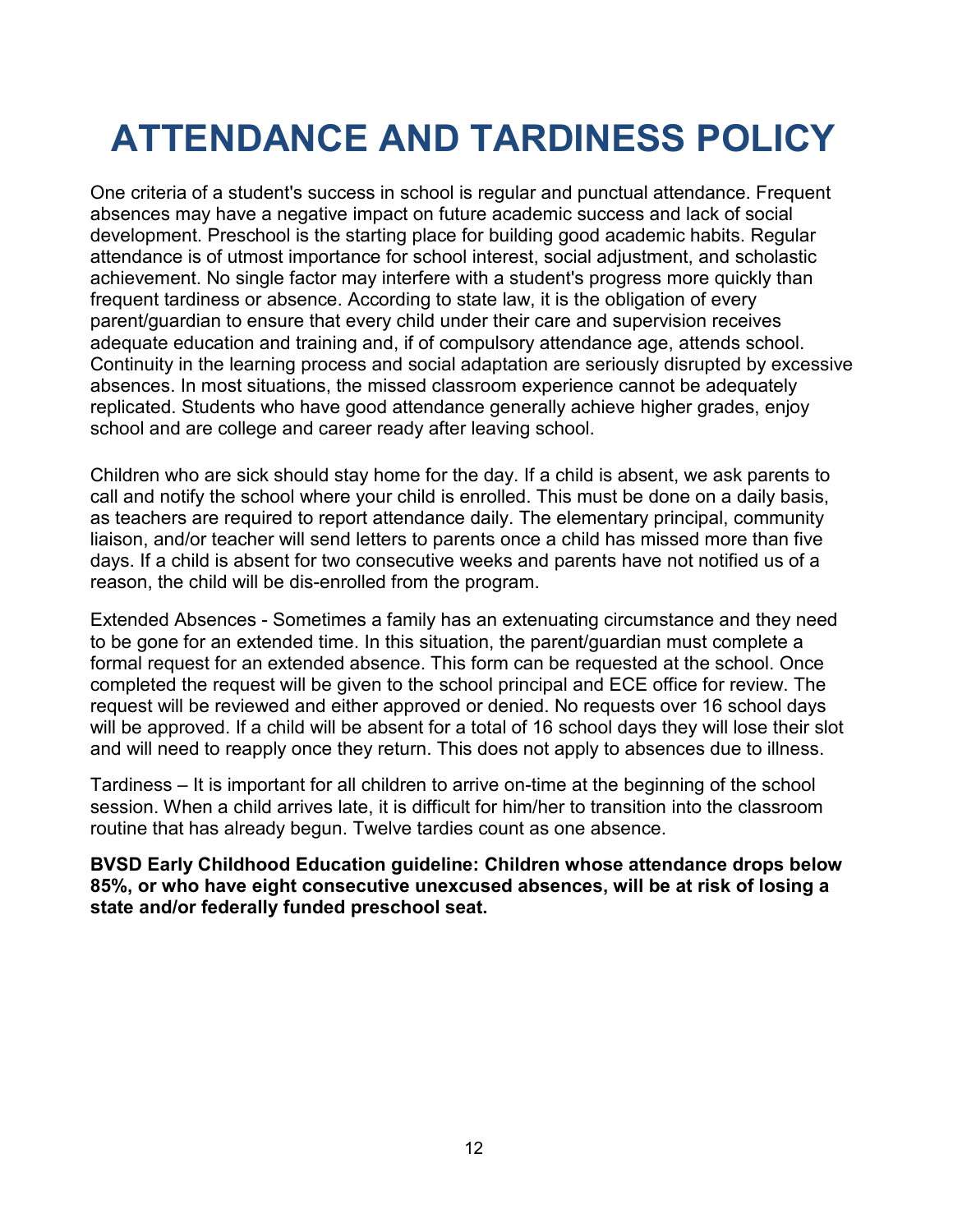## <span id="page-16-0"></span>**ATTENDANCE AND TARDINESS POLICY**

One criteria of a student's success in school is regular and punctual attendance. Frequent absences may have a negative impact on future academic success and lack of social development. Preschool is the starting place for building good academic habits. Regular attendance is of utmost importance for school interest, social adjustment, and scholastic achievement. No single factor may interfere with a student's progress more quickly than frequent tardiness or absence. According to state law, it is the obligation of every parent/guardian to ensure that every child under their care and supervision receives adequate education and training and, if of compulsory attendance age, attends school. Continuity in the learning process and social adaptation are seriously disrupted by excessive absences. In most situations, the missed classroom experience cannot be adequately replicated. Students who have good attendance generally achieve higher grades, enjoy school and are college and career ready after leaving school.

Children who are sick should stay home for the day. If a child is absent, we ask parents to call and notify the school where your child is enrolled. This must be done on a daily basis, as teachers are required to report attendance daily. The elementary principal, community liaison, and/or teacher will send letters to parents once a child has missed more than five days. If a child is absent for two consecutive weeks and parents have not notified us of a reason, the child will be dis-enrolled from the program.

Extended Absences - Sometimes a family has an extenuating circumstance and they need to be gone for an extended time. In this situation, the parent/guardian must complete a formal request for an extended absence. This form can be requested at the school. Once completed the request will be given to the school principal and ECE office for review. The request will be reviewed and either approved or denied. No requests over 16 school days will be approved. If a child will be absent for a total of 16 school days they will lose their slot and will need to reapply once they return. This does not apply to absences due to illness.

Tardiness – It is important for all children to arrive on-time at the beginning of the school session. When a child arrives late, it is difficult for him/her to transition into the classroom routine that has already begun. Twelve tardies count as one absence.

**BVSD Early Childhood Education guideline: Children whose attendance drops below 85%, or who have eight consecutive unexcused absences, will be at risk of losing a state and/or federally funded preschool seat.**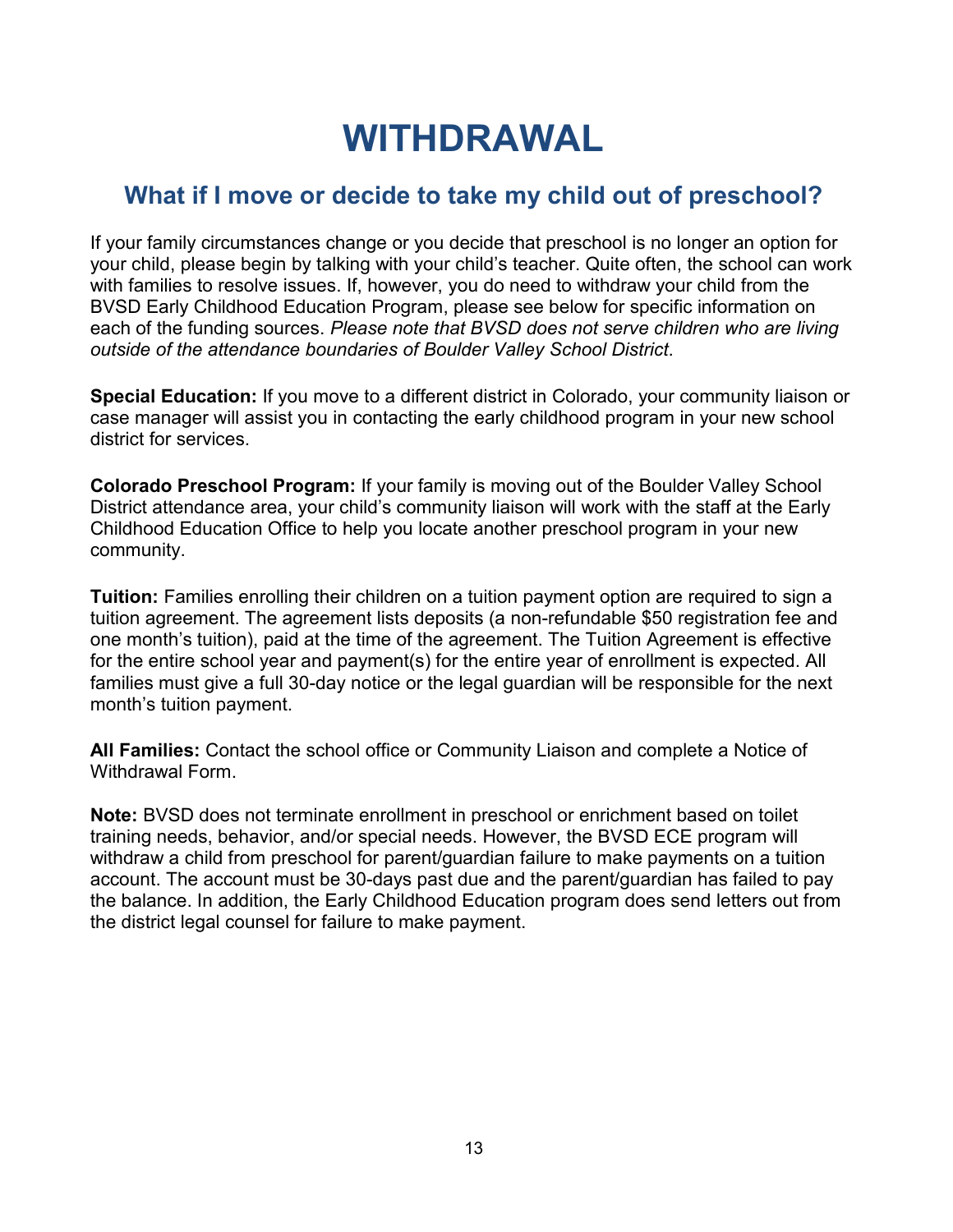## **WITHDRAWAL**

## <span id="page-17-1"></span><span id="page-17-0"></span>**What if I move or decide to take my child out of preschool?**

If your family circumstances change or you decide that preschool is no longer an option for your child, please begin by talking with your child's teacher. Quite often, the school can work with families to resolve issues. If, however, you do need to withdraw your child from the BVSD Early Childhood Education Program, please see below for specific information on each of the funding sources. *Please note that BVSD does not serve children who are living outside of the attendance boundaries of Boulder Valley School District*.

**Special Education:** If you move to a different district in Colorado, your community liaison or case manager will assist you in contacting the early childhood program in your new school district for services.

**Colorado Preschool Program:** If your family is moving out of the Boulder Valley School District attendance area, your child's community liaison will work with the staff at the Early Childhood Education Office to help you locate another preschool program in your new community.

**Tuition:** Families enrolling their children on a tuition payment option are required to sign a tuition agreement. The agreement lists deposits (a non-refundable \$50 registration fee and one month's tuition), paid at the time of the agreement. The Tuition Agreement is effective for the entire school year and payment(s) for the entire year of enrollment is expected. All families must give a full 30-day notice or the legal guardian will be responsible for the next month's tuition payment.

**All Families:** Contact the school office or Community Liaison and complete a Notice of Withdrawal Form.

**Note:** BVSD does not terminate enrollment in preschool or enrichment based on toilet training needs, behavior, and/or special needs. However, the BVSD ECE program will withdraw a child from preschool for parent/guardian failure to make payments on a tuition account. The account must be 30-days past due and the parent/guardian has failed to pay the balance. In addition, the Early Childhood Education program does send letters out from the district legal counsel for failure to make payment.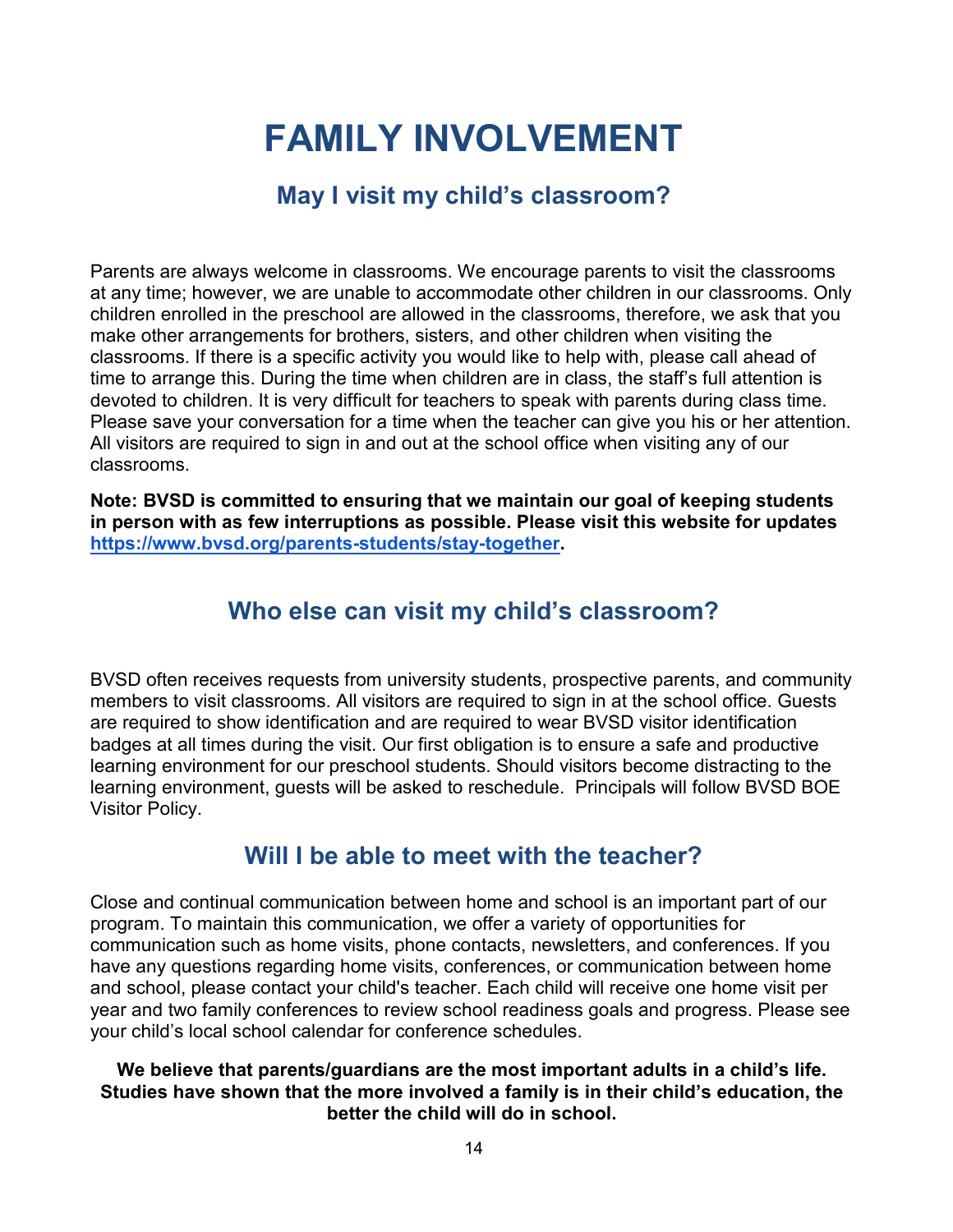## **FAMILY INVOLVEMENT**

## **May I visit my child's classroom?**

<span id="page-18-1"></span><span id="page-18-0"></span>Parents are always welcome in classrooms. We encourage parents to visit the classrooms at any time; however, we are unable to accommodate other children in our classrooms. Only children enrolled in the preschool are allowed in the classrooms, therefore, we ask that you make other arrangements for brothers, sisters, and other children when visiting the classrooms. If there is a specific activity you would like to help with, please call ahead of time to arrange this. During the time when children are in class, the staff's full attention is devoted to children. It is very difficult for teachers to speak with parents during class time. Please save your conversation for a time when the teacher can give you his or her attention. All visitors are required to sign in and out at the school office when visiting any of our classrooms.

<span id="page-18-2"></span>**Note: BVSD is committed to ensuring that we maintain our goal of keeping students in person with as few interruptions as possible. Please visit this website for updates [https://www.bvsd.org/parents-students/stay-together.](https://www.bvsd.org/parents-students/stay-together)** 

## **Who else can visit my child's classroom?**

BVSD often receives requests from university students, prospective parents, and community members to visit classrooms. All visitors are required to sign in at the school office. Guests are required to show identification and are required to wear BVSD visitor identification badges at all times during the visit. Our first obligation is to ensure a safe and productive learning environment for our preschool students. Should visitors become distracting to the learning environment, guests will be asked to reschedule. Principals will follow BVSD BOE Visitor Policy.

## **Will I be able to meet with the teacher?**

<span id="page-18-3"></span>Close and continual communication between home and school is an important part of our program. To maintain this communication, we offer a variety of opportunities for communication such as home visits, phone contacts, newsletters, and conferences. If you have any questions regarding home visits, conferences, or communication between home and school, please contact your child's teacher. Each child will receive one home visit per year and two family conferences to review school readiness goals and progress. Please see your child's local school calendar for conference schedules.

#### **We believe that parents/guardians are the most important adults in a child's life. Studies have shown that the more involved a family is in their child's education, the better the child will do in school.**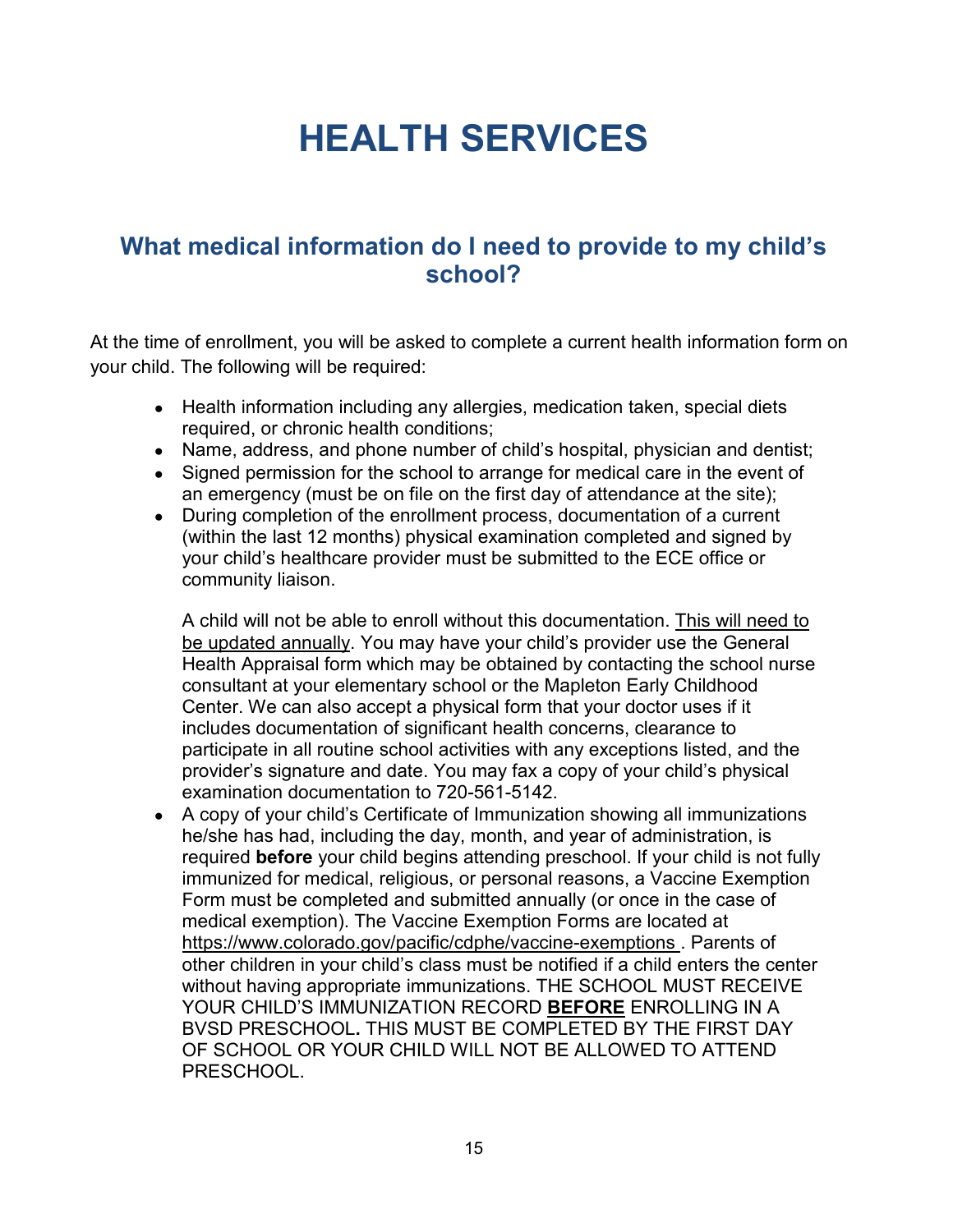## **HEALTH SERVICES**

## <span id="page-19-1"></span><span id="page-19-0"></span>**What medical information do I need to provide to my child's school?**

At the time of enrollment, you will be asked to complete a current health information form on your child. The following will be required:

- Health information including any allergies, medication taken, special diets required, or chronic health conditions;
- Name, address, and phone number of child's hospital, physician and dentist;
- Signed permission for the school to arrange for medical care in the event of an emergency (must be on file on the first day of attendance at the site);
- During completion of the enrollment process, documentation of a current (within the last 12 months) physical examination completed and signed by your child's healthcare provider must be submitted to the ECE office or community liaison.

A child will not be able to enroll without this documentation. This will need to be updated annually. You may have your child's provider use the General Health Appraisal form which may be obtained by contacting the school nurse consultant at your elementary school or the Mapleton Early Childhood Center. We can also accept a physical form that your doctor uses if it includes documentation of significant health concerns, clearance to participate in all routine school activities with any exceptions listed, and the provider's signature and date. You may fax a copy of your child's physical examination documentation to 720-561-5142.

• A copy of your child's Certificate of Immunization showing all immunizations he/she has had, including the day, month, and year of administration, is required **before** your child begins attending preschool. If your child is not fully immunized for medical, religious, or personal reasons, a Vaccine Exemption Form must be completed and submitted annually (or once in the case of medical exemption). The Vaccine Exemption Forms are located at [https://www.colorado.gov/pacific/cdphe/vaccine-exemptions .](https://www.colorado.gov/pacific/cdphe/vaccine-exemptions) Parents of other children in your child's class must be notified if a child enters the center without having appropriate immunizations. THE SCHOOL MUST RECEIVE YOUR CHILD'S IMMUNIZATION RECORD **BEFORE** ENROLLING IN A BVSD PRESCHOOL**.** THIS MUST BE COMPLETED BY THE FIRST DAY OF SCHOOL OR YOUR CHILD WILL NOT BE ALLOWED TO ATTEND PRESCHOOL.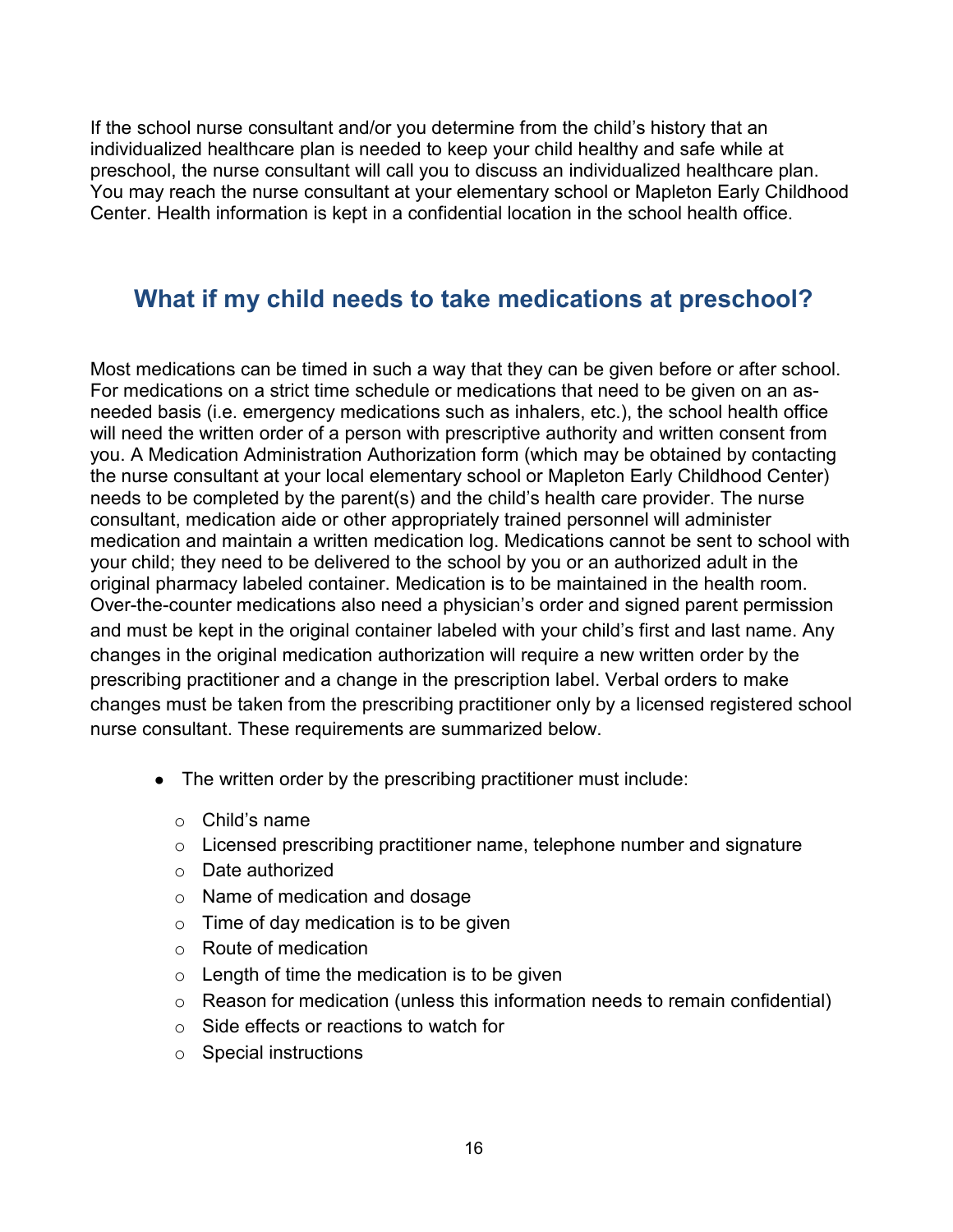If the school nurse consultant and/or you determine from the child's history that an individualized healthcare plan is needed to keep your child healthy and safe while at preschool, the nurse consultant will call you to discuss an individualized healthcare plan. You may reach the nurse consultant at your elementary school or Mapleton Early Childhood Center. Health information is kept in a confidential location in the school health office.

### <span id="page-20-0"></span>**What if my child needs to take medications at preschool?**

Most medications can be timed in such a way that they can be given before or after school. For medications on a strict time schedule or medications that need to be given on an asneeded basis (i.e. emergency medications such as inhalers, etc.), the school health office will need the written order of a person with prescriptive authority and written consent from you. A Medication Administration Authorization form (which may be obtained by contacting the nurse consultant at your local elementary school or Mapleton Early Childhood Center) needs to be completed by the parent(s) and the child's health care provider. The nurse consultant, medication aide or other appropriately trained personnel will administer medication and maintain a written medication log. Medications cannot be sent to school with your child; they need to be delivered to the school by you or an authorized adult in the original pharmacy labeled container. Medication is to be maintained in the health room. Over-the-counter medications also need a physician's order and signed parent permission and must be kept in the original container labeled with your child's first and last name. Any changes in the original medication authorization will require a new written order by the prescribing practitioner and a change in the prescription label. Verbal orders to make changes must be taken from the prescribing practitioner only by a licensed registered school nurse consultant. These requirements are summarized below.

- The written order by the prescribing practitioner must include:
	- $\circ$  Child's name
	- o Licensed prescribing practitioner name, telephone number and signature
	- o Date authorized
	- o Name of medication and dosage
	- $\circ$  Time of day medication is to be given
	- o Route of medication
	- $\circ$  Length of time the medication is to be given
	- o Reason for medication (unless this information needs to remain confidential)
	- o Side effects or reactions to watch for
	- o Special instructions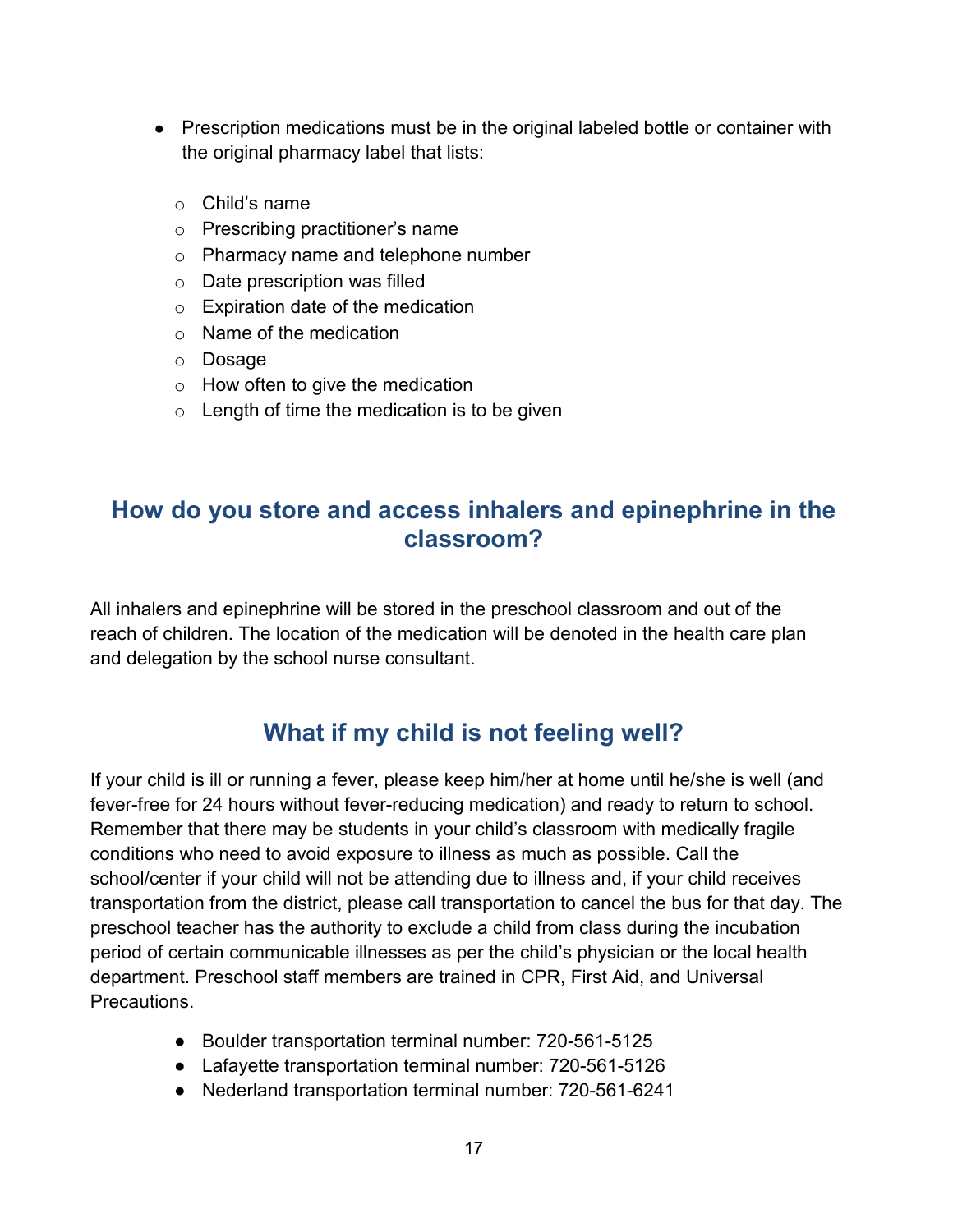- Prescription medications must be in the original labeled bottle or container with the original pharmacy label that lists:
	- o Child's name
	- o Prescribing practitioner's name
	- o Pharmacy name and telephone number
	- o Date prescription was filled
	- o Expiration date of the medication
	- $\circ$  Name of the medication
	- o Dosage
	- $\circ$  How often to give the medication
	- $\circ$  Length of time the medication is to be given

## <span id="page-21-0"></span>**How do you store and access inhalers and epinephrine in the classroom?**

All inhalers and epinephrine will be stored in the preschool classroom and out of the reach of children. The location of the medication will be denoted in the health care plan and delegation by the school nurse consultant.

## **What if my child is not feeling well?**

<span id="page-21-1"></span>If your child is ill or running a fever, please keep him/her at home until he/she is well (and fever-free for 24 hours without fever-reducing medication) and ready to return to school. Remember that there may be students in your child's classroom with medically fragile conditions who need to avoid exposure to illness as much as possible. Call the school/center if your child will not be attending due to illness and, if your child receives transportation from the district, please call transportation to cancel the bus for that day. The preschool teacher has the authority to exclude a child from class during the incubation period of certain communicable illnesses as per the child's physician or the local health department. Preschool staff members are trained in CPR, First Aid, and Universal **Precautions** 

- Boulder transportation terminal number: 720-561-5125
- Lafayette transportation terminal number: 720-561-5126
- Nederland transportation terminal number: 720-561-6241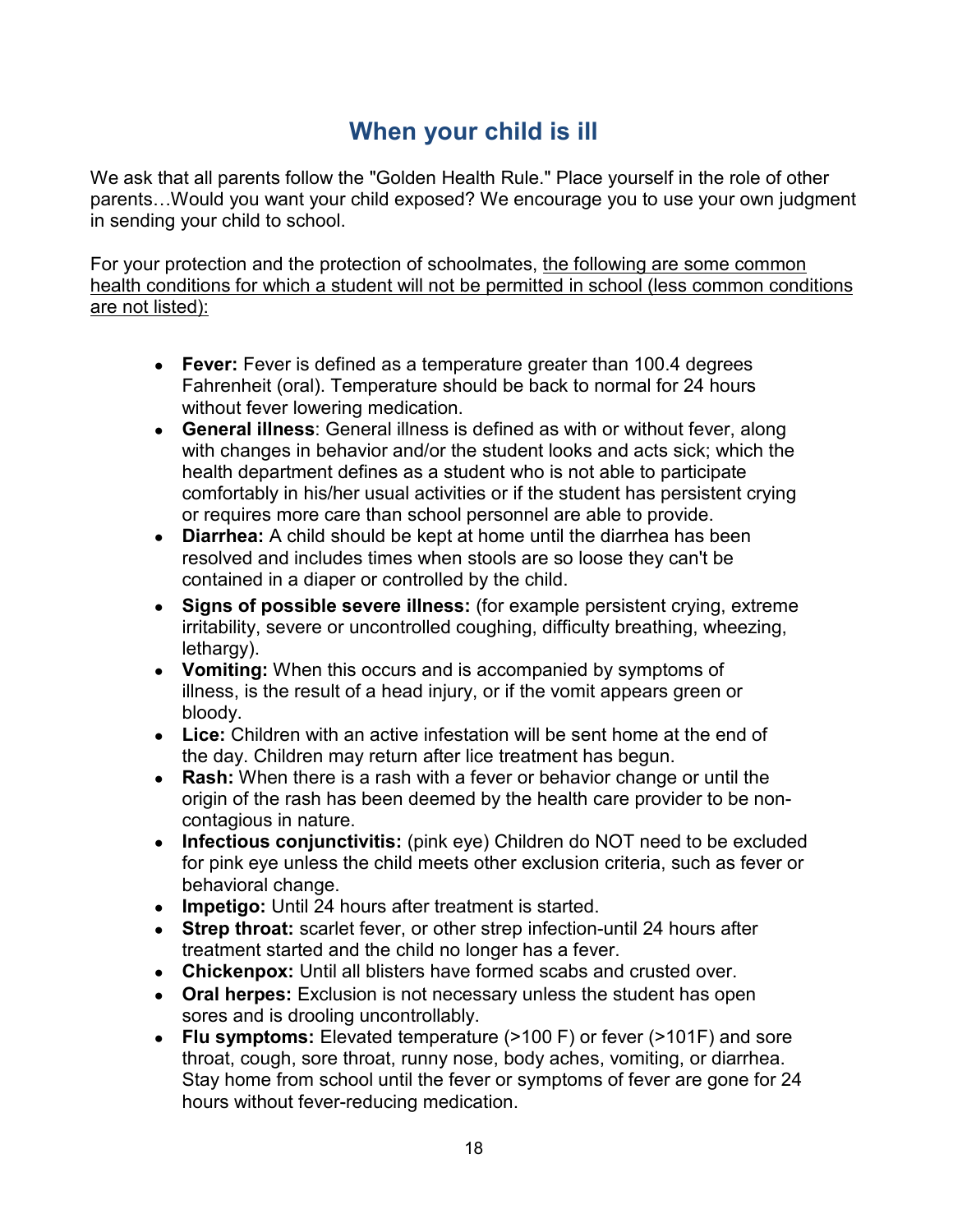## **When your child is ill**

<span id="page-22-0"></span>We ask that all parents follow the "Golden Health Rule." Place yourself in the role of other parents…Would you want your child exposed? We encourage you to use your own judgment in sending your child to school.

For your protection and the protection of schoolmates, the following are some common health conditions for which a student will not be permitted in school (less common conditions are not listed):

- **Fever:** Fever is defined as a temperature greater than 100.4 degrees Fahrenheit (oral). Temperature should be back to normal for 24 hours without fever lowering medication.
- **General illness**: General illness is defined as with or without fever, along with changes in behavior and/or the student looks and acts sick; which the health department defines as a student who is not able to participate comfortably in his/her usual activities or if the student has persistent crying or requires more care than school personnel are able to provide.
- **Diarrhea:** A child should be kept at home until the diarrhea has been resolved and includes times when stools are so loose they can't be contained in a diaper or controlled by the child.
- **Signs of possible severe illness:** (for example persistent crying, extreme irritability, severe or uncontrolled coughing, difficulty breathing, wheezing, lethargy).
- **Vomiting:** When this occurs and is accompanied by symptoms of illness, is the result of a head injury, or if the vomit appears green or bloody.
- **Lice:** Children with an active infestation will be sent home at the end of the day. Children may return after lice treatment has begun.
- **Rash:** When there is a rash with a fever or behavior change or until the origin of the rash has been deemed by the health care provider to be noncontagious in nature.
- **Infectious conjunctivitis:** (pink eye) Children do NOT need to be excluded for pink eye unless the child meets other exclusion criteria, such as fever or behavioral change.
- **Impetigo:** Until 24 hours after treatment is started.
- **Strep throat:** scarlet fever, or other strep infection-until 24 hours after treatment started and the child no longer has a fever.
- **Chickenpox:** Until all blisters have formed scabs and crusted over.
- **Oral herpes:** Exclusion is not necessary unless the student has open sores and is drooling uncontrollably.
- **Flu symptoms:** Elevated temperature (>100 F) or fever (>101F) and sore throat, cough, sore throat, runny nose, body aches, vomiting, or diarrhea. Stay home from school until the fever or symptoms of fever are gone for 24 hours without fever-reducing medication.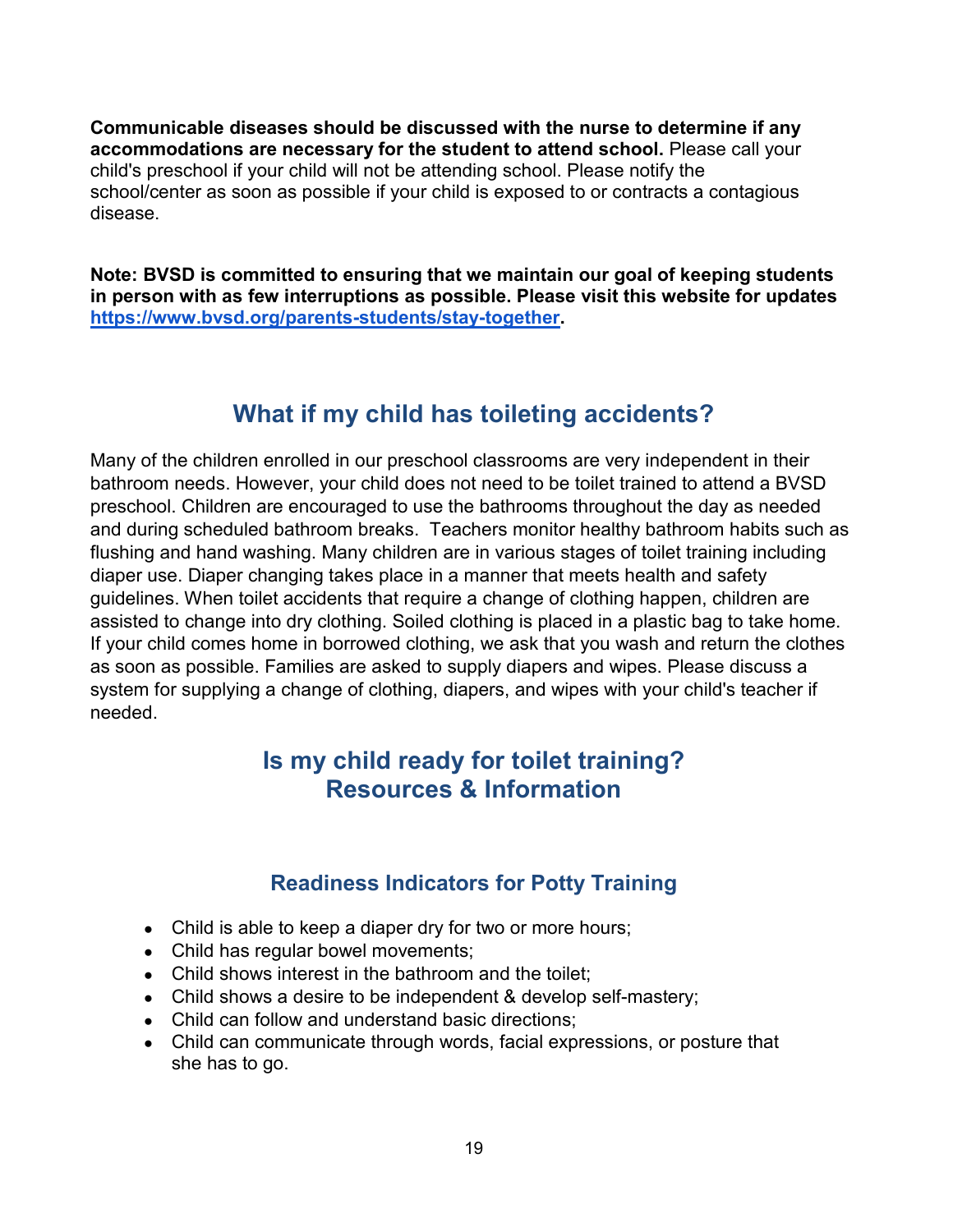**Communicable diseases should be discussed with the nurse to determine if any accommodations are necessary for the student to attend school.** Please call your child's preschool if your child will not be attending school. Please notify the school/center as soon as possible if your child is exposed to or contracts a contagious disease.

**Note: BVSD is committed to ensuring that we maintain our goal of keeping students in person with as few interruptions as possible. Please visit this website for updates [https://www.bvsd.org/parents-students/stay-together.](https://www.bvsd.org/parents-students/stay-together)** 

## **What if my child has toileting accidents?**

<span id="page-23-0"></span>Many of the children enrolled in our preschool classrooms are very independent in their bathroom needs. However, your child does not need to be toilet trained to attend a BVSD preschool. Children are encouraged to use the bathrooms throughout the day as needed and during scheduled bathroom breaks. Teachers monitor healthy bathroom habits such as flushing and hand washing. Many children are in various stages of toilet training including diaper use. Diaper changing takes place in a manner that meets health and safety guidelines. When toilet accidents that require a change of clothing happen, children are assisted to change into dry clothing. Soiled clothing is placed in a plastic bag to take home. If your child comes home in borrowed clothing, we ask that you wash and return the clothes as soon as possible. Families are asked to supply diapers and wipes. Please discuss a system for supplying a change of clothing, diapers, and wipes with your child's teacher if needed.

## <span id="page-23-1"></span>**Is my child ready for toilet training? Resources & Information**

### **Readiness Indicators for Potty Training**

- <span id="page-23-2"></span>• Child is able to keep a diaper dry for two or more hours;
- Child has regular bowel movements;
- Child shows interest in the bathroom and the toilet;
- Child shows a desire to be independent & develop self-mastery;
- Child can follow and understand basic directions;
- Child can communicate through words, facial expressions, or posture that she has to go.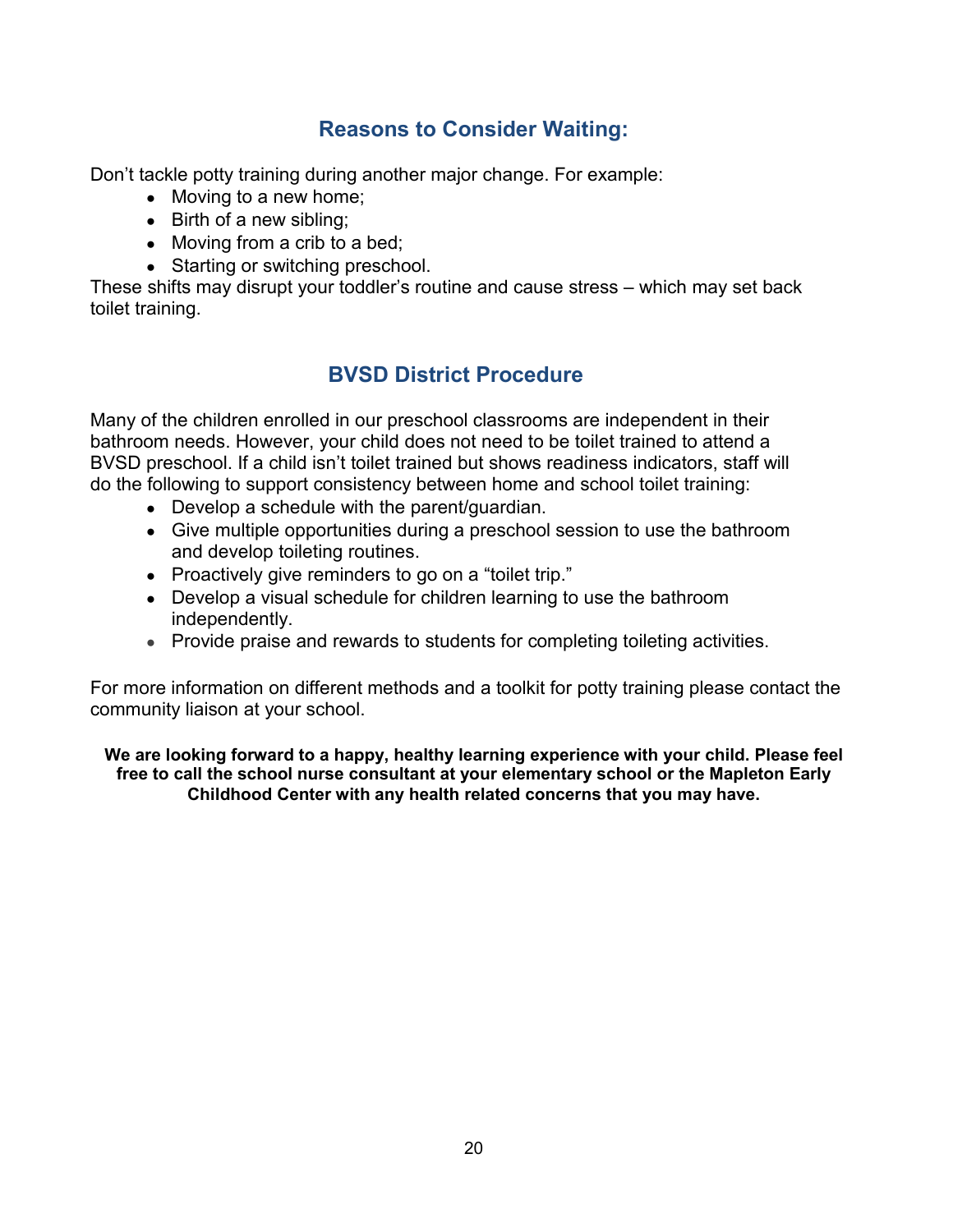### **Reasons to Consider Waiting:**

<span id="page-24-0"></span>Don't tackle potty training during another major change. For example:

- $\bullet$  Moving to a new home;
- $\bullet$  Birth of a new sibling;
- $\bullet$  Moving from a crib to a bed;
- Starting or switching preschool.

<span id="page-24-1"></span>These shifts may disrupt your toddler's routine and cause stress – which may set back toilet training.

### **BVSD District Procedure**

Many of the children enrolled in our preschool classrooms are independent in their bathroom needs. However, your child does not need to be toilet trained to attend a BVSD preschool. If a child isn't toilet trained but shows readiness indicators, staff will do the following to support consistency between home and school toilet training:

- Develop a schedule with the parent/quardian.
- Give multiple opportunities during a preschool session to use the bathroom and develop toileting routines.
- Proactively give reminders to go on a "toilet trip."
- Develop a visual schedule for children learning to use the bathroom independently.
- Provide praise and rewards to students for completing toileting activities.

For more information on different methods and a toolkit for potty training please contact the community liaison at your school.

**We are looking forward to a happy, healthy learning experience with your child. Please feel free to call the school nurse consultant at your elementary school or the Mapleton Early Childhood Center with any health related concerns that you may have.**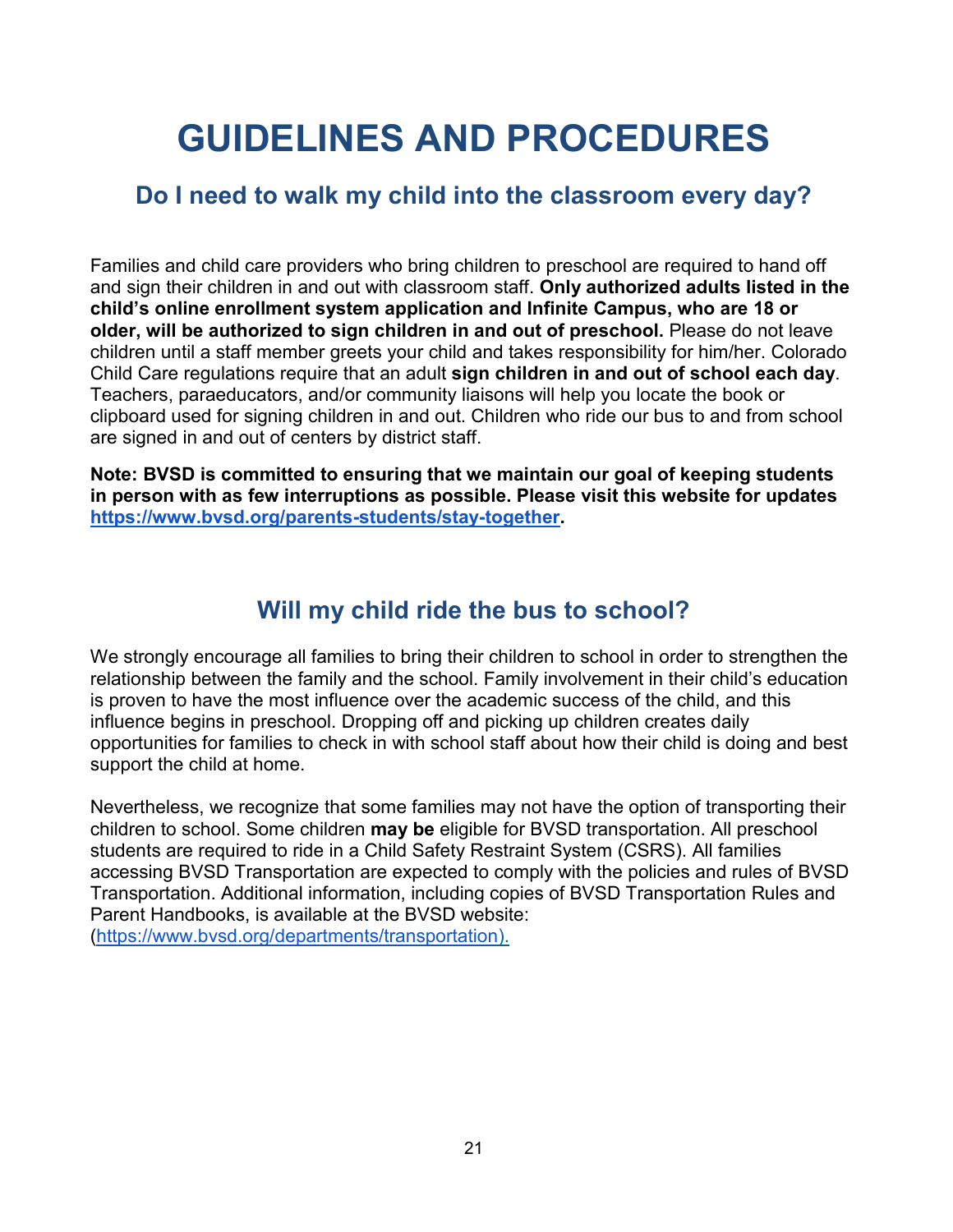## **GUIDELINES AND PROCEDURES**

## <span id="page-25-1"></span><span id="page-25-0"></span>**Do I need to walk my child into the classroom every day?**

Families and child care providers who bring children to preschool are required to hand off and sign their children in and out with classroom staff. **Only authorized adults listed in the child's online enrollment system application and Infinite Campus, who are 18 or older, will be authorized to sign children in and out of preschool.** Please do not leave children until a staff member greets your child and takes responsibility for him/her. Colorado Child Care regulations require that an adult **sign children in and out of school each day**. Teachers, paraeducators, and/or community liaisons will help you locate the book or clipboard used for signing children in and out. Children who ride our bus to and from school are signed in and out of centers by district staff.

**Note: BVSD is committed to ensuring that we maintain our goal of keeping students in person with as few interruptions as possible. Please visit this website for updates [https://www.bvsd.org/parents-students/stay-together.](https://www.bvsd.org/parents-students/stay-together)** 

## **Will my child ride the bus to school?**

<span id="page-25-2"></span>We strongly encourage all families to bring their children to school in order to strengthen the relationship between the family and the school. Family involvement in their child's education is proven to have the most influence over the academic success of the child, and this influence begins in preschool. Dropping off and picking up children creates daily opportunities for families to check in with school staff about how their child is doing and best support the child at home.

Nevertheless, we recognize that some families may not have the option of transporting their children to school. Some children **may be** eligible for BVSD transportation. All preschool students are required to ride in a Child Safety Restraint System (CSRS). All families accessing BVSD Transportation are expected to comply with the policies and rules of BVSD Transportation. Additional information, including copies of BVSD Transportation Rules and Parent Handbooks, is available at the BVSD website: [\(https://www.bvsd.org/departments/transportation\).](https://www.bvsd.org/departments/transportation)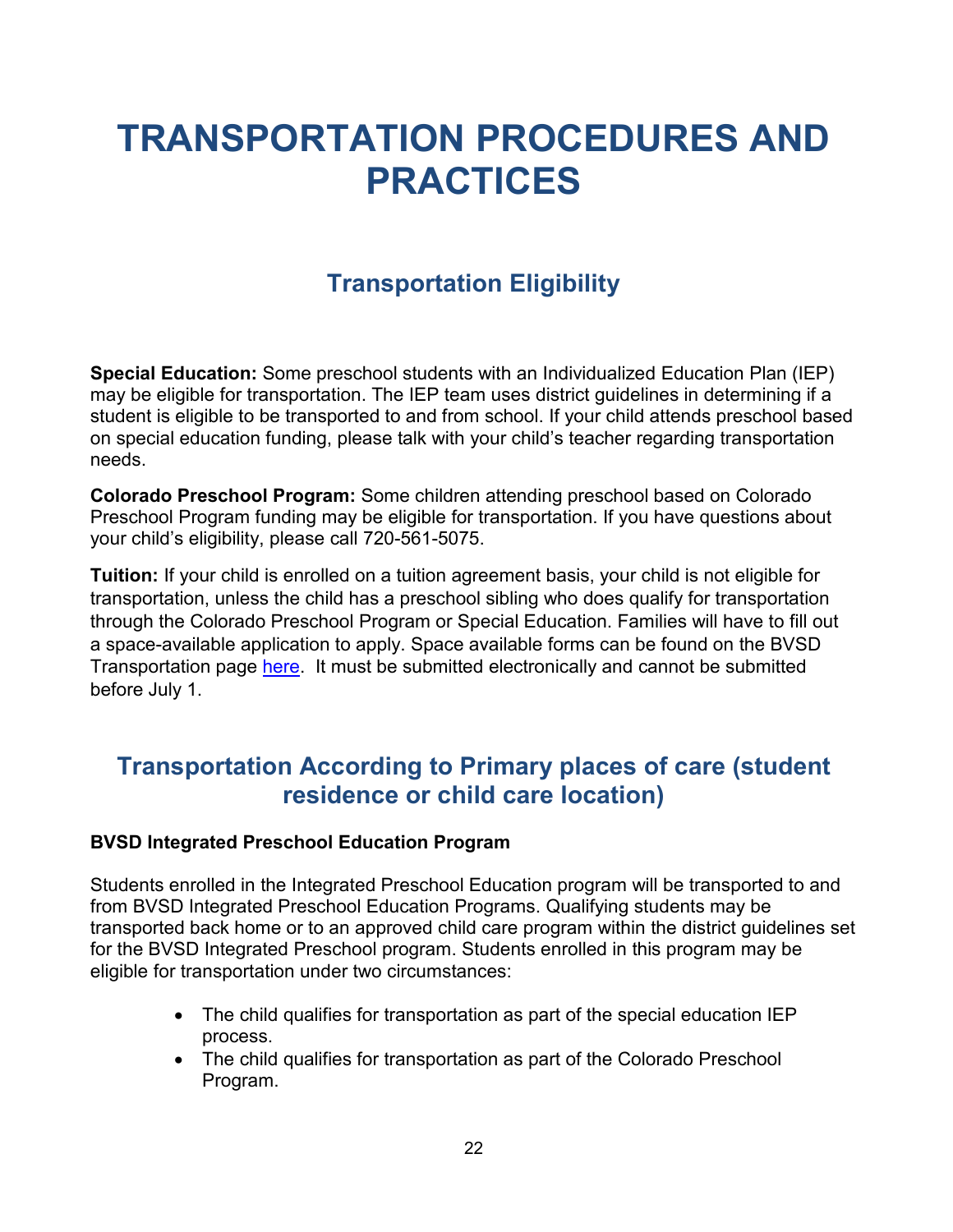## <span id="page-26-0"></span>**TRANSPORTATION PROCEDURES AND PRACTICES**

## **Transportation Eligibility**

<span id="page-26-1"></span>**Special Education:** Some preschool students with an Individualized Education Plan (IEP) may be eligible for transportation. The IEP team uses district guidelines in determining if a student is eligible to be transported to and from school. If your child attends preschool based on special education funding, please talk with your child's teacher regarding transportation needs.

**Colorado Preschool Program:** Some children attending preschool based on Colorado Preschool Program funding may be eligible for transportation. If you have questions about your child's eligibility, please call 720-561-5075.

**Tuition:** If your child is enrolled on a tuition agreement basis, your child is not eligible for transportation, unless the child has a preschool sibling who does qualify for transportation through the Colorado Preschool Program or Special Education. Families will have to fill out a space-available application to apply. Space available forms can be found on the BVSD Transportation page [here.](https://www.bvsd.org/departments/transportation) It must be submitted electronically and cannot be submitted before July 1.

## <span id="page-26-2"></span>**Transportation According to Primary places of care (student residence or child care location)**

#### **BVSD Integrated Preschool Education Program**

Students enrolled in the Integrated Preschool Education program will be transported to and from BVSD Integrated Preschool Education Programs. Qualifying students may be transported back home or to an approved child care program within the district guidelines set for the BVSD Integrated Preschool program. Students enrolled in this program may be eligible for transportation under two circumstances:

- The child qualifies for transportation as part of the special education IEP process.
- The child qualifies for transportation as part of the Colorado Preschool Program.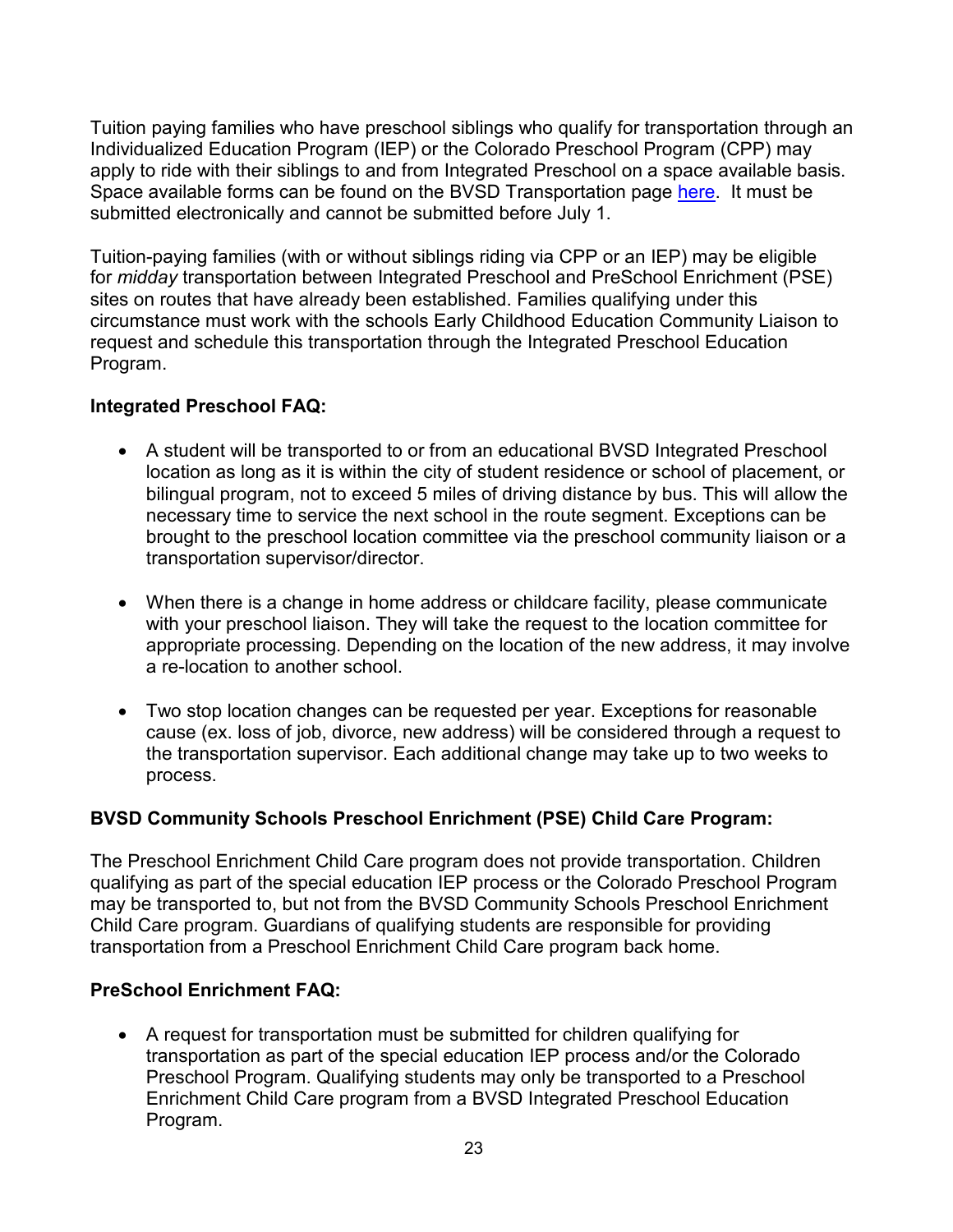Tuition paying families who have preschool siblings who qualify for transportation through an Individualized Education Program (IEP) or the Colorado Preschool Program (CPP) may apply to ride with their siblings to and from Integrated Preschool on a space available basis. Space available forms can be found on the BVSD Transportation page [here.](https://www.bvsd.org/departments/transportation/resources-for-our-riders) It must be submitted electronically and cannot be submitted before July 1.

Tuition-paying families (with or without siblings riding via CPP or an IEP) may be eligible for *midday* transportation between Integrated Preschool and PreSchool Enrichment (PSE) sites on routes that have already been established. Families qualifying under this circumstance must work with the schools Early Childhood Education Community Liaison to request and schedule this transportation through the Integrated Preschool Education Program.

#### **Integrated Preschool FAQ:**

- A student will be transported to or from an educational BVSD Integrated Preschool location as long as it is within the city of student residence or school of placement, or bilingual program, not to exceed 5 miles of driving distance by bus. This will allow the necessary time to service the next school in the route segment. Exceptions can be brought to the preschool location committee via the preschool community liaison or a transportation supervisor/director.
- When there is a change in home address or childcare facility, please communicate with your preschool liaison. They will take the request to the location committee for appropriate processing. Depending on the location of the new address, it may involve a re-location to another school.
- Two stop location changes can be requested per year. Exceptions for reasonable cause (ex. loss of job, divorce, new address) will be considered through a request to the transportation supervisor. Each additional change may take up to two weeks to process.

#### **BVSD Community Schools Preschool Enrichment (PSE) Child Care Program:**

The Preschool Enrichment Child Care program does not provide transportation. Children qualifying as part of the special education IEP process or the Colorado Preschool Program may be transported to, but not from the BVSD Community Schools Preschool Enrichment Child Care program. Guardians of qualifying students are responsible for providing transportation from a Preschool Enrichment Child Care program back home.

#### **PreSchool Enrichment FAQ:**

• A request for transportation must be submitted for children qualifying for transportation as part of the special education IEP process and/or the Colorado Preschool Program. Qualifying students may only be transported to a Preschool Enrichment Child Care program from a BVSD Integrated Preschool Education Program.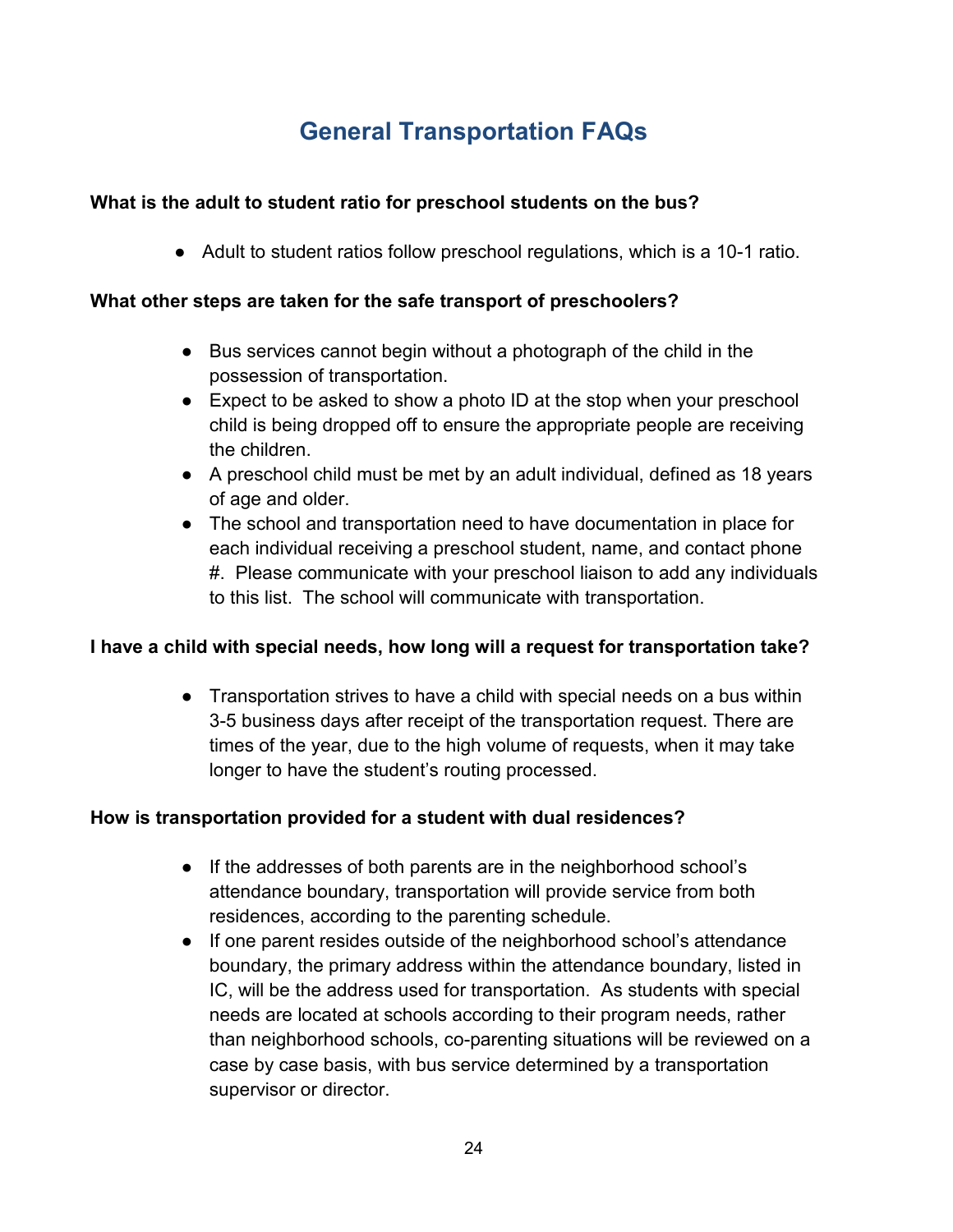## **General Transportation FAQs**

#### <span id="page-28-0"></span>**What is the adult to student ratio for preschool students on the bus?**

● Adult to student ratios follow preschool regulations, which is a 10-1 ratio.

#### **What other steps are taken for the safe transport of preschoolers?**

- Bus services cannot begin without a photograph of the child in the possession of transportation.
- Expect to be asked to show a photo ID at the stop when your preschool child is being dropped off to ensure the appropriate people are receiving the children.
- A preschool child must be met by an adult individual, defined as 18 years of age and older.
- The school and transportation need to have documentation in place for each individual receiving a preschool student, name, and contact phone #. Please communicate with your preschool liaison to add any individuals to this list. The school will communicate with transportation.

#### **I have a child with special needs, how long will a request for transportation take?**

● Transportation strives to have a child with special needs on a bus within 3-5 business days after receipt of the transportation request. There are times of the year, due to the high volume of requests, when it may take longer to have the student's routing processed.

#### **How is transportation provided for a student with dual residences?**

- If the addresses of both parents are in the neighborhood school's attendance boundary, transportation will provide service from both residences, according to the parenting schedule.
- If one parent resides outside of the neighborhood school's attendance boundary, the primary address within the attendance boundary, listed in IC, will be the address used for transportation. As students with special needs are located at schools according to their program needs, rather than neighborhood schools, co-parenting situations will be reviewed on a case by case basis, with bus service determined by a transportation supervisor or director.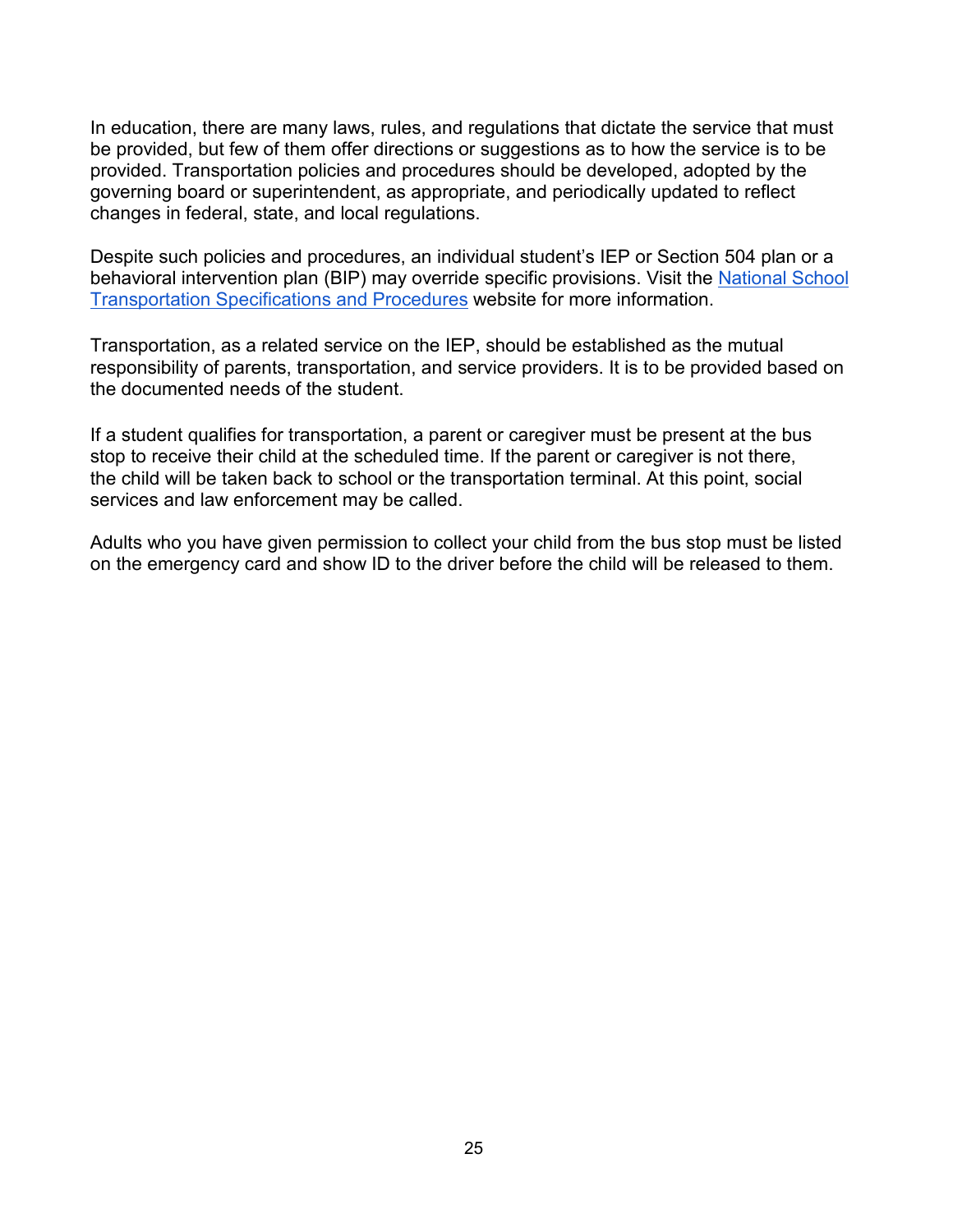In education, there are many laws, rules, and regulations that dictate the service that must be provided, but few of them offer directions or suggestions as to how the service is to be provided. Transportation policies and procedures should be developed, adopted by the governing board or superintendent, as appropriate, and periodically updated to reflect changes in federal, state, and local regulations.

Despite such policies and procedures, an individual student's IEP or Section 504 plan or a behavioral intervention plan (BIP) may override specific provisions. Visit the [National School](https://nasdpts.org/NSTSP-Documents)  [Transportation Specifications and Procedures](https://nasdpts.org/NSTSP-Documents) website for more information.

Transportation, as a related service on the IEP, should be established as the mutual responsibility of parents, transportation, and service providers. It is to be provided based on the documented needs of the student.

If a student qualifies for transportation, a parent or caregiver must be present at the bus stop to receive their child at the scheduled time. If the parent or caregiver is not there, the child will be taken back to school or the transportation terminal. At this point, social services and law enforcement may be called.

Adults who you have given permission to collect your child from the bus stop must be listed on the emergency card and show ID to the driver before the child will be released to them.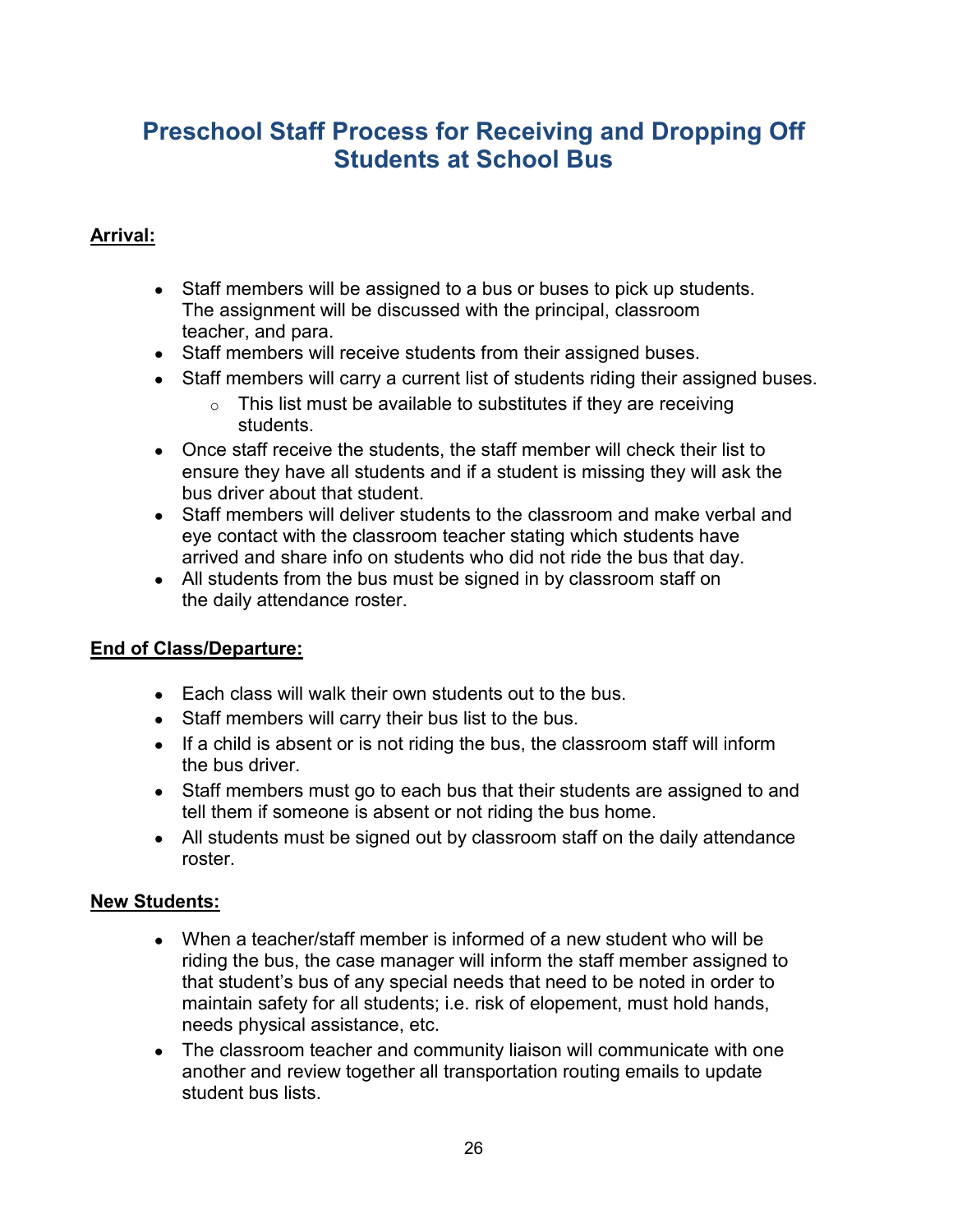## <span id="page-30-0"></span>**Preschool Staff Process for Receiving and Dropping Off Students at School Bus**

#### **Arrival:**

- Staff members will be assigned to a bus or buses to pick up students. The assignment will be discussed with the principal, classroom teacher, and para.
- Staff members will receive students from their assigned buses.
- Staff members will carry a current list of students riding their assigned buses.
	- $\circ$  This list must be available to substitutes if they are receiving students.
- Once staff receive the students, the staff member will check their list to ensure they have all students and if a student is missing they will ask the bus driver about that student.
- Staff members will deliver students to the classroom and make verbal and eye contact with the classroom teacher stating which students have arrived and share info on students who did not ride the bus that day.
- All students from the bus must be signed in by classroom staff on the daily attendance roster.

#### **End of Class/Departure:**

- Each class will walk their own students out to the bus.
- Staff members will carry their bus list to the bus.
- If a child is absent or is not riding the bus, the classroom staff will inform the bus driver.
- Staff members must go to each bus that their students are assigned to and tell them if someone is absent or not riding the bus home.
- All students must be signed out by classroom staff on the daily attendance roster.

#### **New Students:**

- When a teacher/staff member is informed of a new student who will be riding the bus, the case manager will inform the staff member assigned to that student's bus of any special needs that need to be noted in order to maintain safety for all students; i.e. risk of elopement, must hold hands, needs physical assistance, etc.
- The classroom teacher and community liaison will communicate with one another and review together all transportation routing emails to update student bus lists.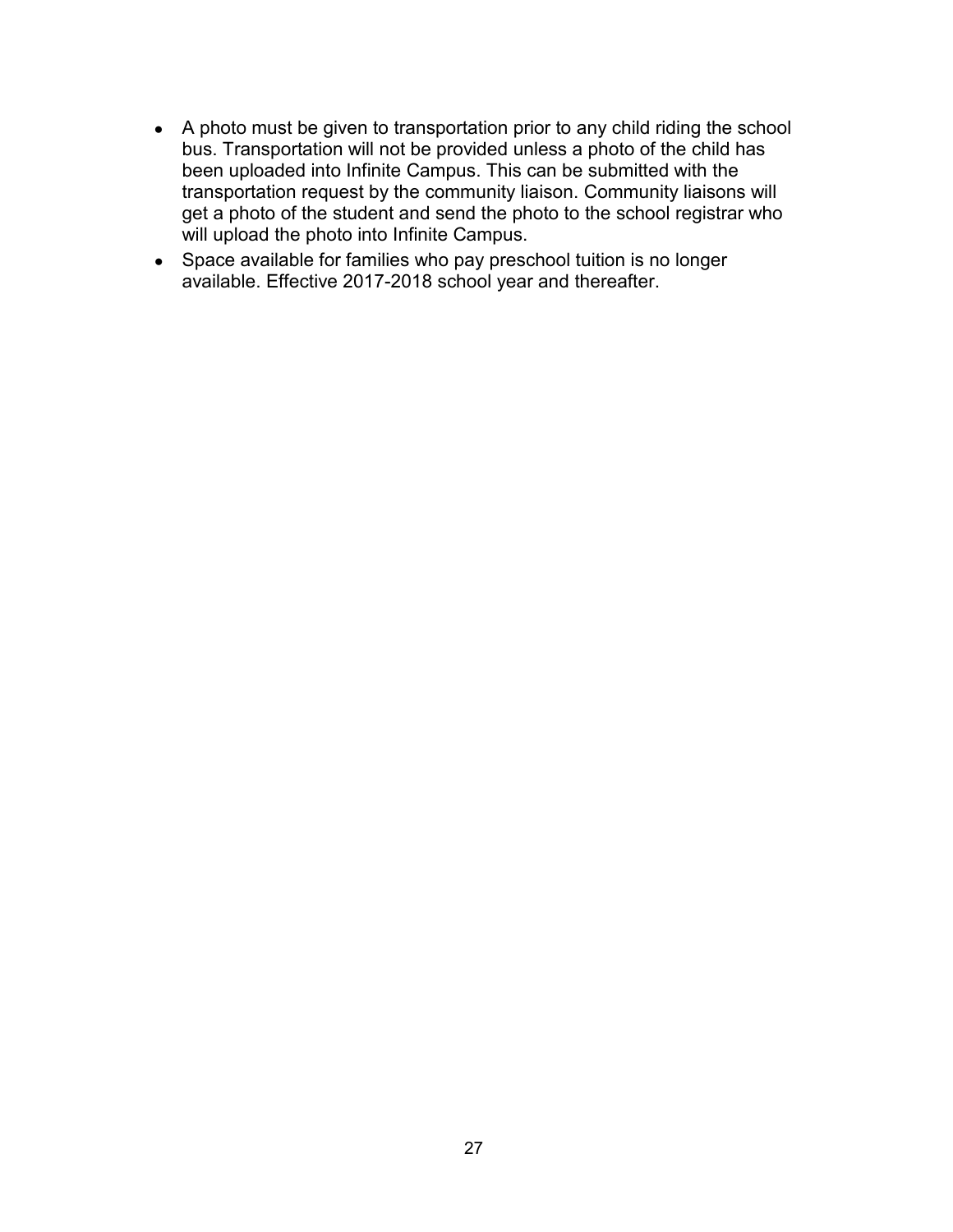- A photo must be given to transportation prior to any child riding the school bus. Transportation will not be provided unless a photo of the child has been uploaded into Infinite Campus. This can be submitted with the transportation request by the community liaison. Community liaisons will get a photo of the student and send the photo to the school registrar who will upload the photo into Infinite Campus.
- Space available for families who pay preschool tuition is no longer available. Effective 2017-2018 school year and thereafter.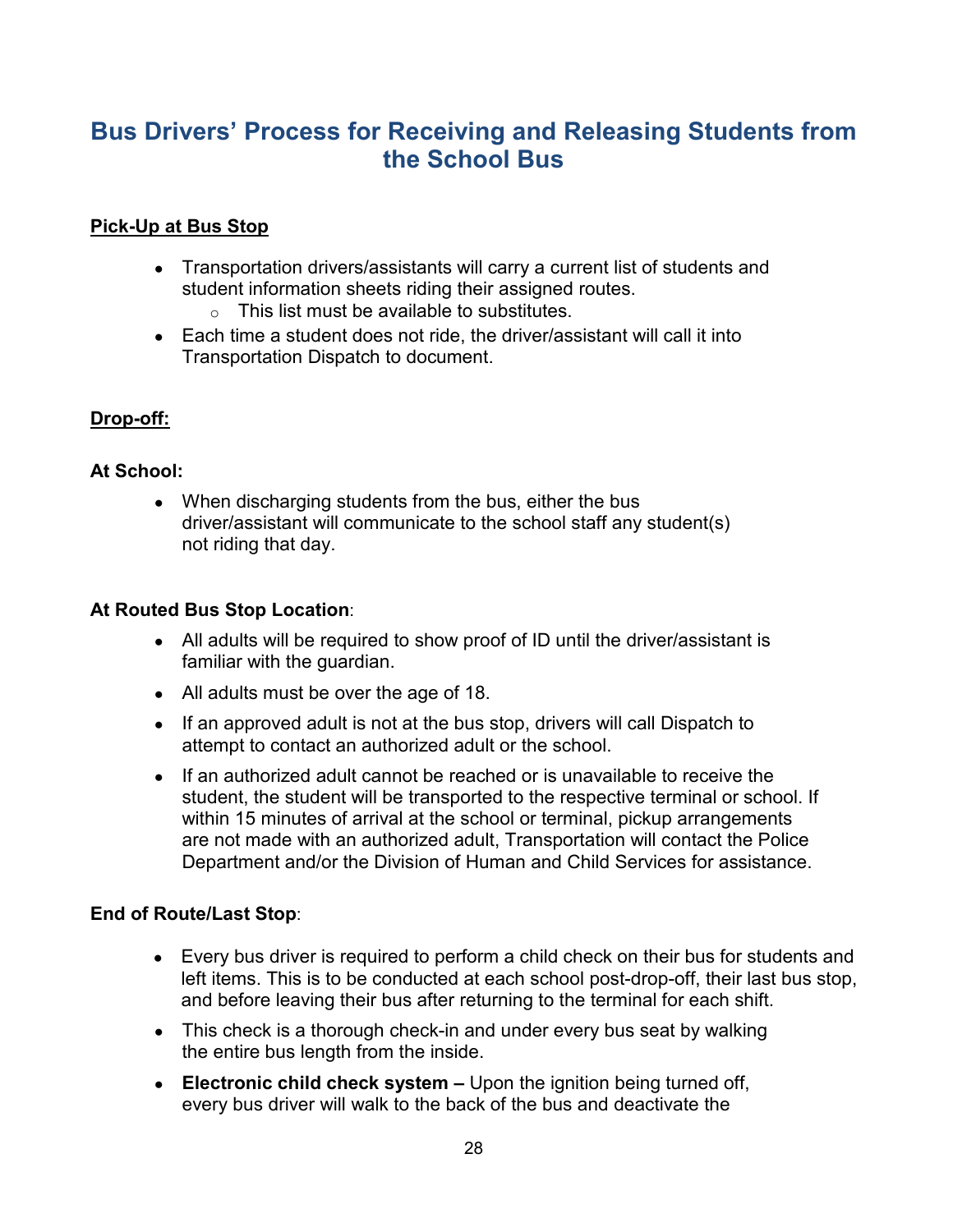## <span id="page-32-0"></span>**Bus Drivers' Process for Receiving and Releasing Students from the School Bus**

#### **Pick-Up at Bus Stop**

- Transportation drivers/assistants will carry a current list of students and student information sheets riding their assigned routes.
	- $\circ$  This list must be available to substitutes.
- Each time a student does not ride, the driver/assistant will call it into Transportation Dispatch to document.

#### **Drop-off:**

#### **At School:**

• When discharging students from the bus, either the bus driver/assistant will communicate to the school staff any student(s) not riding that day.

#### **At Routed Bus Stop Location**:

- All adults will be required to show proof of ID until the driver/assistant is familiar with the guardian.
- All adults must be over the age of 18.
- If an approved adult is not at the bus stop, drivers will call Dispatch to attempt to contact an authorized adult or the school.
- If an authorized adult cannot be reached or is unavailable to receive the student, the student will be transported to the respective terminal or school. If within 15 minutes of arrival at the school or terminal, pickup arrangements are not made with an authorized adult, Transportation will contact the Police Department and/or the Division of Human and Child Services for assistance.

#### **End of Route/Last Stop**:

- Every bus driver is required to perform a child check on their bus for students and left items. This is to be conducted at each school post-drop-off, their last bus stop, and before leaving their bus after returning to the terminal for each shift.
- This check is a thorough check-in and under every bus seat by walking the entire bus length from the inside.
- **Electronic child check system –** Upon the ignition being turned off, every bus driver will walk to the back of the bus and deactivate the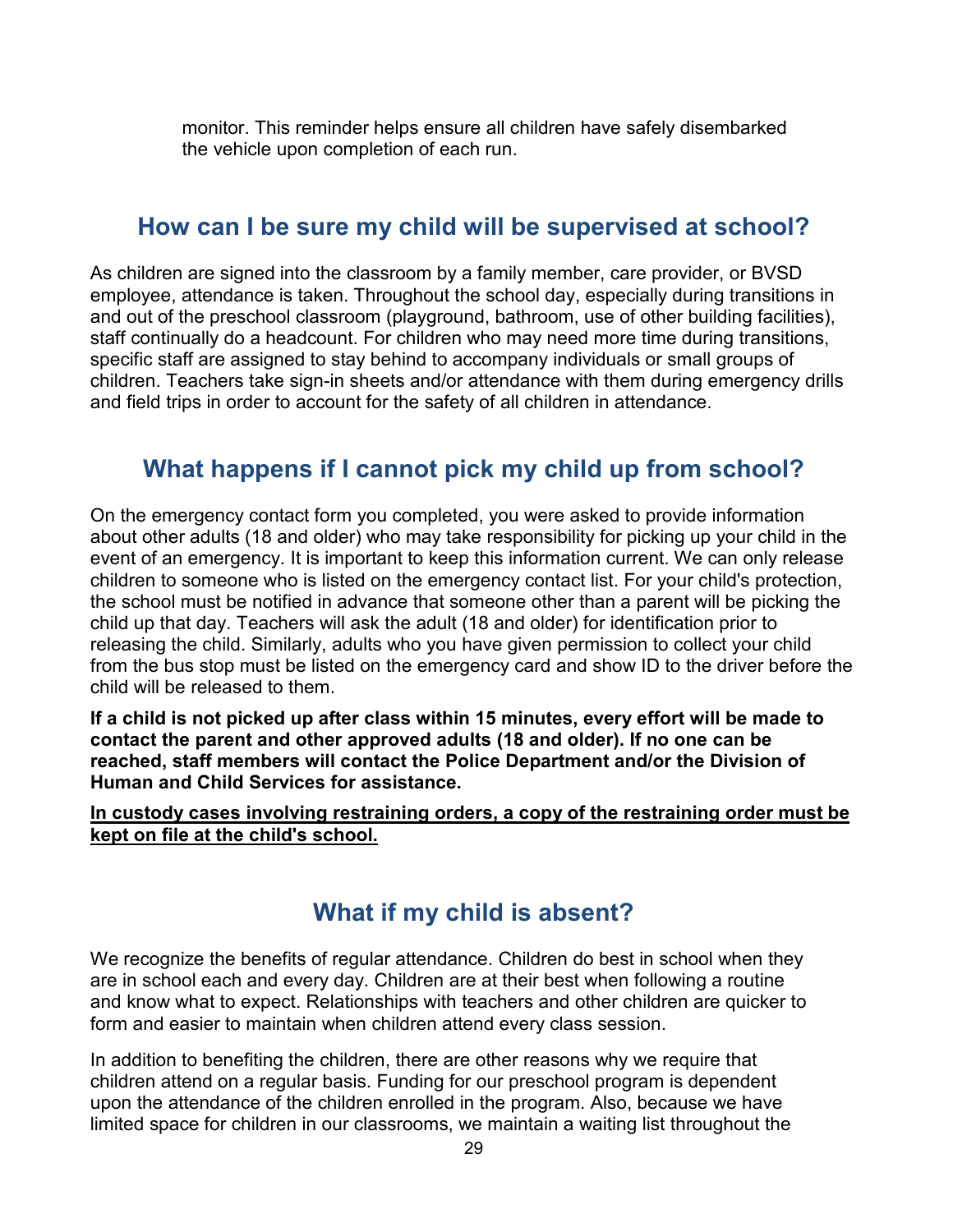monitor. This reminder helps ensure all children have safely disembarked the vehicle upon completion of each run.

### <span id="page-33-0"></span>**How can I be sure my child will be supervised at school?**

As children are signed into the classroom by a family member, care provider, or BVSD employee, attendance is taken. Throughout the school day, especially during transitions in and out of the preschool classroom (playground, bathroom, use of other building facilities), staff continually do a headcount. For children who may need more time during transitions, specific staff are assigned to stay behind to accompany individuals or small groups of children. Teachers take sign-in sheets and/or attendance with them during emergency drills and field trips in order to account for the safety of all children in attendance.

## <span id="page-33-1"></span>**What happens if I cannot pick my child up from school?**

On the emergency contact form you completed, you were asked to provide information about other adults (18 and older) who may take responsibility for picking up your child in the event of an emergency. It is important to keep this information current. We can only release children to someone who is listed on the emergency contact list. For your child's protection, the school must be notified in advance that someone other than a parent will be picking the child up that day. Teachers will ask the adult (18 and older) for identification prior to releasing the child. Similarly, adults who you have given permission to collect your child from the bus stop must be listed on the emergency card and show ID to the driver before the child will be released to them.

**If a child is not picked up after class within 15 minutes, every effort will be made to contact the parent and other approved adults (18 and older). If no one can be reached, staff members will contact the Police Department and/or the Division of Human and Child Services for assistance.** 

**In custody cases involving restraining orders, a copy of the restraining order must be kept on file at the child's school.**

## **What if my child is absent?**

<span id="page-33-2"></span>We recognize the benefits of regular attendance. Children do best in school when they are in school each and every day. Children are at their best when following a routine and know what to expect. Relationships with teachers and other children are quicker to form and easier to maintain when children attend every class session.

In addition to benefiting the children, there are other reasons why we require that children attend on a regular basis. Funding for our preschool program is dependent upon the attendance of the children enrolled in the program. Also, because we have limited space for children in our classrooms, we maintain a waiting list throughout the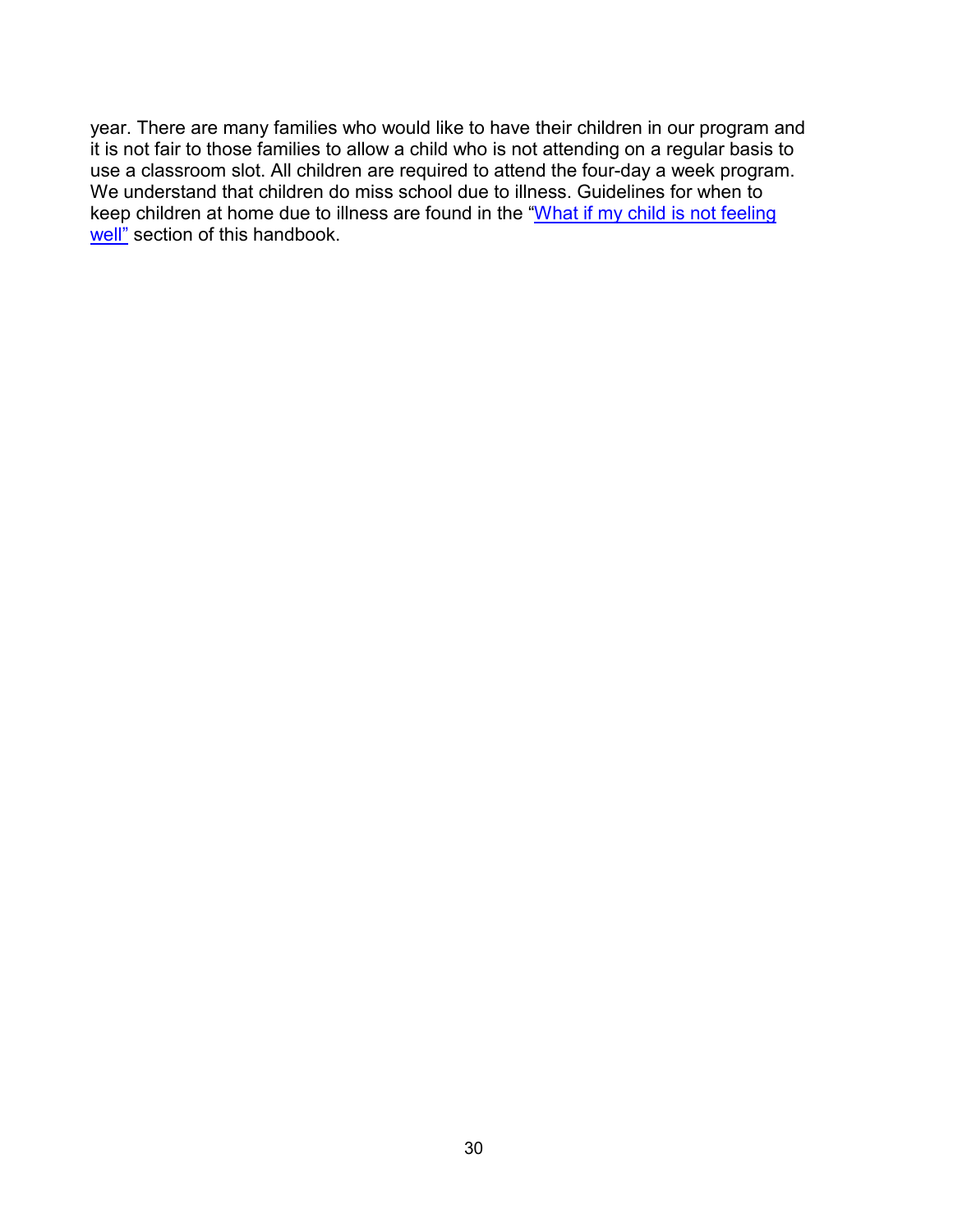year. There are many families who would like to have their children in our program and it is not fair to those families to allow a child who is not attending on a regular basis to use a classroom slot. All children are required to attend the four-day a week program. We understand that children do miss school due to illness. Guidelines for when to keep children at home due to illness are found in the ["What if my child is not feeling](#page-21-1)  [well"](#page-21-1) section of this handbook.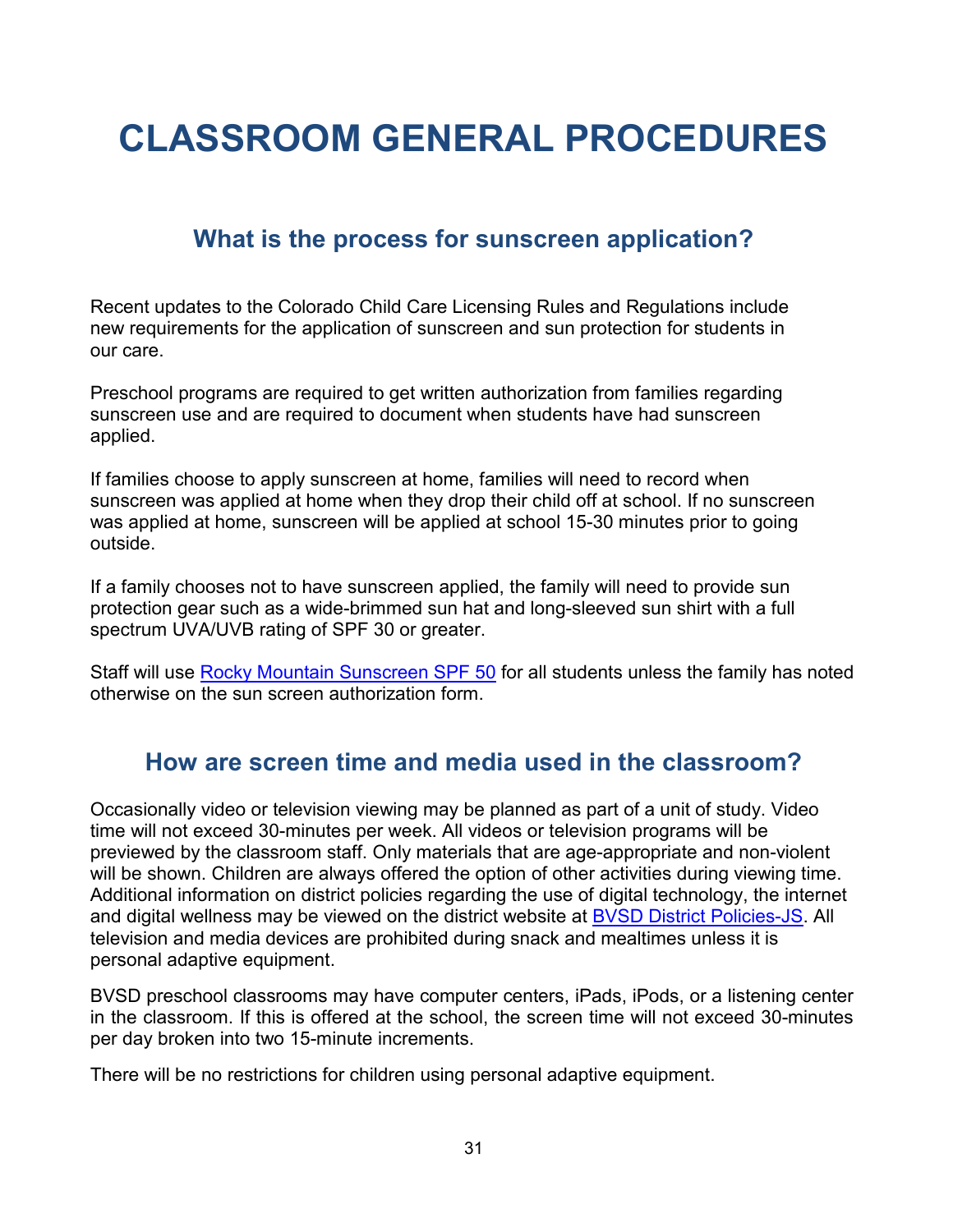## <span id="page-35-0"></span>**CLASSROOM GENERAL PROCEDURES**

## **What is the process for sunscreen application?**

<span id="page-35-1"></span>Recent updates to the Colorado Child Care Licensing Rules and Regulations include new requirements for the application of sunscreen and sun protection for students in our care.

Preschool programs are required to get written authorization from families regarding sunscreen use and are required to document when students have had sunscreen applied.

If families choose to apply sunscreen at home, families will need to record when sunscreen was applied at home when they drop their child off at school. If no sunscreen was applied at home, sunscreen will be applied at school 15-30 minutes prior to going outside.

If a family chooses not to have sunscreen applied, the family will need to provide sun protection gear such as a wide-brimmed sun hat and long-sleeved sun shirt with a full spectrum UVA/UVB rating of SPF 30 or greater.

Staff will use [Rocky Mountain Sunscreen SPF 50](https://drive.google.com/file/d/1At0vNwmT68J11zzfQpEYfwEEYHQ3i7mT/view?usp=sharing) for all students unless the family has noted otherwise on the sun screen authorization form.

## <span id="page-35-2"></span>**How are screen time and media used in the classroom?**

Occasionally video or television viewing may be planned as part of a unit of study. Video time will not exceed 30-minutes per week. All videos or television programs will be previewed by the classroom staff. Only materials that are age-appropriate and non-violent will be shown. Children are always offered the option of other activities during viewing time. Additional information on district policies regarding the use of digital technology, the internet and digital wellness may be viewed on the district website at [BVSD District Policies-JS.](https://www.bvsd.org/about/board-of-education/policies/policy/%7Eboard/j-policies/post/student-use-of-the-internet-and-electronic-communications) All television and media devices are prohibited during snack and mealtimes unless it is personal adaptive equipment.

BVSD preschool classrooms may have computer centers, iPads, iPods, or a listening center in the classroom. If this is offered at the school, the screen time will not exceed 30-minutes per day broken into two 15-minute increments.

There will be no restrictions for children using personal adaptive equipment.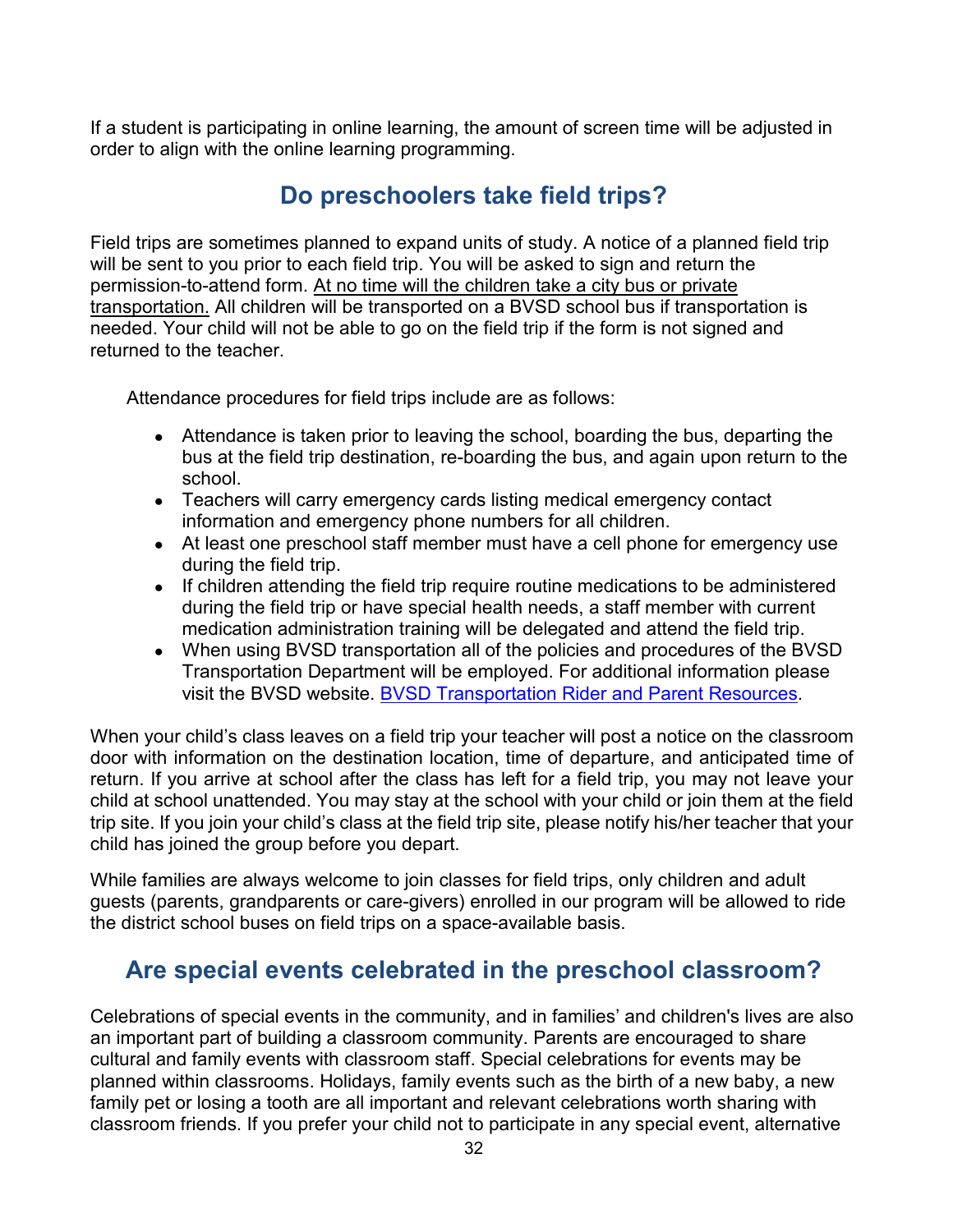<span id="page-36-0"></span>If a student is participating in online learning, the amount of screen time will be adjusted in order to align with the online learning programming.

## **Do preschoolers take field trips?**

Field trips are sometimes planned to expand units of study. A notice of a planned field trip will be sent to you prior to each field trip. You will be asked to sign and return the permission-to-attend form. At no time will the children take a city bus or private transportation. All children will be transported on a BVSD school bus if transportation is needed. Your child will not be able to go on the field trip if the form is not signed and returned to the teacher.

Attendance procedures for field trips include are as follows:

- Attendance is taken prior to leaving the school, boarding the bus, departing the bus at the field trip destination, re-boarding the bus, and again upon return to the school.
- Teachers will carry emergency cards listing medical emergency contact information and emergency phone numbers for all children.
- At least one preschool staff member must have a cell phone for emergency use during the field trip.
- If children attending the field trip require routine medications to be administered during the field trip or have special health needs, a staff member with current medication administration training will be delegated and attend the field trip.
- When using BVSD transportation all of the policies and procedures of the BVSD Transportation Department will be employed. For additional information please visit the BVSD website. [BVSD Transportation Rider and Parent Resources.](https://www.bvsd.org/departments/transportation/resources-for-our-riders)

When your child's class leaves on a field trip your teacher will post a notice on the classroom door with information on the destination location, time of departure, and anticipated time of return. If you arrive at school after the class has left for a field trip, you may not leave your child at school unattended. You may stay at the school with your child or join them at the field trip site. If you join your child's class at the field trip site, please notify his/her teacher that your child has joined the group before you depart.

While families are always welcome to join classes for field trips, only children and adult guests (parents, grandparents or care-givers) enrolled in our program will be allowed to ride the district school buses on field trips on a space-available basis.

## <span id="page-36-1"></span>**Are special events celebrated in the preschool classroom?**

Celebrations of special events in the community, and in families' and children's lives are also an important part of building a classroom community. Parents are encouraged to share cultural and family events with classroom staff. Special celebrations for events may be planned within classrooms. Holidays, family events such as the birth of a new baby, a new family pet or losing a tooth are all important and relevant celebrations worth sharing with classroom friends. If you prefer your child not to participate in any special event, alternative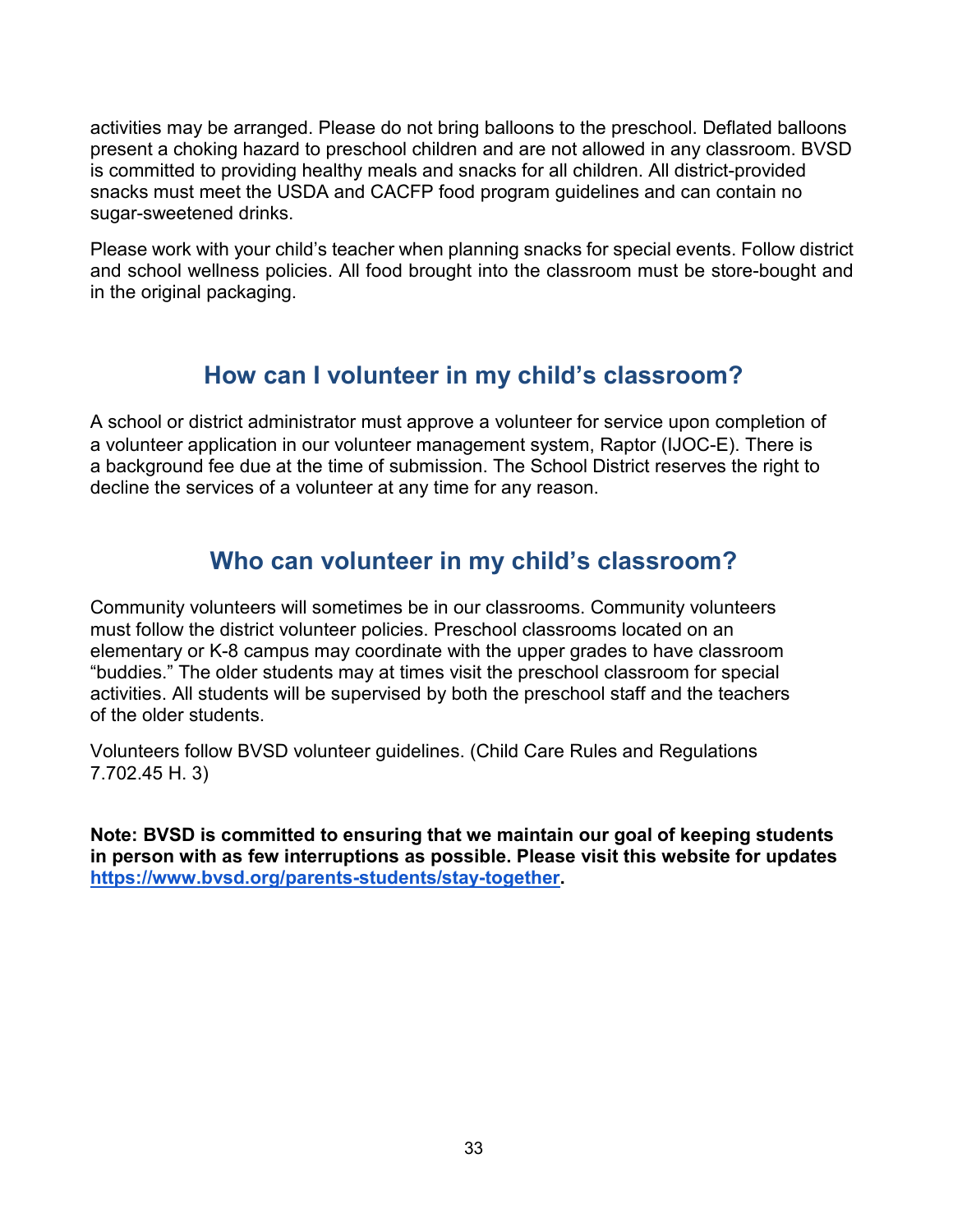activities may be arranged. Please do not bring balloons to the preschool. Deflated balloons present a choking hazard to preschool children and are not allowed in any classroom. BVSD is committed to providing healthy meals and snacks for all children. All district-provided snacks must meet the USDA and CACFP food program guidelines and can contain no sugar-sweetened drinks.

Please work with your child's teacher when planning snacks for special events. Follow district and school wellness policies. All food brought into the classroom must be store-bought and in the original packaging.

## **How can I volunteer in my child's classroom?**

<span id="page-37-0"></span>A school or district administrator must approve a volunteer for service upon completion of a volunteer application in our volunteer management system, Raptor (IJOC-E). There is a background fee due at the time of submission. The School District reserves the right to decline the services of a volunteer at any time for any reason.

## **Who can volunteer in my child's classroom?**

<span id="page-37-1"></span>Community volunteers will sometimes be in our classrooms. Community volunteers must follow the district volunteer policies. Preschool classrooms located on an elementary or K-8 campus may coordinate with the upper grades to have classroom "buddies." The older students may at times visit the preschool classroom for special activities. All students will be supervised by both the preschool staff and the teachers of the older students.

Volunteers follow BVSD volunteer guidelines. (Child Care Rules and Regulations 7.702.45 H. 3)

**Note: BVSD is committed to ensuring that we maintain our goal of keeping students in person with as few interruptions as possible. Please visit this website for updates [https://www.bvsd.org/parents-students/stay-together.](https://www.bvsd.org/parents-students/stay-together)**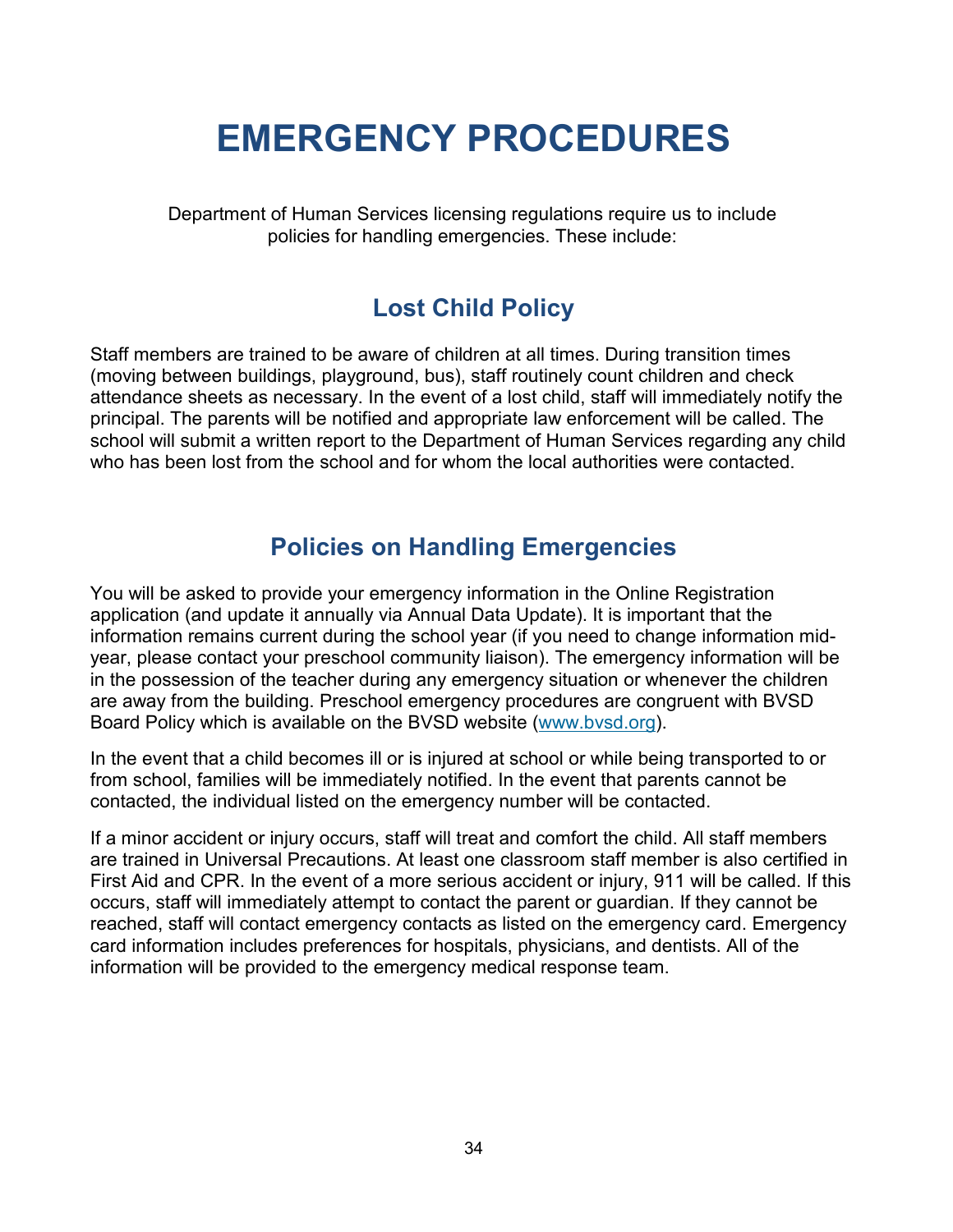## **EMERGENCY PROCEDURES**

<span id="page-38-0"></span>Department of Human Services licensing regulations require us to include policies for handling emergencies. These include:

## **Lost Child Policy**

<span id="page-38-1"></span>Staff members are trained to be aware of children at all times. During transition times (moving between buildings, playground, bus), staff routinely count children and check attendance sheets as necessary. In the event of a lost child, staff will immediately notify the principal. The parents will be notified and appropriate law enforcement will be called. The school will submit a written report to the Department of Human Services regarding any child who has been lost from the school and for whom the local authorities were contacted.

## **Policies on Handling Emergencies**

<span id="page-38-2"></span>You will be asked to provide your emergency information in the Online Registration application (and update it annually via Annual Data Update). It is important that the information remains current during the school year (if you need to change information midyear, please contact your preschool community liaison). The emergency information will be in the possession of the teacher during any emergency situation or whenever the children are away from the building. Preschool emergency procedures are congruent with BVSD Board Policy which is available on the BVSD website [\(www.bvsd.org\)](http://www.bvsd.org/).

In the event that a child becomes ill or is injured at school or while being transported to or from school, families will be immediately notified. In the event that parents cannot be contacted, the individual listed on the emergency number will be contacted.

If a minor accident or injury occurs, staff will treat and comfort the child. All staff members are trained in Universal Precautions. At least one classroom staff member is also certified in First Aid and CPR. In the event of a more serious accident or injury, 911 will be called. If this occurs, staff will immediately attempt to contact the parent or guardian. If they cannot be reached, staff will contact emergency contacts as listed on the emergency card. Emergency card information includes preferences for hospitals, physicians, and dentists. All of the information will be provided to the emergency medical response team.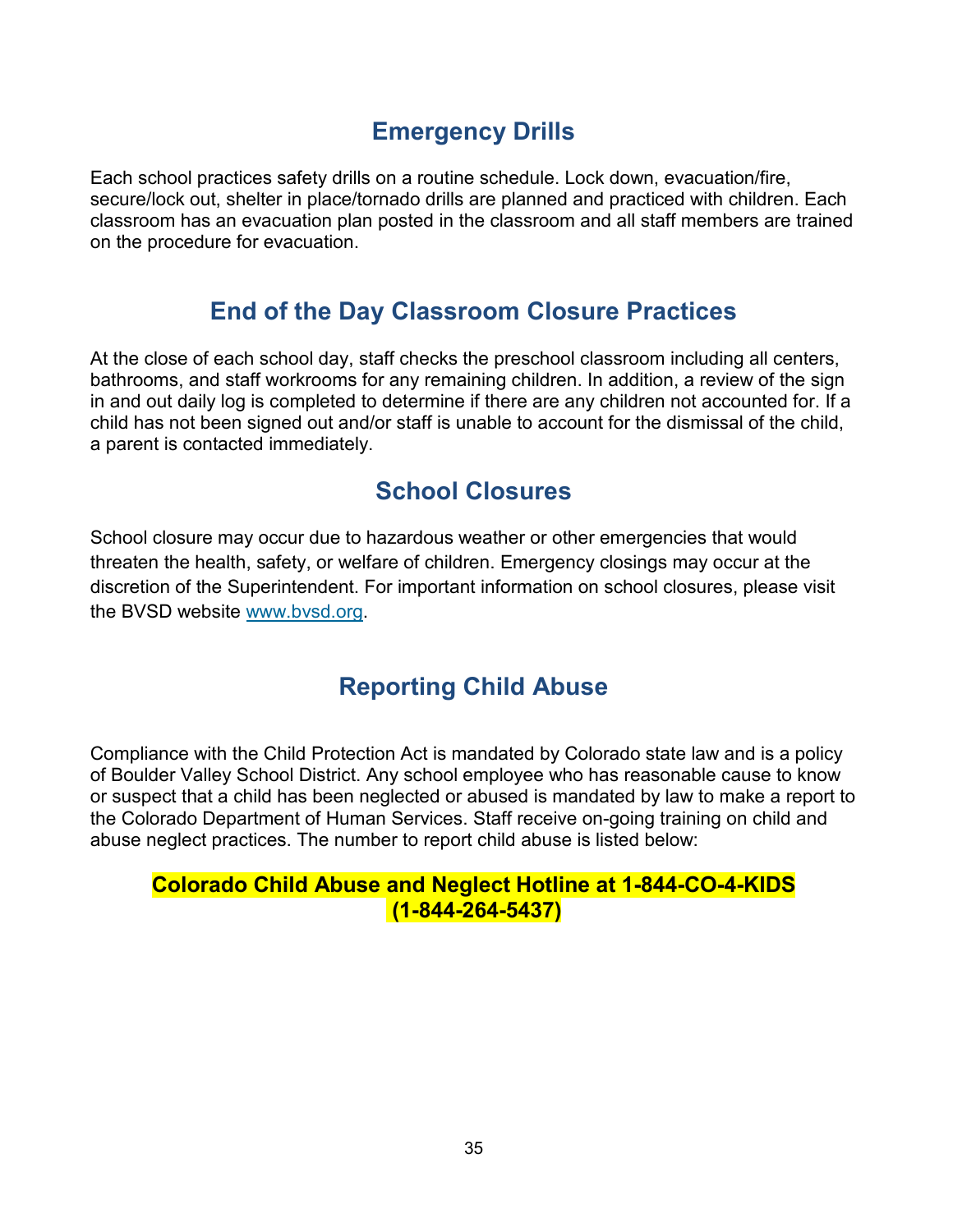## **Emergency Drills**

<span id="page-39-0"></span>Each school practices safety drills on a routine schedule. Lock down, evacuation/fire, secure/lock out, shelter in place/tornado drills are planned and practiced with children. Each classroom has an evacuation plan posted in the classroom and all staff members are trained on the procedure for evacuation.

## **End of the Day Classroom Closure Practices**

<span id="page-39-1"></span>At the close of each school day, staff checks the preschool classroom including all centers, bathrooms, and staff workrooms for any remaining children. In addition, a review of the sign in and out daily log is completed to determine if there are any children not accounted for. If a child has not been signed out and/or staff is unable to account for the dismissal of the child, a parent is contacted immediately.

## **School Closures**

<span id="page-39-2"></span>School closure may occur due to hazardous weather or other emergencies that would threaten the health, safety, or welfare of children. Emergency closings may occur at the discretion of the Superintendent. For important information on school closures, please visit the BVSD website [www.bvsd.org.](http://www.bvsd.org/)

## **Reporting Child Abuse**

<span id="page-39-3"></span>Compliance with the Child Protection Act is mandated by Colorado state law and is a policy of Boulder Valley School District. Any school employee who has reasonable cause to know or suspect that a child has been neglected or abused is mandated by law to make a report to the Colorado Department of Human Services. Staff receive on-going training on child and abuse neglect practices. The number to report child abuse is listed below:

### **Colorado Child Abuse and Neglect Hotline at 1-844-CO-4-KIDS (1-844-264-5437)**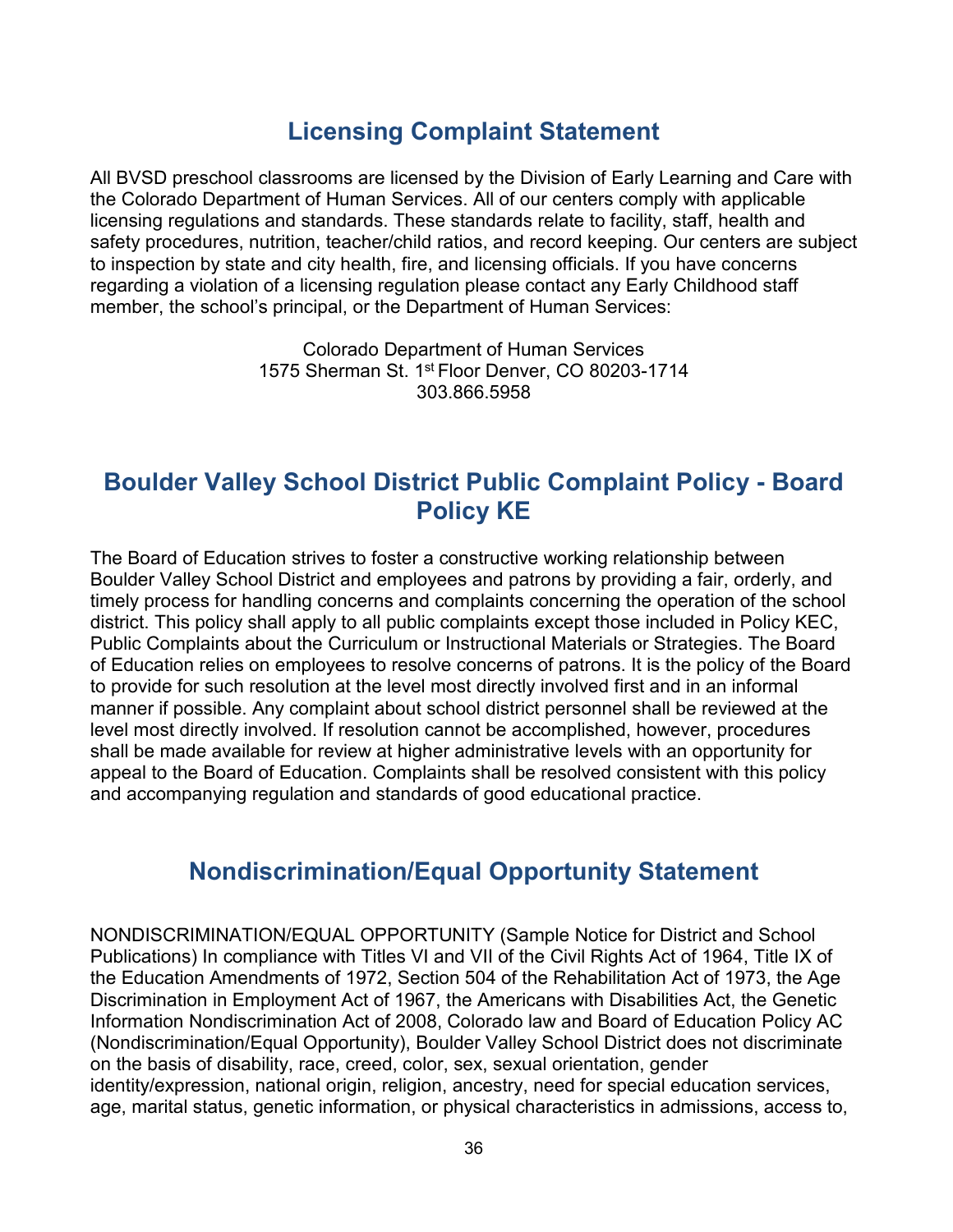## **Licensing Complaint Statement**

<span id="page-40-0"></span>All BVSD preschool classrooms are licensed by the Division of Early Learning and Care with the Colorado Department of Human Services. All of our centers comply with applicable licensing regulations and standards. These standards relate to facility, staff, health and safety procedures, nutrition, teacher/child ratios, and record keeping. Our centers are subject to inspection by state and city health, fire, and licensing officials. If you have concerns regarding a violation of a licensing regulation please contact any Early Childhood staff member, the school's principal, or the Department of Human Services:

> Colorado Department of Human Services 1575 Sherman St. 1st Floor Denver, CO 80203-1714 303.866.5958

## <span id="page-40-1"></span>**Boulder Valley School District Public Complaint Policy - Board Policy KE**

The Board of Education strives to foster a constructive working relationship between Boulder Valley School District and employees and patrons by providing a fair, orderly, and timely process for handling concerns and complaints concerning the operation of the school district. This policy shall apply to all public complaints except those included in Policy KEC, Public Complaints about the Curriculum or Instructional Materials or Strategies. The Board of Education relies on employees to resolve concerns of patrons. It is the policy of the Board to provide for such resolution at the level most directly involved first and in an informal manner if possible. Any complaint about school district personnel shall be reviewed at the level most directly involved. If resolution cannot be accomplished, however, procedures shall be made available for review at higher administrative levels with an opportunity for appeal to the Board of Education. Complaints shall be resolved consistent with this policy and accompanying regulation and standards of good educational practice.

## **Nondiscrimination/Equal Opportunity Statement**

<span id="page-40-2"></span>NONDISCRIMINATION/EQUAL OPPORTUNITY (Sample Notice for District and School Publications) In compliance with Titles VI and VII of the Civil Rights Act of 1964, Title IX of the Education Amendments of 1972, Section 504 of the Rehabilitation Act of 1973, the Age Discrimination in Employment Act of 1967, the Americans with Disabilities Act, the Genetic Information Nondiscrimination Act of 2008, Colorado law and Board of Education Policy AC (Nondiscrimination/Equal Opportunity), Boulder Valley School District does not discriminate on the basis of disability, race, creed, color, sex, sexual orientation, gender identity/expression, national origin, religion, ancestry, need for special education services, age, marital status, genetic information, or physical characteristics in admissions, access to,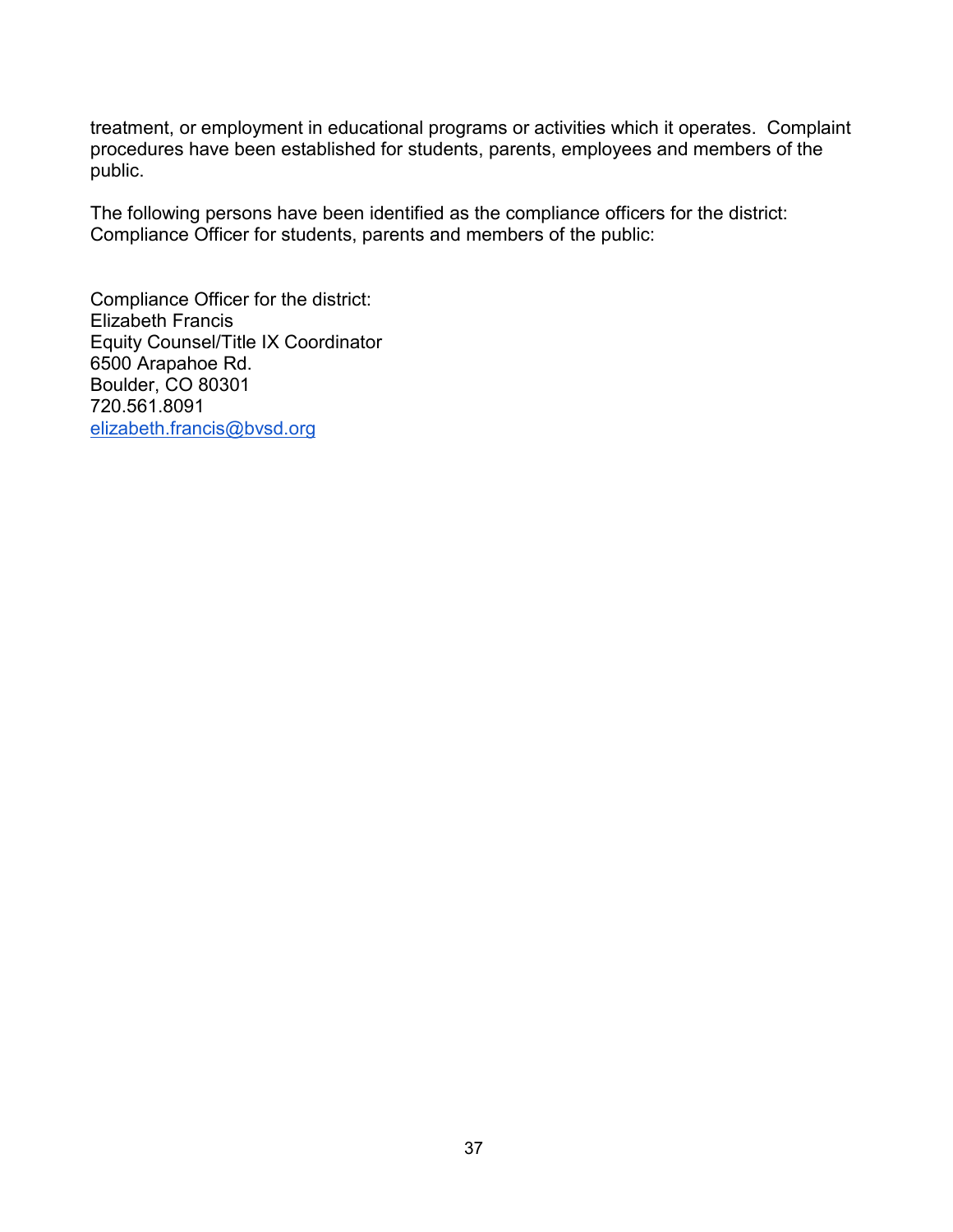treatment, or employment in educational programs or activities which it operates. Complaint procedures have been established for students, parents, employees and members of the public.

The following persons have been identified as the compliance officers for the district: Compliance Officer for students, parents and members of the public:

Compliance Officer for the district: Elizabeth Francis Equity Counsel/Title IX Coordinator 6500 Arapahoe Rd. Boulder, CO 80301 720.561.8091 [elizabeth.francis@bvsd.org](mailto:elizabeth.francis@bvsd.org)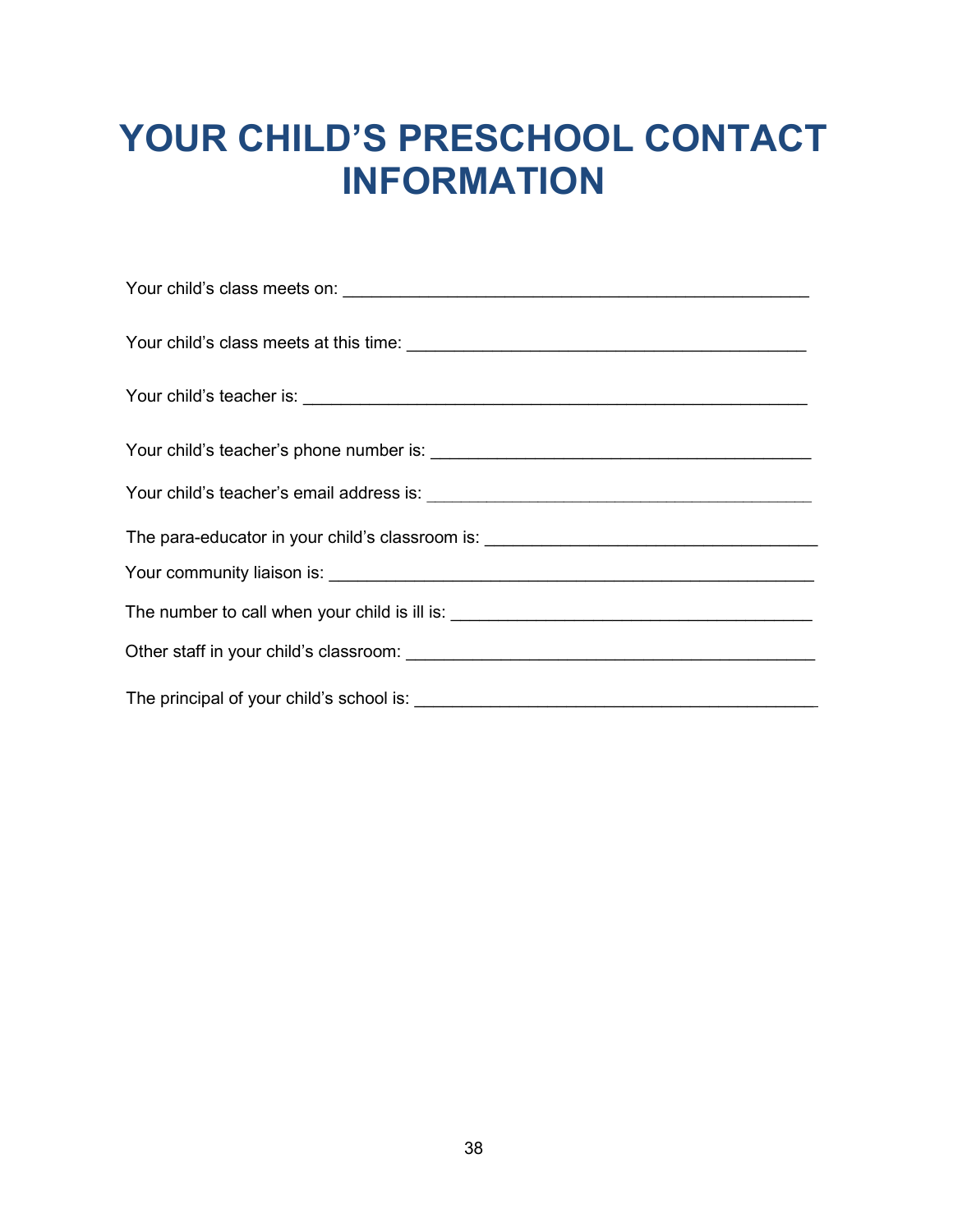## <span id="page-42-0"></span>**YOUR CHILD'S PRESCHOOL CONTACT INFORMATION**

| The para-educator in your child's classroom is: ________________________________ |
|----------------------------------------------------------------------------------|
|                                                                                  |
| The number to call when your child is ill is: __________________________________ |
|                                                                                  |
|                                                                                  |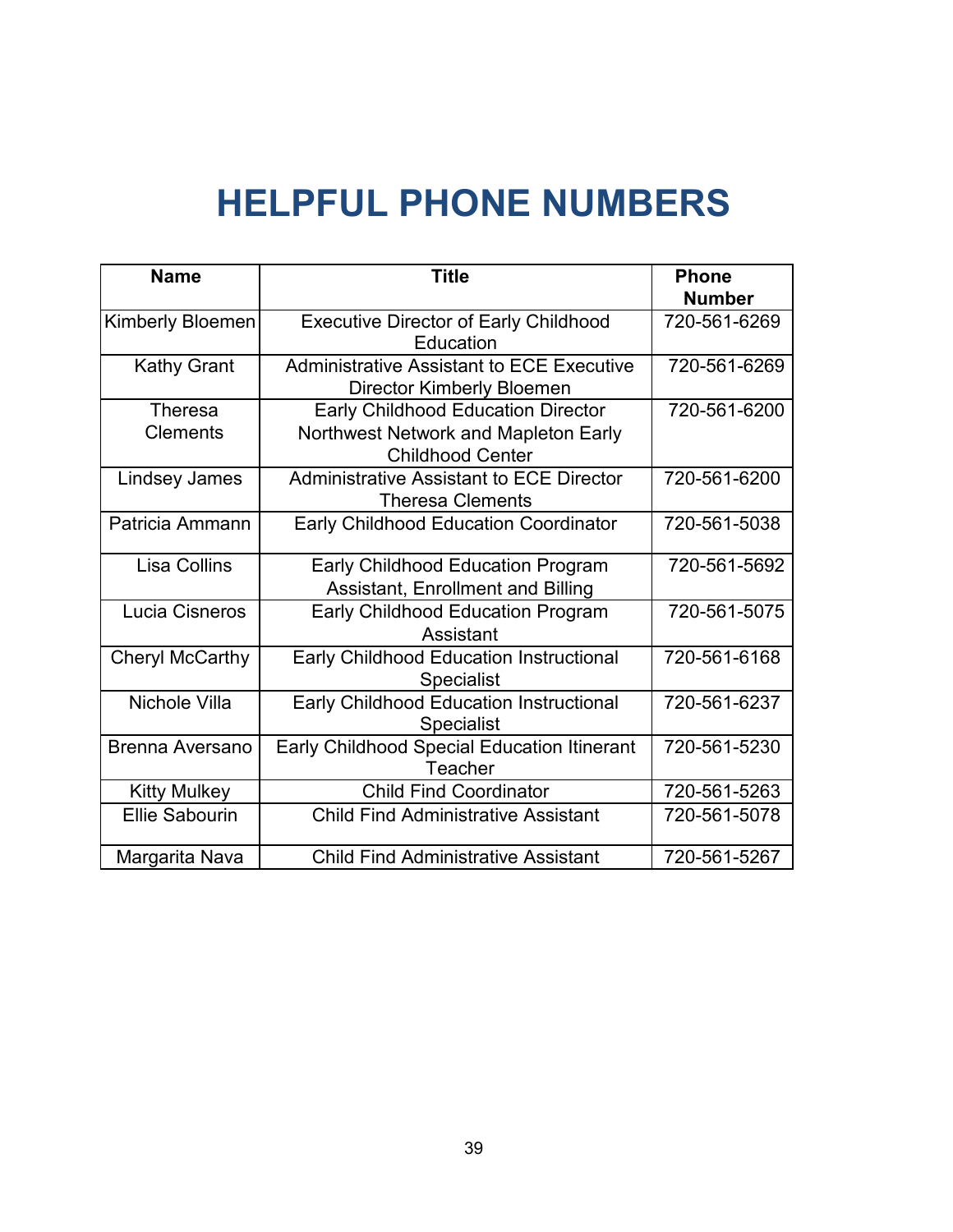## **HELPFUL PHONE NUMBERS**

<span id="page-43-0"></span>

| <b>Name</b>                       | <b>Title</b>                                                                                                 | <b>Phone</b>  |
|-----------------------------------|--------------------------------------------------------------------------------------------------------------|---------------|
|                                   |                                                                                                              | <b>Number</b> |
| <b>Kimberly Bloemen</b>           | <b>Executive Director of Early Childhood</b><br>Education                                                    | 720-561-6269  |
| <b>Kathy Grant</b>                | <b>Administrative Assistant to ECE Executive</b><br><b>Director Kimberly Bloemen</b>                         | 720-561-6269  |
| <b>Theresa</b><br><b>Clements</b> | <b>Early Childhood Education Director</b><br>Northwest Network and Mapleton Early<br><b>Childhood Center</b> | 720-561-6200  |
| <b>Lindsey James</b>              | <b>Administrative Assistant to ECE Director</b><br><b>Theresa Clements</b>                                   | 720-561-6200  |
| Patricia Ammann                   | <b>Early Childhood Education Coordinator</b>                                                                 | 720-561-5038  |
| Lisa Collins                      | <b>Early Childhood Education Program</b><br>Assistant, Enrollment and Billing                                | 720-561-5692  |
| Lucia Cisneros                    | <b>Early Childhood Education Program</b><br>Assistant                                                        | 720-561-5075  |
| <b>Cheryl McCarthy</b>            | <b>Early Childhood Education Instructional</b><br><b>Specialist</b>                                          | 720-561-6168  |
| Nichole Villa                     | Early Childhood Education Instructional<br><b>Specialist</b>                                                 | 720-561-6237  |
| Brenna Aversano                   | Early Childhood Special Education Itinerant<br>Teacher                                                       | 720-561-5230  |
| <b>Kitty Mulkey</b>               | <b>Child Find Coordinator</b>                                                                                | 720-561-5263  |
| <b>Ellie Sabourin</b>             | <b>Child Find Administrative Assistant</b>                                                                   | 720-561-5078  |
| Margarita Nava                    | <b>Child Find Administrative Assistant</b>                                                                   | 720-561-5267  |